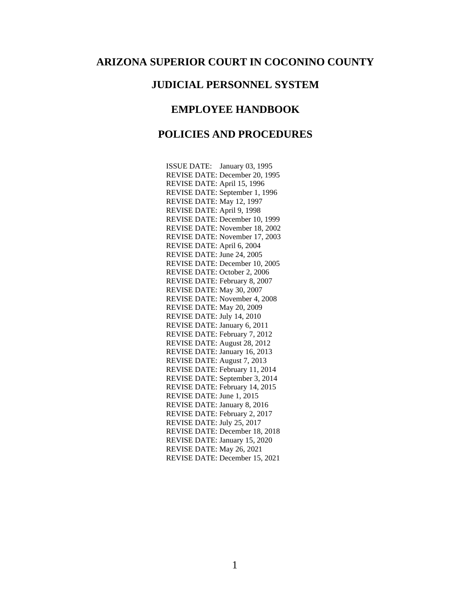## **ARIZONA SUPERIOR COURT IN COCONINO COUNTY**

#### **JUDICIAL PERSONNEL SYSTEM**

#### **EMPLOYEE HANDBOOK**

# **POLICIES AND PROCEDURES**

ISSUE DATE: January 03, 1995 REVISE DATE: December 20, 1995 REVISE DATE: April 15, 1996 REVISE DATE: September 1, 1996 REVISE DATE: May 12, 1997 REVISE DATE: April 9, 1998 REVISE DATE: December 10, 1999 REVISE DATE: November 18, 2002 REVISE DATE: November 17, 2003 REVISE DATE: April 6, 2004 REVISE DATE: June 24, 2005 REVISE DATE: December 10, 2005 REVISE DATE: October 2, 2006 REVISE DATE: February 8, 2007 REVISE DATE: May 30, 2007 REVISE DATE: November 4, 2008 REVISE DATE: May 20, 2009 REVISE DATE: July 14, 2010 REVISE DATE: January 6, 2011 REVISE DATE: February 7, 2012 REVISE DATE: August 28, 2012 REVISE DATE: January 16, 2013 REVISE DATE: August 7, 2013 REVISE DATE: February 11, 2014 REVISE DATE: September 3, 2014 REVISE DATE: February 14, 2015 REVISE DATE: June 1, 2015 REVISE DATE: January 8, 2016 REVISE DATE: February 2, 2017 REVISE DATE: July 25, 2017 REVISE DATE: December 18, 2018 REVISE DATE: January 15, 2020 REVISE DATE: May 26, 2021 REVISE DATE: December 15, 2021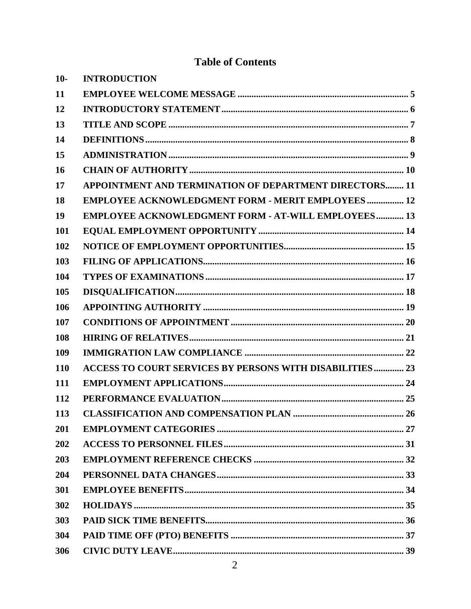# **Table of Contents**

| $10-$ | <b>INTRODUCTION</b>                                             |
|-------|-----------------------------------------------------------------|
| 11    |                                                                 |
| 12    |                                                                 |
| 13    |                                                                 |
| 14    |                                                                 |
| 15    |                                                                 |
| 16    |                                                                 |
| 17    | APPOINTMENT AND TERMINATION OF DEPARTMENT DIRECTORS 11          |
| 18    | <b>EMPLOYEE ACKNOWLEDGMENT FORM - MERIT EMPLOYEES 12</b>        |
| 19    | <b>EMPLOYEE ACKNOWLEDGMENT FORM - AT-WILL EMPLOYEES 13</b>      |
| 101   |                                                                 |
| 102   |                                                                 |
| 103   |                                                                 |
| 104   |                                                                 |
| 105   |                                                                 |
| 106   |                                                                 |
| 107   |                                                                 |
| 108   |                                                                 |
| 109   |                                                                 |
| 110   | <b>ACCESS TO COURT SERVICES BY PERSONS WITH DISABILITIES 23</b> |
| 111   |                                                                 |
| 112   |                                                                 |
| 113   |                                                                 |
| 201   |                                                                 |
| 202   |                                                                 |
| 203   |                                                                 |
| 204   |                                                                 |
| 301   |                                                                 |
| 302   |                                                                 |
| 303   |                                                                 |
| 304   |                                                                 |
| 306   |                                                                 |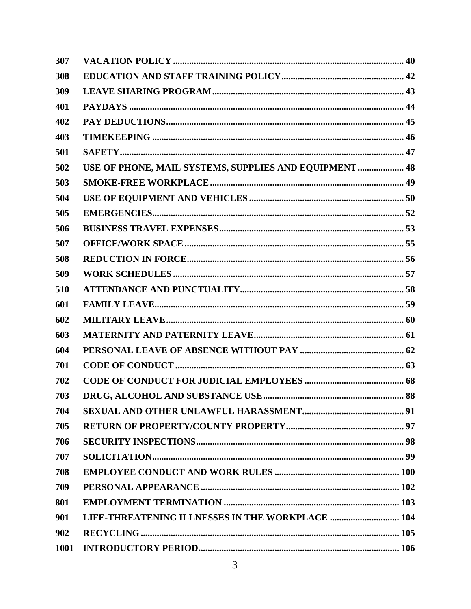| 307  |                                                        |
|------|--------------------------------------------------------|
| 308  |                                                        |
| 309  |                                                        |
| 401  |                                                        |
| 402  |                                                        |
| 403  |                                                        |
| 501  |                                                        |
| 502  | USE OF PHONE, MAIL SYSTEMS, SUPPLIES AND EQUIPMENT  48 |
| 503  |                                                        |
| 504  |                                                        |
| 505  |                                                        |
| 506  |                                                        |
| 507  |                                                        |
| 508  |                                                        |
| 509  |                                                        |
| 510  |                                                        |
| 601  |                                                        |
| 602  |                                                        |
| 603  |                                                        |
| 604  |                                                        |
| 701  |                                                        |
| 702  |                                                        |
| 703  |                                                        |
| 704  |                                                        |
| 705  |                                                        |
| 706  |                                                        |
| 707  |                                                        |
| 708  |                                                        |
| 709  |                                                        |
| 801  |                                                        |
| 901  | LIFE-THREATENING ILLNESSES IN THE WORKPLACE  104       |
| 902  |                                                        |
| 1001 |                                                        |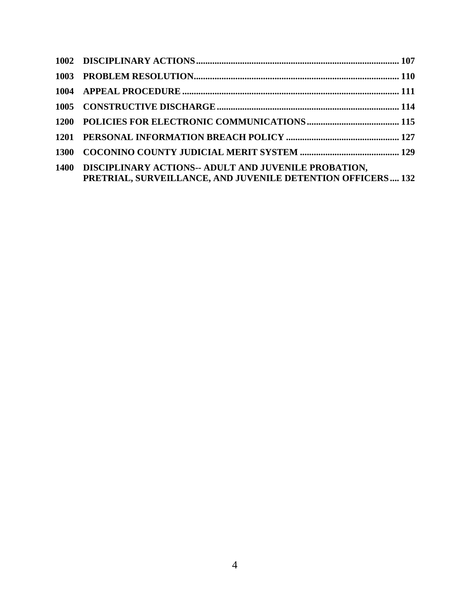| 1400 DISCIPLINARY ACTIONS-- ADULT AND JUVENILE PROBATION,   |  |
|-------------------------------------------------------------|--|
| PRETRIAL, SURVEILLANCE, AND JUVENILE DETENTION OFFICERS 132 |  |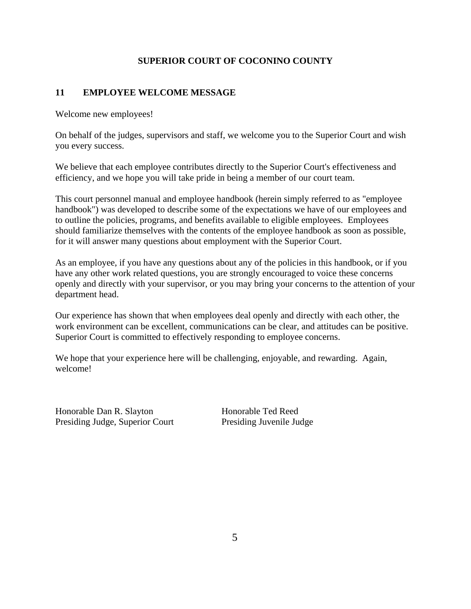## **SUPERIOR COURT OF COCONINO COUNTY**

## <span id="page-4-0"></span>**11 EMPLOYEE WELCOME MESSAGE**

Welcome new employees!

On behalf of the judges, supervisors and staff, we welcome you to the Superior Court and wish you every success.

We believe that each employee contributes directly to the Superior Court's effectiveness and efficiency, and we hope you will take pride in being a member of our court team.

This court personnel manual and employee handbook (herein simply referred to as "employee handbook") was developed to describe some of the expectations we have of our employees and to outline the policies, programs, and benefits available to eligible employees. Employees should familiarize themselves with the contents of the employee handbook as soon as possible, for it will answer many questions about employment with the Superior Court.

As an employee, if you have any questions about any of the policies in this handbook, or if you have any other work related questions, you are strongly encouraged to voice these concerns openly and directly with your supervisor, or you may bring your concerns to the attention of your department head.

Our experience has shown that when employees deal openly and directly with each other, the work environment can be excellent, communications can be clear, and attitudes can be positive. Superior Court is committed to effectively responding to employee concerns.

We hope that your experience here will be challenging, enjoyable, and rewarding. Again, welcome!

Honorable Dan R. Slayton Honorable Ted Reed Presiding Judge, Superior Court Presiding Juvenile Judge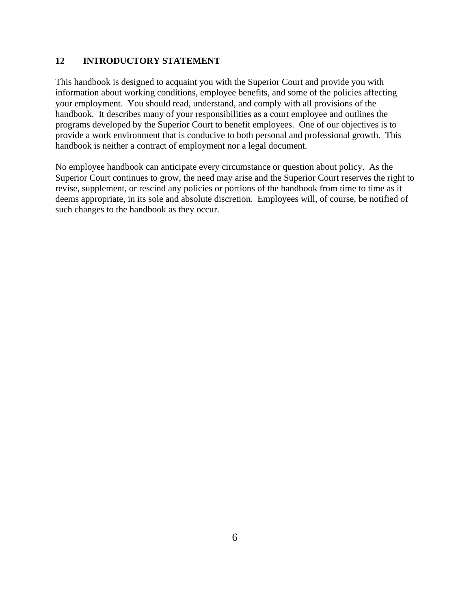#### <span id="page-5-0"></span>**12 INTRODUCTORY STATEMENT**

This handbook is designed to acquaint you with the Superior Court and provide you with information about working conditions, employee benefits, and some of the policies affecting your employment. You should read, understand, and comply with all provisions of the handbook. It describes many of your responsibilities as a court employee and outlines the programs developed by the Superior Court to benefit employees. One of our objectives is to provide a work environment that is conducive to both personal and professional growth. This handbook is neither a contract of employment nor a legal document.

No employee handbook can anticipate every circumstance or question about policy. As the Superior Court continues to grow, the need may arise and the Superior Court reserves the right to revise, supplement, or rescind any policies or portions of the handbook from time to time as it deems appropriate, in its sole and absolute discretion. Employees will, of course, be notified of such changes to the handbook as they occur.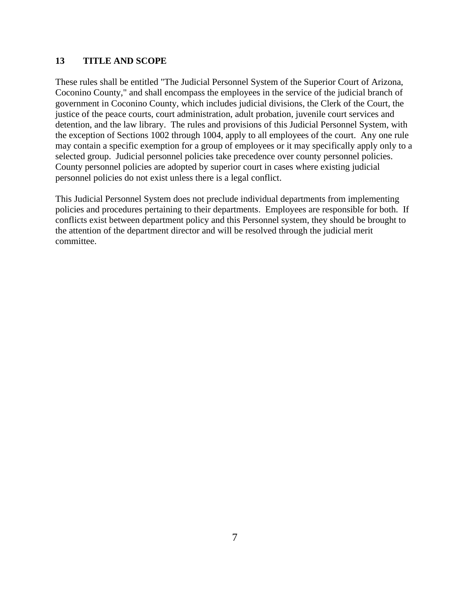#### <span id="page-6-0"></span>**13 TITLE AND SCOPE**

These rules shall be entitled "The Judicial Personnel System of the Superior Court of Arizona, Coconino County," and shall encompass the employees in the service of the judicial branch of government in Coconino County, which includes judicial divisions, the Clerk of the Court, the justice of the peace courts, court administration, adult probation, juvenile court services and detention, and the law library. The rules and provisions of this Judicial Personnel System, with the exception of Sections 1002 through 1004, apply to all employees of the court. Any one rule may contain a specific exemption for a group of employees or it may specifically apply only to a selected group. Judicial personnel policies take precedence over county personnel policies. County personnel policies are adopted by superior court in cases where existing judicial personnel policies do not exist unless there is a legal conflict.

This Judicial Personnel System does not preclude individual departments from implementing policies and procedures pertaining to their departments. Employees are responsible for both. If conflicts exist between department policy and this Personnel system, they should be brought to the attention of the department director and will be resolved through the judicial merit committee.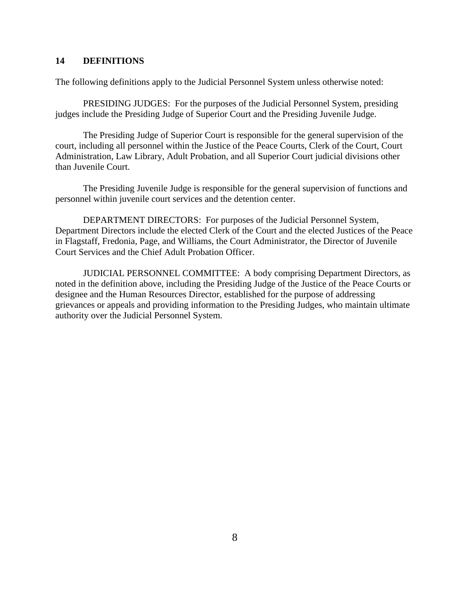#### <span id="page-7-0"></span>**14 DEFINITIONS**

The following definitions apply to the Judicial Personnel System unless otherwise noted:

PRESIDING JUDGES: For the purposes of the Judicial Personnel System, presiding judges include the Presiding Judge of Superior Court and the Presiding Juvenile Judge.

The Presiding Judge of Superior Court is responsible for the general supervision of the court, including all personnel within the Justice of the Peace Courts, Clerk of the Court, Court Administration, Law Library, Adult Probation, and all Superior Court judicial divisions other than Juvenile Court.

The Presiding Juvenile Judge is responsible for the general supervision of functions and personnel within juvenile court services and the detention center.

DEPARTMENT DIRECTORS: For purposes of the Judicial Personnel System, Department Directors include the elected Clerk of the Court and the elected Justices of the Peace in Flagstaff, Fredonia, Page, and Williams, the Court Administrator, the Director of Juvenile Court Services and the Chief Adult Probation Officer.

JUDICIAL PERSONNEL COMMITTEE: A body comprising Department Directors, as noted in the definition above, including the Presiding Judge of the Justice of the Peace Courts or designee and the Human Resources Director, established for the purpose of addressing grievances or appeals and providing information to the Presiding Judges, who maintain ultimate authority over the Judicial Personnel System.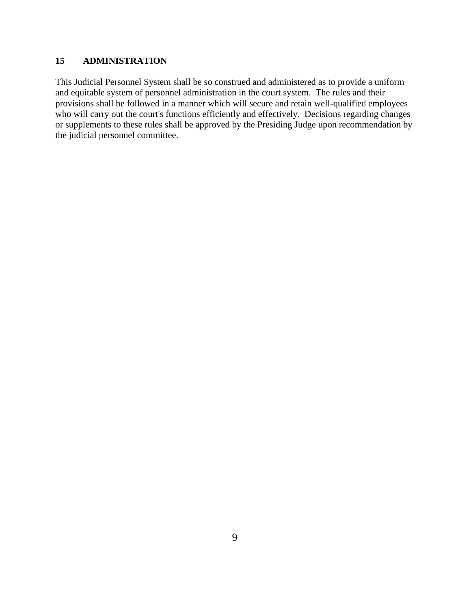## <span id="page-8-0"></span>**15 ADMINISTRATION**

This Judicial Personnel System shall be so construed and administered as to provide a uniform and equitable system of personnel administration in the court system. The rules and their provisions shall be followed in a manner which will secure and retain well-qualified employees who will carry out the court's functions efficiently and effectively. Decisions regarding changes or supplements to these rules shall be approved by the Presiding Judge upon recommendation by the judicial personnel committee.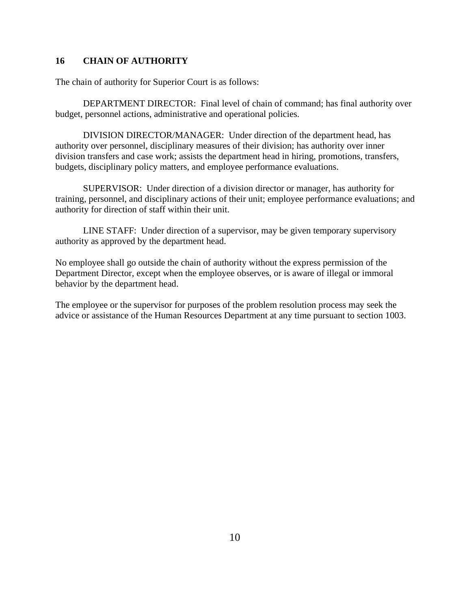#### <span id="page-9-0"></span>**16 CHAIN OF AUTHORITY**

The chain of authority for Superior Court is as follows:

DEPARTMENT DIRECTOR: Final level of chain of command; has final authority over budget, personnel actions, administrative and operational policies.

DIVISION DIRECTOR/MANAGER: Under direction of the department head, has authority over personnel, disciplinary measures of their division; has authority over inner division transfers and case work; assists the department head in hiring, promotions, transfers, budgets, disciplinary policy matters, and employee performance evaluations.

SUPERVISOR: Under direction of a division director or manager, has authority for training, personnel, and disciplinary actions of their unit; employee performance evaluations; and authority for direction of staff within their unit.

LINE STAFF: Under direction of a supervisor, may be given temporary supervisory authority as approved by the department head.

No employee shall go outside the chain of authority without the express permission of the Department Director, except when the employee observes, or is aware of illegal or immoral behavior by the department head.

The employee or the supervisor for purposes of the problem resolution process may seek the advice or assistance of the Human Resources Department at any time pursuant to section 1003.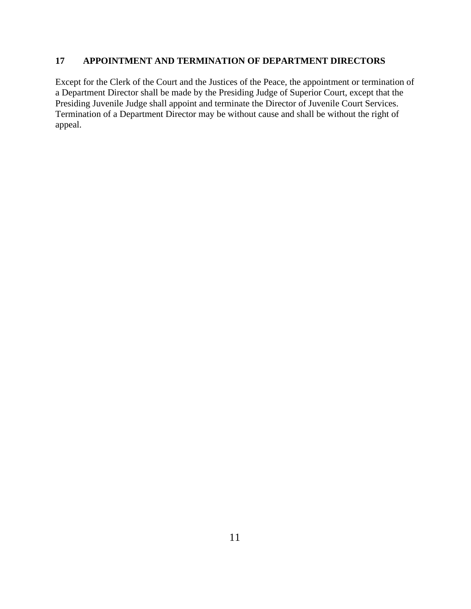## <span id="page-10-0"></span>**17 APPOINTMENT AND TERMINATION OF DEPARTMENT DIRECTORS**

Except for the Clerk of the Court and the Justices of the Peace, the appointment or termination of a Department Director shall be made by the Presiding Judge of Superior Court, except that the Presiding Juvenile Judge shall appoint and terminate the Director of Juvenile Court Services. Termination of a Department Director may be without cause and shall be without the right of appeal.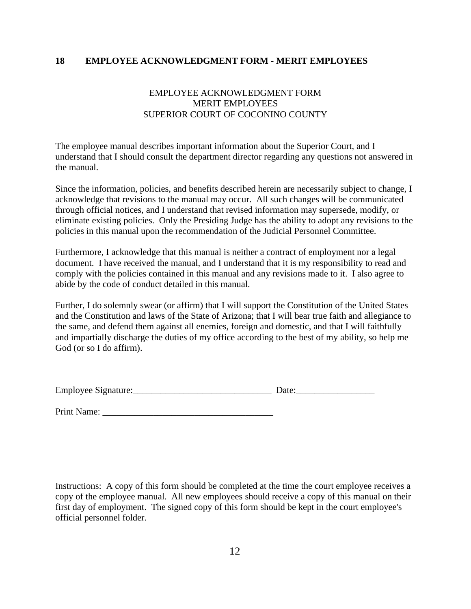#### <span id="page-11-0"></span>**18 EMPLOYEE ACKNOWLEDGMENT FORM - MERIT EMPLOYEES**

# EMPLOYEE ACKNOWLEDGMENT FORM MERIT EMPLOYEES SUPERIOR COURT OF COCONINO COUNTY

The employee manual describes important information about the Superior Court, and I understand that I should consult the department director regarding any questions not answered in the manual.

Since the information, policies, and benefits described herein are necessarily subject to change, I acknowledge that revisions to the manual may occur. All such changes will be communicated through official notices, and I understand that revised information may supersede, modify, or eliminate existing policies. Only the Presiding Judge has the ability to adopt any revisions to the policies in this manual upon the recommendation of the Judicial Personnel Committee.

Furthermore, I acknowledge that this manual is neither a contract of employment nor a legal document. I have received the manual, and I understand that it is my responsibility to read and comply with the policies contained in this manual and any revisions made to it. I also agree to abide by the code of conduct detailed in this manual.

Further, I do solemnly swear (or affirm) that I will support the Constitution of the United States and the Constitution and laws of the State of Arizona; that I will bear true faith and allegiance to the same, and defend them against all enemies, foreign and domestic, and that I will faithfully and impartially discharge the duties of my office according to the best of my ability, so help me God (or so I do affirm).

| <b>Employee Signature:</b> |  |
|----------------------------|--|
|                            |  |

Print Name:

Instructions: A copy of this form should be completed at the time the court employee receives a copy of the employee manual. All new employees should receive a copy of this manual on their first day of employment. The signed copy of this form should be kept in the court employee's official personnel folder.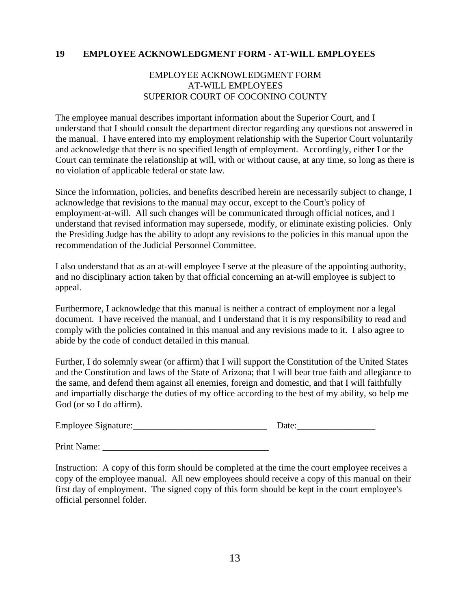#### <span id="page-12-0"></span>**19 EMPLOYEE ACKNOWLEDGMENT FORM - AT-WILL EMPLOYEES**

## EMPLOYEE ACKNOWLEDGMENT FORM AT-WILL EMPLOYEES SUPERIOR COURT OF COCONINO COUNTY

The employee manual describes important information about the Superior Court, and I understand that I should consult the department director regarding any questions not answered in the manual. I have entered into my employment relationship with the Superior Court voluntarily and acknowledge that there is no specified length of employment. Accordingly, either I or the Court can terminate the relationship at will, with or without cause, at any time, so long as there is no violation of applicable federal or state law.

Since the information, policies, and benefits described herein are necessarily subject to change, I acknowledge that revisions to the manual may occur, except to the Court's policy of employment-at-will. All such changes will be communicated through official notices, and I understand that revised information may supersede, modify, or eliminate existing policies. Only the Presiding Judge has the ability to adopt any revisions to the policies in this manual upon the recommendation of the Judicial Personnel Committee.

I also understand that as an at-will employee I serve at the pleasure of the appointing authority, and no disciplinary action taken by that official concerning an at-will employee is subject to appeal.

Furthermore, I acknowledge that this manual is neither a contract of employment nor a legal document. I have received the manual, and I understand that it is my responsibility to read and comply with the policies contained in this manual and any revisions made to it. I also agree to abide by the code of conduct detailed in this manual.

Further, I do solemnly swear (or affirm) that I will support the Constitution of the United States and the Constitution and laws of the State of Arizona; that I will bear true faith and allegiance to the same, and defend them against all enemies, foreign and domestic, and that I will faithfully and impartially discharge the duties of my office according to the best of my ability, so help me God (or so I do affirm).

Employee Signature:\_\_\_\_\_\_\_\_\_\_\_\_\_\_\_\_\_\_\_\_\_\_\_\_\_\_\_\_\_ Date:\_\_\_\_\_\_\_\_\_\_\_\_\_\_\_\_\_

Print Name: \_\_\_\_\_\_\_\_\_\_\_\_\_\_\_\_\_\_\_\_\_\_\_\_\_\_\_\_\_\_\_\_\_\_\_\_

Instruction: A copy of this form should be completed at the time the court employee receives a copy of the employee manual. All new employees should receive a copy of this manual on their first day of employment. The signed copy of this form should be kept in the court employee's official personnel folder.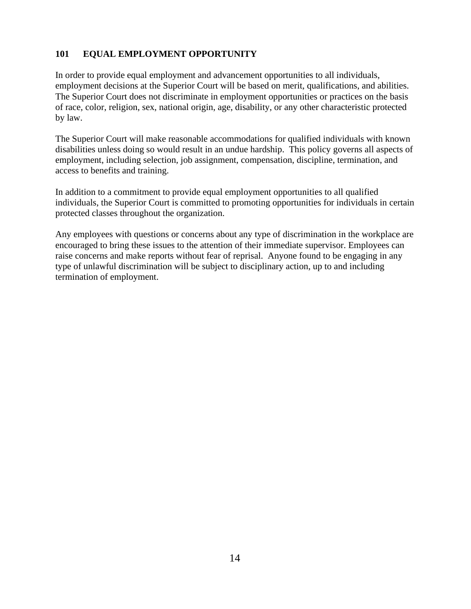# <span id="page-13-0"></span>**101 EQUAL EMPLOYMENT OPPORTUNITY**

In order to provide equal employment and advancement opportunities to all individuals, employment decisions at the Superior Court will be based on merit, qualifications, and abilities. The Superior Court does not discriminate in employment opportunities or practices on the basis of race, color, religion, sex, national origin, age, disability, or any other characteristic protected by law.

The Superior Court will make reasonable accommodations for qualified individuals with known disabilities unless doing so would result in an undue hardship. This policy governs all aspects of employment, including selection, job assignment, compensation, discipline, termination, and access to benefits and training.

In addition to a commitment to provide equal employment opportunities to all qualified individuals, the Superior Court is committed to promoting opportunities for individuals in certain protected classes throughout the organization.

Any employees with questions or concerns about any type of discrimination in the workplace are encouraged to bring these issues to the attention of their immediate supervisor. Employees can raise concerns and make reports without fear of reprisal. Anyone found to be engaging in any type of unlawful discrimination will be subject to disciplinary action, up to and including termination of employment.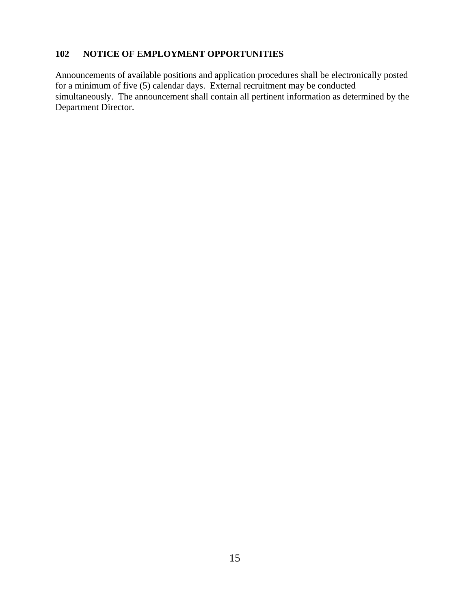## <span id="page-14-0"></span>**102 NOTICE OF EMPLOYMENT OPPORTUNITIES**

Announcements of available positions and application procedures shall be electronically posted for a minimum of five (5) calendar days. External recruitment may be conducted simultaneously. The announcement shall contain all pertinent information as determined by the Department Director.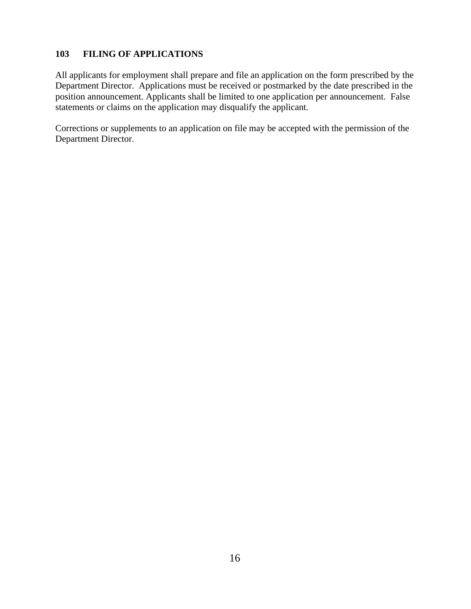## <span id="page-15-0"></span>**103 FILING OF APPLICATIONS**

All applicants for employment shall prepare and file an application on the form prescribed by the Department Director. Applications must be received or postmarked by the date prescribed in the position announcement. Applicants shall be limited to one application per announcement. False statements or claims on the application may disqualify the applicant.

Corrections or supplements to an application on file may be accepted with the permission of the Department Director.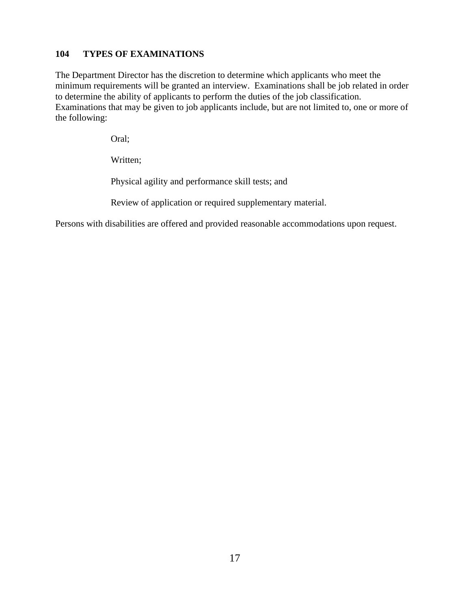## <span id="page-16-0"></span>**104 TYPES OF EXAMINATIONS**

The Department Director has the discretion to determine which applicants who meet the minimum requirements will be granted an interview. Examinations shall be job related in order to determine the ability of applicants to perform the duties of the job classification. Examinations that may be given to job applicants include, but are not limited to, one or more of the following:

Oral;

Written;

Physical agility and performance skill tests; and

Review of application or required supplementary material.

Persons with disabilities are offered and provided reasonable accommodations upon request.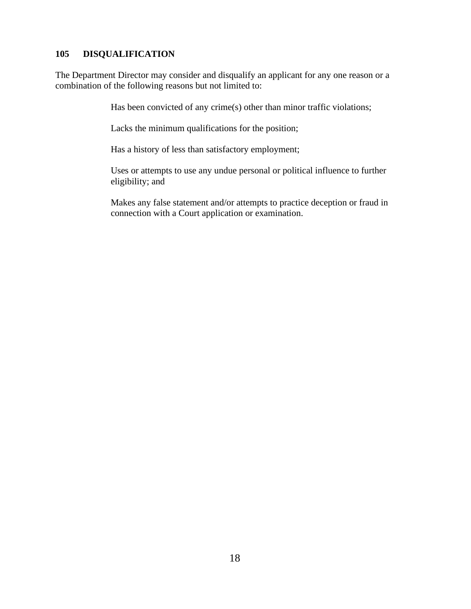## <span id="page-17-0"></span>**105 DISQUALIFICATION**

The Department Director may consider and disqualify an applicant for any one reason or a combination of the following reasons but not limited to:

Has been convicted of any crime(s) other than minor traffic violations;

Lacks the minimum qualifications for the position;

Has a history of less than satisfactory employment;

Uses or attempts to use any undue personal or political influence to further eligibility; and

Makes any false statement and/or attempts to practice deception or fraud in connection with a Court application or examination.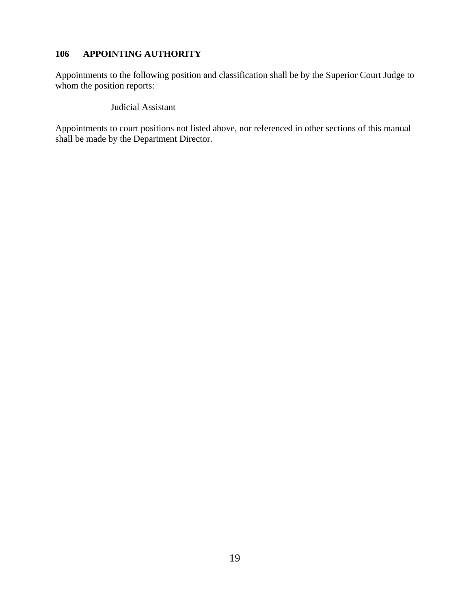## <span id="page-18-0"></span>**106 APPOINTING AUTHORITY**

Appointments to the following position and classification shall be by the Superior Court Judge to whom the position reports:

Judicial Assistant

Appointments to court positions not listed above, nor referenced in other sections of this manual shall be made by the Department Director.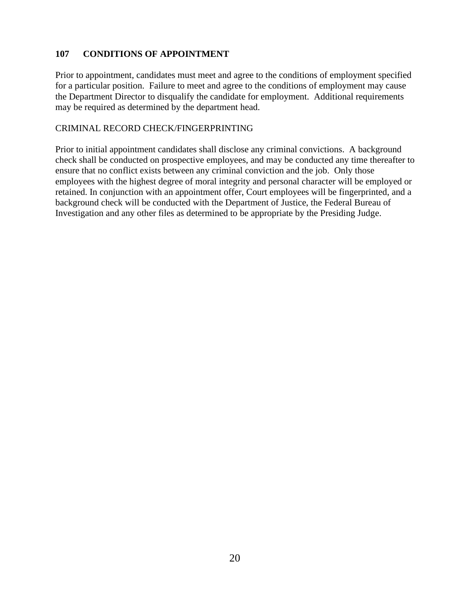## <span id="page-19-0"></span>**107 CONDITIONS OF APPOINTMENT**

Prior to appointment, candidates must meet and agree to the conditions of employment specified for a particular position. Failure to meet and agree to the conditions of employment may cause the Department Director to disqualify the candidate for employment. Additional requirements may be required as determined by the department head.

#### CRIMINAL RECORD CHECK/FINGERPRINTING

Prior to initial appointment candidates shall disclose any criminal convictions. A background check shall be conducted on prospective employees, and may be conducted any time thereafter to ensure that no conflict exists between any criminal conviction and the job. Only those employees with the highest degree of moral integrity and personal character will be employed or retained. In conjunction with an appointment offer, Court employees will be fingerprinted, and a background check will be conducted with the Department of Justice, the Federal Bureau of Investigation and any other files as determined to be appropriate by the Presiding Judge.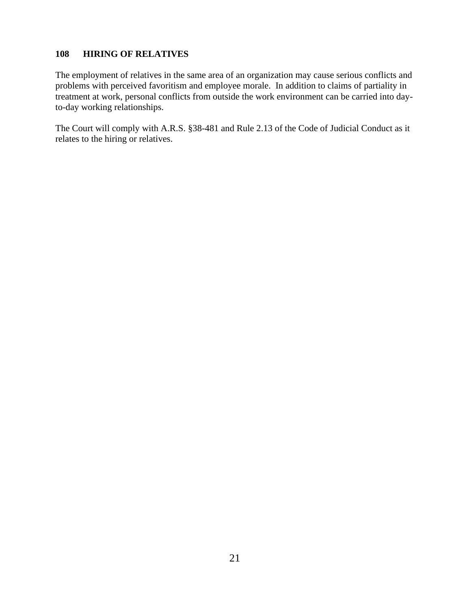#### <span id="page-20-0"></span>**108 HIRING OF RELATIVES**

The employment of relatives in the same area of an organization may cause serious conflicts and problems with perceived favoritism and employee morale. In addition to claims of partiality in treatment at work, personal conflicts from outside the work environment can be carried into dayto-day working relationships.

The Court will comply with A.R.S. §38-481 and Rule 2.13 of the Code of Judicial Conduct as it relates to the hiring or relatives.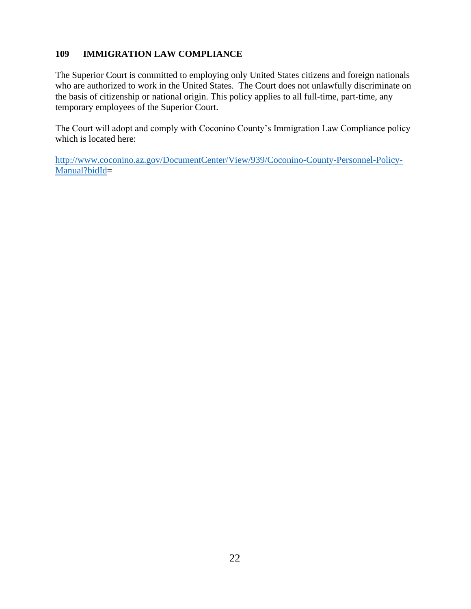## <span id="page-21-0"></span>**109 IMMIGRATION LAW COMPLIANCE**

The Superior Court is committed to employing only United States citizens and foreign nationals who are authorized to work in the United States. The Court does not unlawfully discriminate on the basis of citizenship or national origin. This policy applies to all full-time, part-time, any temporary employees of the Superior Court.

The Court will adopt and comply with Coconino County's Immigration Law Compliance policy which is located here:

[http://www.coconino.az.gov/DocumentCenter/View/939/Coconino-County-Personnel-Policy-](http://www.coconino.az.gov/DocumentCenter/View/939/Coconino-County-Personnel-Policy-Manual?bidId)[Manual?bidId=](http://www.coconino.az.gov/DocumentCenter/View/939/Coconino-County-Personnel-Policy-Manual?bidId)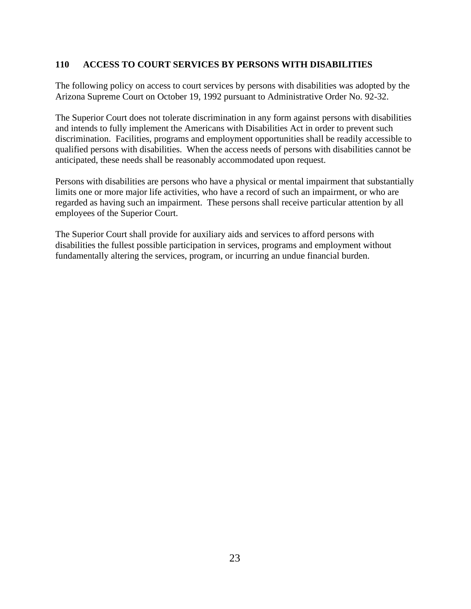## <span id="page-22-0"></span>**110 ACCESS TO COURT SERVICES BY PERSONS WITH DISABILITIES**

The following policy on access to court services by persons with disabilities was adopted by the Arizona Supreme Court on October 19, 1992 pursuant to Administrative Order No. 92-32.

The Superior Court does not tolerate discrimination in any form against persons with disabilities and intends to fully implement the Americans with Disabilities Act in order to prevent such discrimination. Facilities, programs and employment opportunities shall be readily accessible to qualified persons with disabilities. When the access needs of persons with disabilities cannot be anticipated, these needs shall be reasonably accommodated upon request.

Persons with disabilities are persons who have a physical or mental impairment that substantially limits one or more major life activities, who have a record of such an impairment, or who are regarded as having such an impairment. These persons shall receive particular attention by all employees of the Superior Court.

The Superior Court shall provide for auxiliary aids and services to afford persons with disabilities the fullest possible participation in services, programs and employment without fundamentally altering the services, program, or incurring an undue financial burden.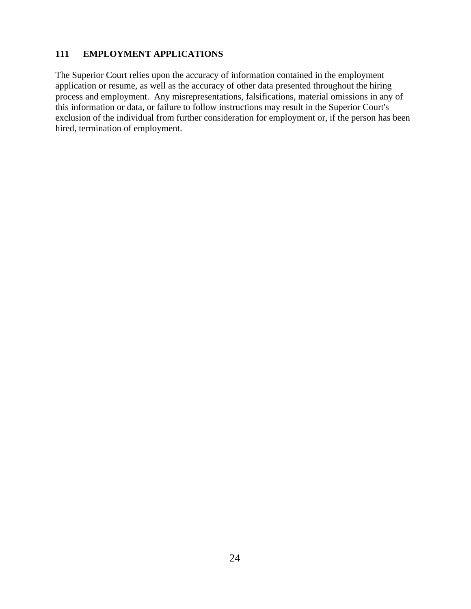## <span id="page-23-0"></span>**111 EMPLOYMENT APPLICATIONS**

The Superior Court relies upon the accuracy of information contained in the employment application or resume, as well as the accuracy of other data presented throughout the hiring process and employment. Any misrepresentations, falsifications, material omissions in any of this information or data, or failure to follow instructions may result in the Superior Court's exclusion of the individual from further consideration for employment or, if the person has been hired, termination of employment.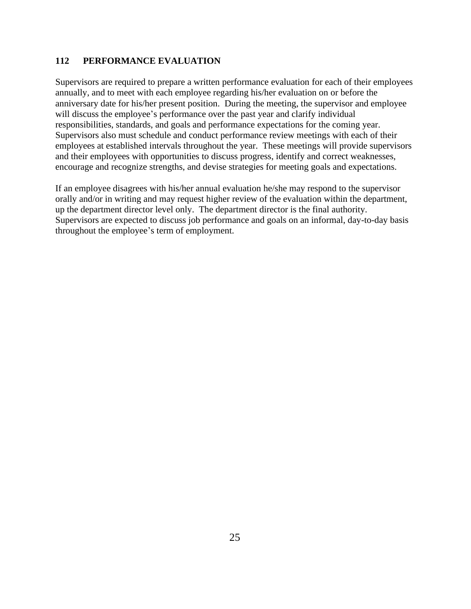#### <span id="page-24-0"></span>**112 PERFORMANCE EVALUATION**

Supervisors are required to prepare a written performance evaluation for each of their employees annually, and to meet with each employee regarding his/her evaluation on or before the anniversary date for his/her present position. During the meeting, the supervisor and employee will discuss the employee's performance over the past year and clarify individual responsibilities, standards, and goals and performance expectations for the coming year. Supervisors also must schedule and conduct performance review meetings with each of their employees at established intervals throughout the year. These meetings will provide supervisors and their employees with opportunities to discuss progress, identify and correct weaknesses, encourage and recognize strengths, and devise strategies for meeting goals and expectations.

If an employee disagrees with his/her annual evaluation he/she may respond to the supervisor orally and/or in writing and may request higher review of the evaluation within the department, up the department director level only. The department director is the final authority. Supervisors are expected to discuss job performance and goals on an informal, day-to-day basis throughout the employee's term of employment.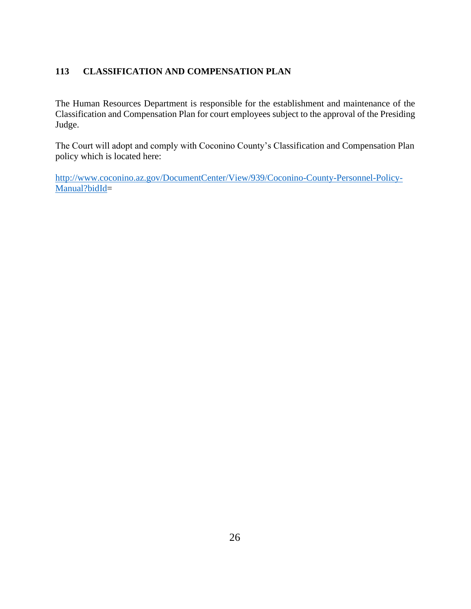# <span id="page-25-0"></span>**113 CLASSIFICATION AND COMPENSATION PLAN**

The Human Resources Department is responsible for the establishment and maintenance of the Classification and Compensation Plan for court employees subject to the approval of the Presiding Judge.

The Court will adopt and comply with Coconino County's Classification and Compensation Plan policy which is located here:

[http://www.coconino.az.gov/DocumentCenter/View/939/Coconino-County-Personnel-Policy-](http://www.coconino.az.gov/DocumentCenter/View/939/Coconino-County-Personnel-Policy-Manual?bidId)[Manual?bidId=](http://www.coconino.az.gov/DocumentCenter/View/939/Coconino-County-Personnel-Policy-Manual?bidId)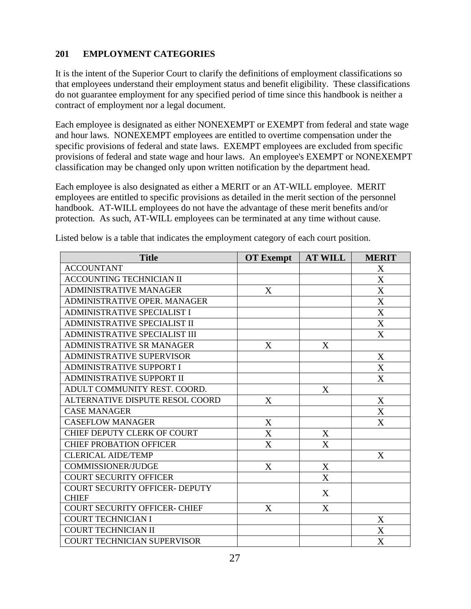## <span id="page-26-0"></span>**201 EMPLOYMENT CATEGORIES**

It is the intent of the Superior Court to clarify the definitions of employment classifications so that employees understand their employment status and benefit eligibility. These classifications do not guarantee employment for any specified period of time since this handbook is neither a contract of employment nor a legal document.

Each employee is designated as either NONEXEMPT or EXEMPT from federal and state wage and hour laws. NONEXEMPT employees are entitled to overtime compensation under the specific provisions of federal and state laws. EXEMPT employees are excluded from specific provisions of federal and state wage and hour laws. An employee's EXEMPT or NONEXEMPT classification may be changed only upon written notification by the department head.

Each employee is also designated as either a MERIT or an AT-WILL employee. MERIT employees are entitled to specific provisions as detailed in the merit section of the personnel handbook. AT-WILL employees do not have the advantage of these merit benefits and/or protection. As such, AT-WILL employees can be terminated at any time without cause.

| <b>Title</b>                           | <b>OT Exempt</b> | <b>AT WILL</b>            | <b>MERIT</b> |
|----------------------------------------|------------------|---------------------------|--------------|
| <b>ACCOUNTANT</b>                      |                  |                           | X            |
| <b>ACCOUNTING TECHNICIAN II</b>        |                  |                           | X            |
| <b>ADMINISTRATIVE MANAGER</b>          | X                |                           | $\mathbf X$  |
| ADMINISTRATIVE OPER. MANAGER           |                  |                           | $\mathbf X$  |
| <b>ADMINISTRATIVE SPECIALIST I</b>     |                  |                           | $\mathbf X$  |
| ADMINISTRATIVE SPECIALIST II           |                  |                           | X            |
| <b>ADMINISTRATIVE SPECIALIST III</b>   |                  |                           | X            |
| <b>ADMINISTRATIVE SR MANAGER</b>       | X                | X                         |              |
| <b>ADMINISTRATIVE SUPERVISOR</b>       |                  |                           | X            |
| <b>ADMINISTRATIVE SUPPORT I</b>        |                  |                           | X            |
| <b>ADMINISTRATIVE SUPPORT II</b>       |                  |                           | X            |
| ADULT COMMUNITY REST. COORD.           |                  | X                         |              |
| <b>ALTERNATIVE DISPUTE RESOL COORD</b> | X                |                           | X            |
| <b>CASE MANAGER</b>                    |                  |                           | X            |
| <b>CASEFLOW MANAGER</b>                | $\mathbf X$      |                           | X            |
| CHIEF DEPUTY CLERK OF COURT            | X                | X                         |              |
| <b>CHIEF PROBATION OFFICER</b>         | X                | X                         |              |
| <b>CLERICAL AIDE/TEMP</b>              |                  |                           | X            |
| <b>COMMISSIONER/JUDGE</b>              | X                | X                         |              |
| <b>COURT SECURITY OFFICER</b>          |                  | $\boldsymbol{\mathrm{X}}$ |              |
| COURT SECURITY OFFICER- DEPUTY         |                  | X                         |              |
| <b>CHIEF</b>                           |                  |                           |              |
| <b>COURT SECURITY OFFICER- CHIEF</b>   | X                | X                         |              |
| <b>COURT TECHNICIAN I</b>              |                  |                           | X            |
| <b>COURT TECHNICIAN II</b>             |                  |                           | X            |
| <b>COURT TECHNICIAN SUPERVISOR</b>     |                  |                           | X            |

Listed below is a table that indicates the employment category of each court position.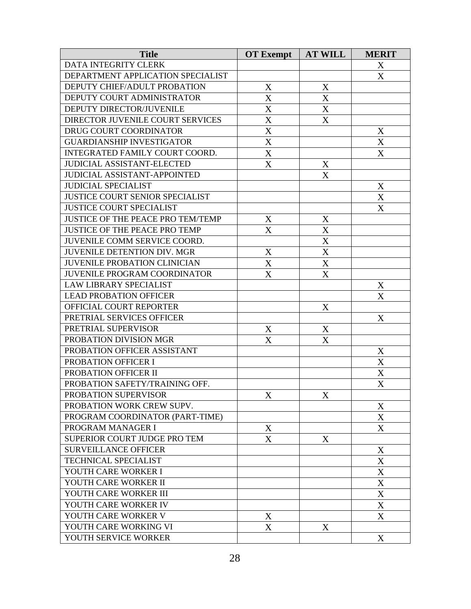| <b>Title</b>                             | <b>OT</b> Exempt | <b>AT WILL</b> | <b>MERIT</b>     |
|------------------------------------------|------------------|----------------|------------------|
| DATA INTEGRITY CLERK                     |                  |                | X                |
| DEPARTMENT APPLICATION SPECIALIST        |                  |                | X                |
| DEPUTY CHIEF/ADULT PROBATION             | X                | X              |                  |
| DEPUTY COURT ADMINISTRATOR               | X                | X              |                  |
| DEPUTY DIRECTOR/JUVENILE                 | $\mathbf X$      | X              |                  |
| DIRECTOR JUVENILE COURT SERVICES         | X                | X              |                  |
| DRUG COURT COORDINATOR                   | $\mathbf X$      |                | X                |
| <b>GUARDIANSHIP INVESTIGATOR</b>         | X                |                | X                |
| INTEGRATED FAMILY COURT COORD.           | X                |                | X                |
| <b>JUDICIAL ASSISTANT-ELECTED</b>        | X                | X              |                  |
| <b>JUDICIAL ASSISTANT-APPOINTED</b>      |                  | X              |                  |
| <b>JUDICIAL SPECIALIST</b>               |                  |                | X                |
| <b>JUSTICE COURT SENIOR SPECIALIST</b>   |                  |                | X                |
| <b>JUSTICE COURT SPECIALIST</b>          |                  |                | X                |
| <b>JUSTICE OF THE PEACE PRO TEM/TEMP</b> | X                | X              |                  |
| <b>JUSTICE OF THE PEACE PRO TEMP</b>     | X                | X              |                  |
| JUVENILE COMM SERVICE COORD.             |                  | X              |                  |
| <b>JUVENILE DETENTION DIV. MGR</b>       | X                | X              |                  |
| <b>JUVENILE PROBATION CLINICIAN</b>      | $\mathbf X$      | $\mathbf X$    |                  |
| <b>JUVENILE PROGRAM COORDINATOR</b>      | X                | X              |                  |
| <b>LAW LIBRARY SPECIALIST</b>            |                  |                | X                |
| <b>LEAD PROBATION OFFICER</b>            |                  |                | X                |
| OFFICIAL COURT REPORTER                  |                  | X              |                  |
| PRETRIAL SERVICES OFFICER                |                  |                | X                |
| PRETRIAL SUPERVISOR                      | X                | X              |                  |
| PROBATION DIVISION MGR                   | X                | X              |                  |
| PROBATION OFFICER ASSISTANT              |                  |                | X                |
| PROBATION OFFICER I                      |                  |                | X                |
| PROBATION OFFICER II                     |                  |                | $\mathbf X$      |
| PROBATION SAFETY/TRAINING OFF.           |                  |                | X                |
| PROBATION SUPERVISOR                     | $\mathbf X$      | $\mathbf X$    |                  |
| PROBATION WORK CREW SUPV.                |                  |                | X                |
| PROGRAM COORDINATOR (PART-TIME)          |                  |                | X                |
| PROGRAM MANAGER I                        | $\mathbf X$      |                | X                |
| SUPERIOR COURT JUDGE PRO TEM             | X                | X              |                  |
| <b>SURVEILLANCE OFFICER</b>              |                  |                | X                |
| <b>TECHNICAL SPECIALIST</b>              |                  |                | $\mathbf X$      |
| YOUTH CARE WORKER I                      |                  |                | X                |
| YOUTH CARE WORKER II                     |                  |                | X                |
| YOUTH CARE WORKER III                    |                  |                | X                |
| YOUTH CARE WORKER IV                     |                  |                | $\mathbf X$      |
| YOUTH CARE WORKER V                      | X                |                | X                |
| YOUTH CARE WORKING VI                    | X                | X              |                  |
| YOUTH SERVICE WORKER                     |                  |                | $\boldsymbol{X}$ |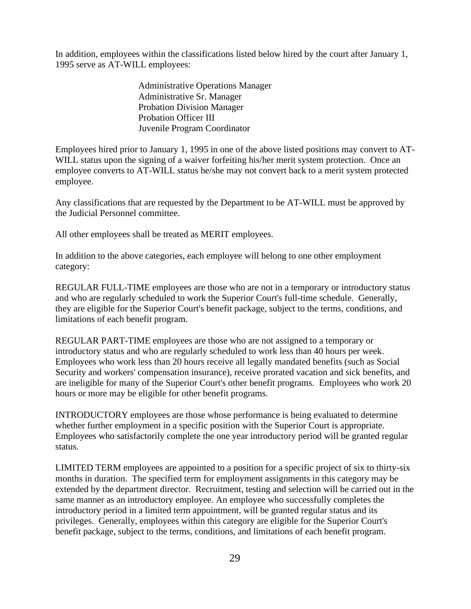In addition, employees within the classifications listed below hired by the court after January 1, 1995 serve as AT-WILL employees:

> Administrative Operations Manager Administrative Sr. Manager Probation Division Manager Probation Officer III Juvenile Program Coordinator

Employees hired prior to January 1, 1995 in one of the above listed positions may convert to AT-WILL status upon the signing of a waiver forfeiting his/her merit system protection. Once an employee converts to AT-WILL status he/she may not convert back to a merit system protected employee.

Any classifications that are requested by the Department to be AT-WILL must be approved by the Judicial Personnel committee.

All other employees shall be treated as MERIT employees.

In addition to the above categories, each employee will belong to one other employment category:

REGULAR FULL-TIME employees are those who are not in a temporary or introductory status and who are regularly scheduled to work the Superior Court's full-time schedule. Generally, they are eligible for the Superior Court's benefit package, subject to the terms, conditions, and limitations of each benefit program.

REGULAR PART-TIME employees are those who are not assigned to a temporary or introductory status and who are regularly scheduled to work less than 40 hours per week. Employees who work less than 20 hours receive all legally mandated benefits (such as Social Security and workers' compensation insurance), receive prorated vacation and sick benefits, and are ineligible for many of the Superior Court's other benefit programs. Employees who work 20 hours or more may be eligible for other benefit programs.

INTRODUCTORY employees are those whose performance is being evaluated to determine whether further employment in a specific position with the Superior Court is appropriate. Employees who satisfactorily complete the one year introductory period will be granted regular status.

LIMITED TERM employees are appointed to a position for a specific project of six to thirty-six months in duration. The specified term for employment assignments in this category may be extended by the department director. Recruitment, testing and selection will be carried out in the same manner as an introductory employee. An employee who successfully completes the introductory period in a limited term appointment, will be granted regular status and its privileges. Generally, employees within this category are eligible for the Superior Court's benefit package, subject to the terms, conditions, and limitations of each benefit program.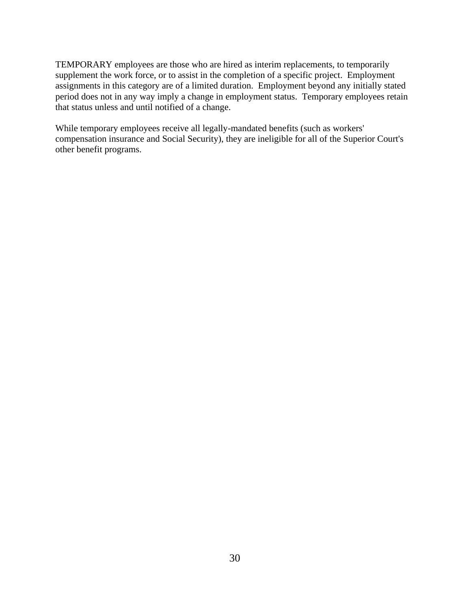TEMPORARY employees are those who are hired as interim replacements, to temporarily supplement the work force, or to assist in the completion of a specific project. Employment assignments in this category are of a limited duration. Employment beyond any initially stated period does not in any way imply a change in employment status. Temporary employees retain that status unless and until notified of a change.

While temporary employees receive all legally-mandated benefits (such as workers' compensation insurance and Social Security), they are ineligible for all of the Superior Court's other benefit programs.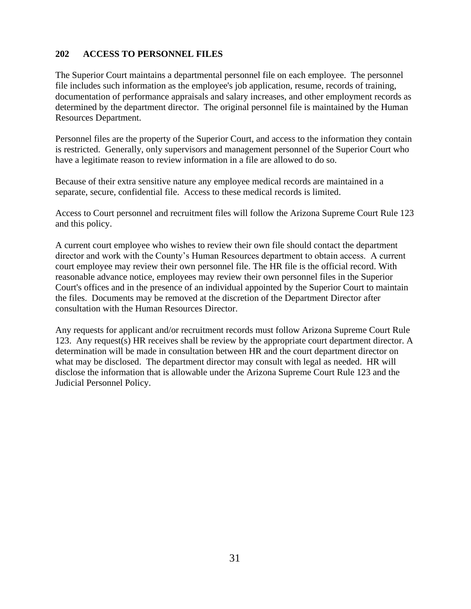## <span id="page-30-0"></span>**202 ACCESS TO PERSONNEL FILES**

The Superior Court maintains a departmental personnel file on each employee. The personnel file includes such information as the employee's job application, resume, records of training, documentation of performance appraisals and salary increases, and other employment records as determined by the department director. The original personnel file is maintained by the Human Resources Department.

Personnel files are the property of the Superior Court, and access to the information they contain is restricted. Generally, only supervisors and management personnel of the Superior Court who have a legitimate reason to review information in a file are allowed to do so.

Because of their extra sensitive nature any employee medical records are maintained in a separate, secure, confidential file. Access to these medical records is limited.

Access to Court personnel and recruitment files will follow the Arizona Supreme Court Rule 123 and this policy.

A current court employee who wishes to review their own file should contact the department director and work with the County's Human Resources department to obtain access. A current court employee may review their own personnel file. The HR file is the official record. With reasonable advance notice, employees may review their own personnel files in the Superior Court's offices and in the presence of an individual appointed by the Superior Court to maintain the files. Documents may be removed at the discretion of the Department Director after consultation with the Human Resources Director.

Any requests for applicant and/or recruitment records must follow Arizona Supreme Court Rule 123. Any request(s) HR receives shall be review by the appropriate court department director. A determination will be made in consultation between HR and the court department director on what may be disclosed. The department director may consult with legal as needed. HR will disclose the information that is allowable under the Arizona Supreme Court Rule 123 and the Judicial Personnel Policy.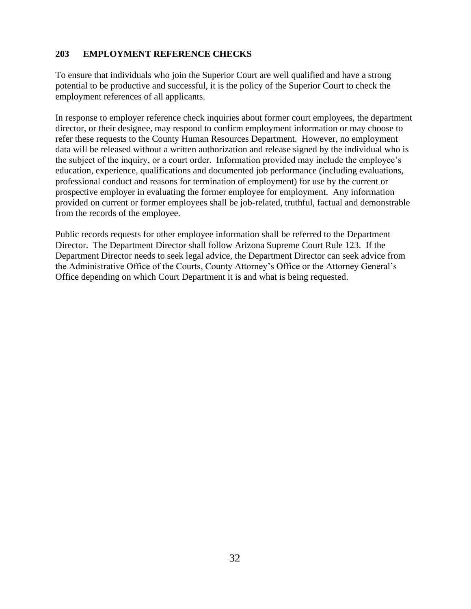# <span id="page-31-0"></span>**203 EMPLOYMENT REFERENCE CHECKS**

To ensure that individuals who join the Superior Court are well qualified and have a strong potential to be productive and successful, it is the policy of the Superior Court to check the employment references of all applicants.

In response to employer reference check inquiries about former court employees, the department director, or their designee, may respond to confirm employment information or may choose to refer these requests to the County Human Resources Department. However, no employment data will be released without a written authorization and release signed by the individual who is the subject of the inquiry, or a court order. Information provided may include the employee's education, experience, qualifications and documented job performance (including evaluations, professional conduct and reasons for termination of employment) for use by the current or prospective employer in evaluating the former employee for employment. Any information provided on current or former employees shall be job-related, truthful, factual and demonstrable from the records of the employee.

Public records requests for other employee information shall be referred to the Department Director. The Department Director shall follow Arizona Supreme Court Rule 123. If the Department Director needs to seek legal advice, the Department Director can seek advice from the Administrative Office of the Courts, County Attorney's Office or the Attorney General's Office depending on which Court Department it is and what is being requested.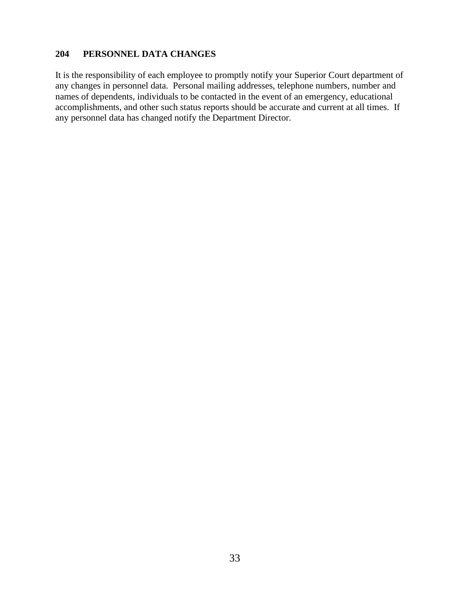#### <span id="page-32-0"></span>**204 PERSONNEL DATA CHANGES**

It is the responsibility of each employee to promptly notify your Superior Court department of any changes in personnel data. Personal mailing addresses, telephone numbers, number and names of dependents, individuals to be contacted in the event of an emergency, educational accomplishments, and other such status reports should be accurate and current at all times. If any personnel data has changed notify the Department Director.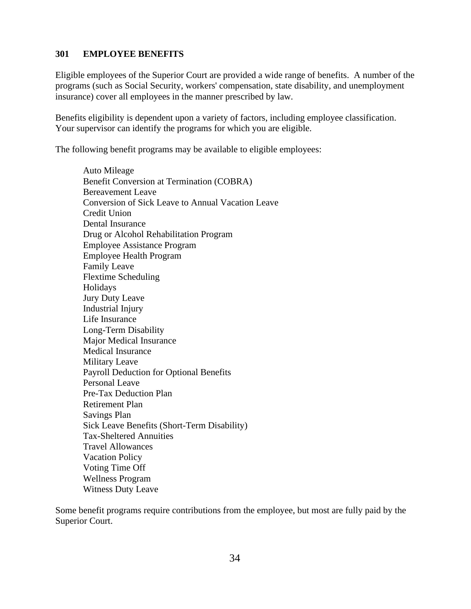#### <span id="page-33-0"></span>**301 EMPLOYEE BENEFITS**

Eligible employees of the Superior Court are provided a wide range of benefits. A number of the programs (such as Social Security, workers' compensation, state disability, and unemployment insurance) cover all employees in the manner prescribed by law.

Benefits eligibility is dependent upon a variety of factors, including employee classification. Your supervisor can identify the programs for which you are eligible.

The following benefit programs may be available to eligible employees:

Auto Mileage Benefit Conversion at Termination (COBRA) Bereavement Leave Conversion of Sick Leave to Annual Vacation Leave Credit Union Dental Insurance Drug or Alcohol Rehabilitation Program Employee Assistance Program Employee Health Program Family Leave Flextime Scheduling Holidays Jury Duty Leave Industrial Injury Life Insurance Long-Term Disability Major Medical Insurance Medical Insurance Military Leave Payroll Deduction for Optional Benefits Personal Leave Pre-Tax Deduction Plan Retirement Plan Savings Plan Sick Leave Benefits (Short-Term Disability) Tax-Sheltered Annuities Travel Allowances Vacation Policy Voting Time Off Wellness Program Witness Duty Leave

Some benefit programs require contributions from the employee, but most are fully paid by the Superior Court.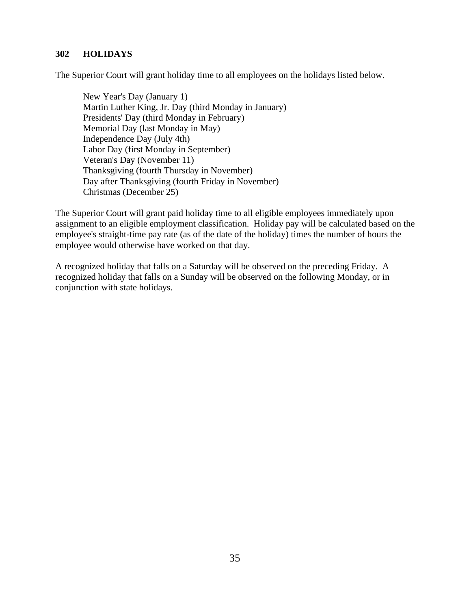#### <span id="page-34-0"></span>**302 HOLIDAYS**

The Superior Court will grant holiday time to all employees on the holidays listed below.

New Year's Day (January 1) Martin Luther King, Jr. Day (third Monday in January) Presidents' Day (third Monday in February) Memorial Day (last Monday in May) Independence Day (July 4th) Labor Day (first Monday in September) Veteran's Day (November 11) Thanksgiving (fourth Thursday in November) Day after Thanksgiving (fourth Friday in November) Christmas (December 25)

The Superior Court will grant paid holiday time to all eligible employees immediately upon assignment to an eligible employment classification. Holiday pay will be calculated based on the employee's straight-time pay rate (as of the date of the holiday) times the number of hours the employee would otherwise have worked on that day.

A recognized holiday that falls on a Saturday will be observed on the preceding Friday. A recognized holiday that falls on a Sunday will be observed on the following Monday, or in conjunction with state holidays.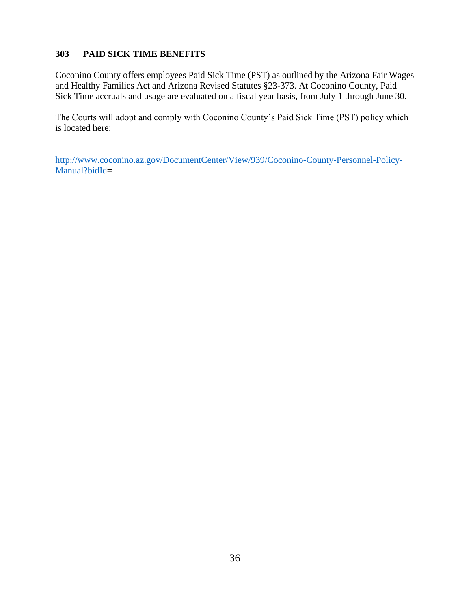# <span id="page-35-0"></span>**303 PAID SICK TIME BENEFITS**

Coconino County offers employees Paid Sick Time (PST) as outlined by the Arizona Fair Wages and Healthy Families Act and Arizona Revised Statutes §23-373. At Coconino County, Paid Sick Time accruals and usage are evaluated on a fiscal year basis, from July 1 through June 30.

The Courts will adopt and comply with Coconino County's Paid Sick Time (PST) policy which is located here:

[http://www.coconino.az.gov/DocumentCenter/View/939/Coconino-County-Personnel-Policy-](http://www.coconino.az.gov/DocumentCenter/View/939/Coconino-County-Personnel-Policy-Manual?bidId)[Manual?bidId](http://www.coconino.az.gov/DocumentCenter/View/939/Coconino-County-Personnel-Policy-Manual?bidId)**=**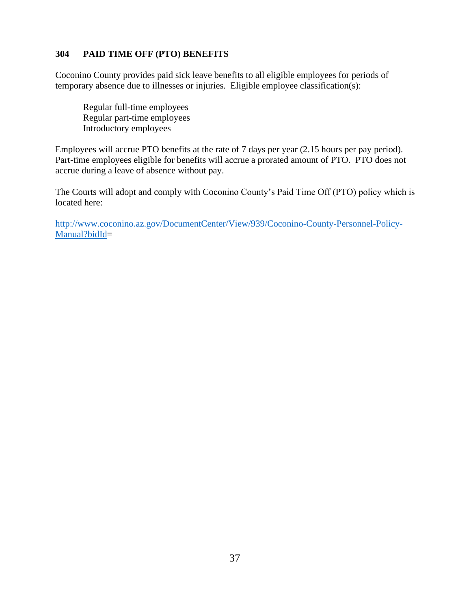### **304 PAID TIME OFF (PTO) BENEFITS**

Coconino County provides paid sick leave benefits to all eligible employees for periods of temporary absence due to illnesses or injuries. Eligible employee classification(s):

Regular full-time employees Regular part-time employees Introductory employees

Employees will accrue PTO benefits at the rate of 7 days per year (2.15 hours per pay period). Part-time employees eligible for benefits will accrue a prorated amount of PTO. PTO does not accrue during a leave of absence without pay.

The Courts will adopt and comply with Coconino County's Paid Time Off (PTO) policy which is located here: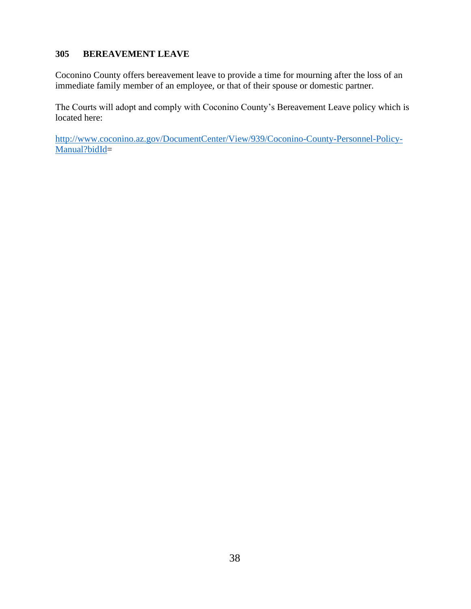### **305 BEREAVEMENT LEAVE**

Coconino County offers bereavement leave to provide a time for mourning after the loss of an immediate family member of an employee, or that of their spouse or domestic partner.

The Courts will adopt and comply with Coconino County's Bereavement Leave policy which is located here: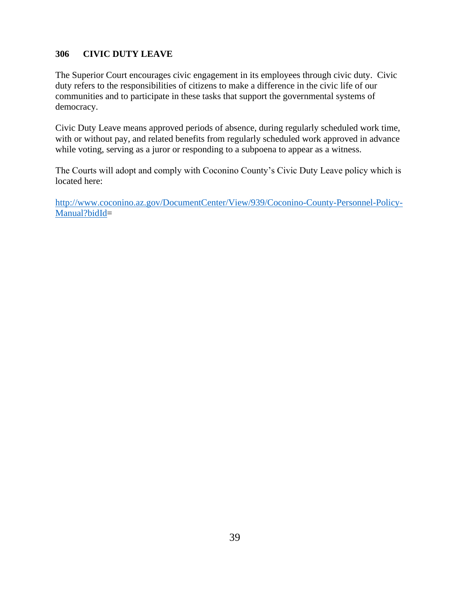### **306 CIVIC DUTY LEAVE**

The Superior Court encourages civic engagement in its employees through civic duty. Civic duty refers to the responsibilities of citizens to make a difference in the civic life of our communities and to participate in these tasks that support the governmental systems of democracy.

Civic Duty Leave means approved periods of absence, during regularly scheduled work time, with or without pay, and related benefits from regularly scheduled work approved in advance while voting, serving as a juror or responding to a subpoena to appear as a witness.

The Courts will adopt and comply with Coconino County's Civic Duty Leave policy which is located here: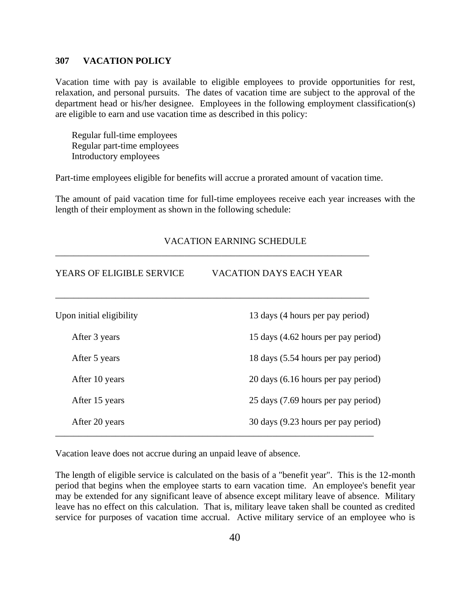### **307 VACATION POLICY**

Vacation time with pay is available to eligible employees to provide opportunities for rest, relaxation, and personal pursuits. The dates of vacation time are subject to the approval of the department head or his/her designee. Employees in the following employment classification(s) are eligible to earn and use vacation time as described in this policy:

Regular full-time employees Regular part-time employees Introductory employees

Part-time employees eligible for benefits will accrue a prorated amount of vacation time.

The amount of paid vacation time for full-time employees receive each year increases with the length of their employment as shown in the following schedule:

| <b>YEARS OF ELIGIBLE SERVICE</b> | <b>VACATION DAYS EACH YEAR</b>      |
|----------------------------------|-------------------------------------|
| Upon initial eligibility         | 13 days (4 hours per pay period)    |
| After 3 years                    | 15 days (4.62 hours per pay period) |
| After 5 years                    | 18 days (5.54 hours per pay period) |
| After 10 years                   | 20 days (6.16 hours per pay period) |
| After 15 years                   | 25 days (7.69 hours per pay period) |
| After 20 years                   | 30 days (9.23 hours per pay period) |

VACATION EARNING SCHEDULE

Vacation leave does not accrue during an unpaid leave of absence.

The length of eligible service is calculated on the basis of a "benefit year". This is the 12-month period that begins when the employee starts to earn vacation time. An employee's benefit year may be extended for any significant leave of absence except military leave of absence. Military leave has no effect on this calculation. That is, military leave taken shall be counted as credited service for purposes of vacation time accrual. Active military service of an employee who is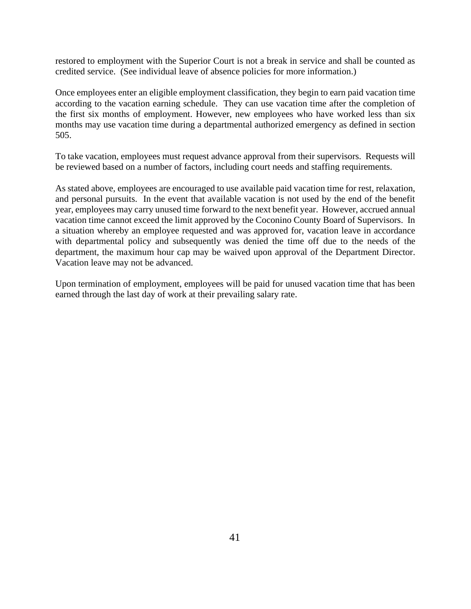restored to employment with the Superior Court is not a break in service and shall be counted as credited service. (See individual leave of absence policies for more information.)

Once employees enter an eligible employment classification, they begin to earn paid vacation time according to the vacation earning schedule. They can use vacation time after the completion of the first six months of employment. However, new employees who have worked less than six months may use vacation time during a departmental authorized emergency as defined in section 505.

To take vacation, employees must request advance approval from their supervisors. Requests will be reviewed based on a number of factors, including court needs and staffing requirements.

As stated above, employees are encouraged to use available paid vacation time for rest, relaxation, and personal pursuits. In the event that available vacation is not used by the end of the benefit year, employees may carry unused time forward to the next benefit year. However, accrued annual vacation time cannot exceed the limit approved by the Coconino County Board of Supervisors. In a situation whereby an employee requested and was approved for, vacation leave in accordance with departmental policy and subsequently was denied the time off due to the needs of the department, the maximum hour cap may be waived upon approval of the Department Director. Vacation leave may not be advanced.

Upon termination of employment, employees will be paid for unused vacation time that has been earned through the last day of work at their prevailing salary rate.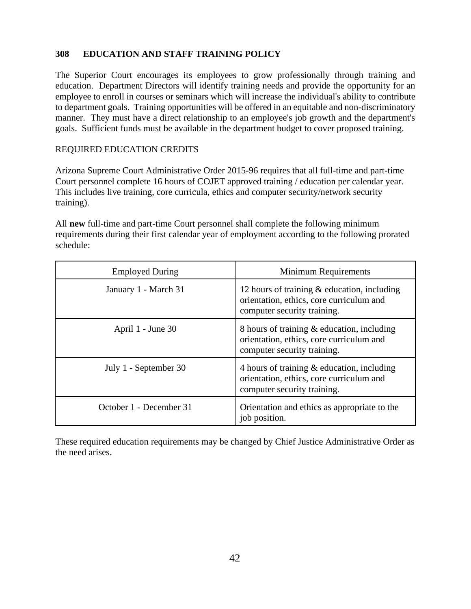### **308 EDUCATION AND STAFF TRAINING POLICY**

The Superior Court encourages its employees to grow professionally through training and education. Department Directors will identify training needs and provide the opportunity for an employee to enroll in courses or seminars which will increase the individual's ability to contribute to department goals. Training opportunities will be offered in an equitable and non-discriminatory manner. They must have a direct relationship to an employee's job growth and the department's goals. Sufficient funds must be available in the department budget to cover proposed training.

### REQUIRED EDUCATION CREDITS

Arizona Supreme Court Administrative Order 2015-96 requires that all full-time and part-time Court personnel complete 16 hours of COJET approved training / education per calendar year. This includes live training, core curricula, ethics and computer security/network security training).

All **new** full-time and part-time Court personnel shall complete the following minimum requirements during their first calendar year of employment according to the following prorated schedule:

| <b>Employed During</b>  | <b>Minimum Requirements</b>                                                                                               |
|-------------------------|---------------------------------------------------------------------------------------------------------------------------|
| January 1 - March 31    | 12 hours of training $\&$ education, including<br>orientation, ethics, core curriculum and<br>computer security training. |
| April 1 - June 30       | 8 hours of training & education, including<br>orientation, ethics, core curriculum and<br>computer security training.     |
| July 1 - September 30   | 4 hours of training $\&$ education, including<br>orientation, ethics, core curriculum and<br>computer security training.  |
| October 1 - December 31 | Orientation and ethics as appropriate to the<br>job position.                                                             |

These required education requirements may be changed by Chief Justice Administrative Order as the need arises.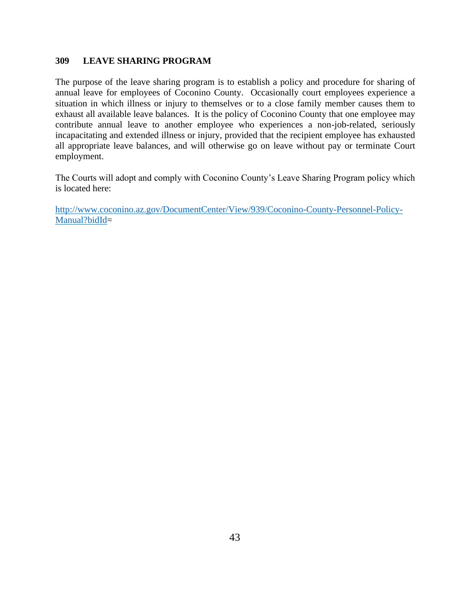### **309 LEAVE SHARING PROGRAM**

The purpose of the leave sharing program is to establish a policy and procedure for sharing of annual leave for employees of Coconino County. Occasionally court employees experience a situation in which illness or injury to themselves or to a close family member causes them to exhaust all available leave balances. It is the policy of Coconino County that one employee may contribute annual leave to another employee who experiences a non-job-related, seriously incapacitating and extended illness or injury, provided that the recipient employee has exhausted all appropriate leave balances, and will otherwise go on leave without pay or terminate Court employment.

The Courts will adopt and comply with Coconino County's Leave Sharing Program policy which is located here: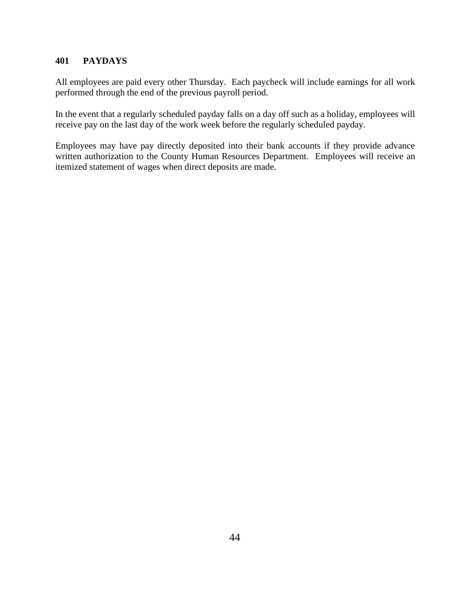## **401 PAYDAYS**

All employees are paid every other Thursday. Each paycheck will include earnings for all work performed through the end of the previous payroll period.

In the event that a regularly scheduled payday falls on a day off such as a holiday, employees will receive pay on the last day of the work week before the regularly scheduled payday.

Employees may have pay directly deposited into their bank accounts if they provide advance written authorization to the County Human Resources Department. Employees will receive an itemized statement of wages when direct deposits are made.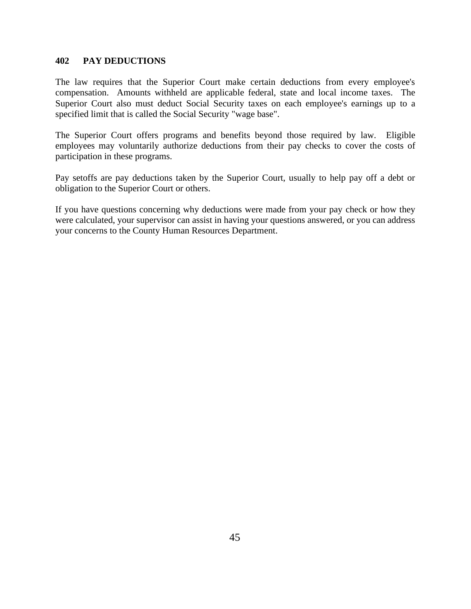### **402 PAY DEDUCTIONS**

The law requires that the Superior Court make certain deductions from every employee's compensation. Amounts withheld are applicable federal, state and local income taxes. The Superior Court also must deduct Social Security taxes on each employee's earnings up to a specified limit that is called the Social Security "wage base".

The Superior Court offers programs and benefits beyond those required by law. Eligible employees may voluntarily authorize deductions from their pay checks to cover the costs of participation in these programs.

Pay setoffs are pay deductions taken by the Superior Court, usually to help pay off a debt or obligation to the Superior Court or others.

If you have questions concerning why deductions were made from your pay check or how they were calculated, your supervisor can assist in having your questions answered, or you can address your concerns to the County Human Resources Department.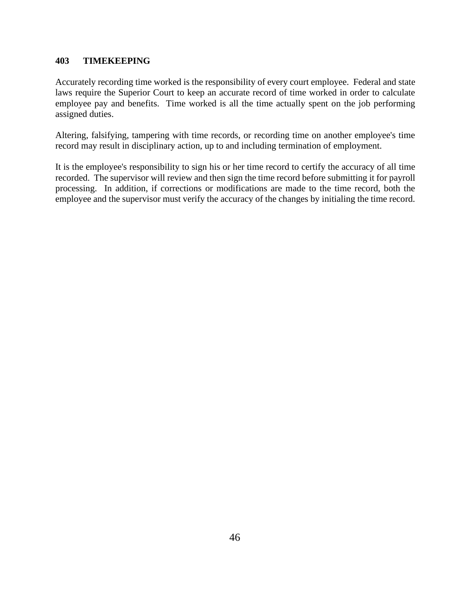### **403 TIMEKEEPING**

Accurately recording time worked is the responsibility of every court employee. Federal and state laws require the Superior Court to keep an accurate record of time worked in order to calculate employee pay and benefits. Time worked is all the time actually spent on the job performing assigned duties.

Altering, falsifying, tampering with time records, or recording time on another employee's time record may result in disciplinary action, up to and including termination of employment.

It is the employee's responsibility to sign his or her time record to certify the accuracy of all time recorded. The supervisor will review and then sign the time record before submitting it for payroll processing. In addition, if corrections or modifications are made to the time record, both the employee and the supervisor must verify the accuracy of the changes by initialing the time record.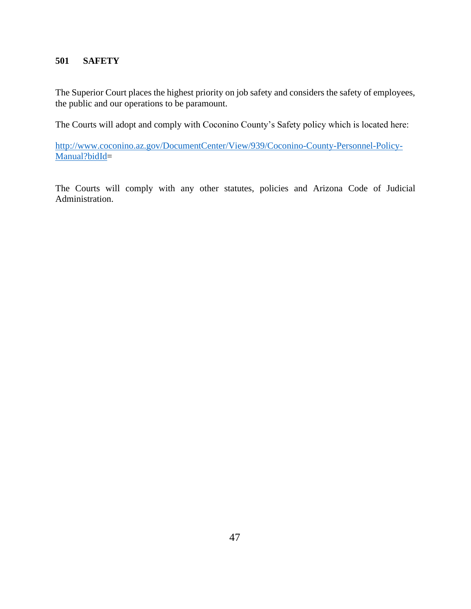### **501 SAFETY**

The Superior Court places the highest priority on job safety and considers the safety of employees, the public and our operations to be paramount.

The Courts will adopt and comply with Coconino County's Safety policy which is located here:

[http://www.coconino.az.gov/DocumentCenter/View/939/Coconino-County-Personnel-Policy-](http://www.coconino.az.gov/DocumentCenter/View/939/Coconino-County-Personnel-Policy-Manual?bidId)[Manual?bidId=](http://www.coconino.az.gov/DocumentCenter/View/939/Coconino-County-Personnel-Policy-Manual?bidId)

The Courts will comply with any other statutes, policies and Arizona Code of Judicial Administration.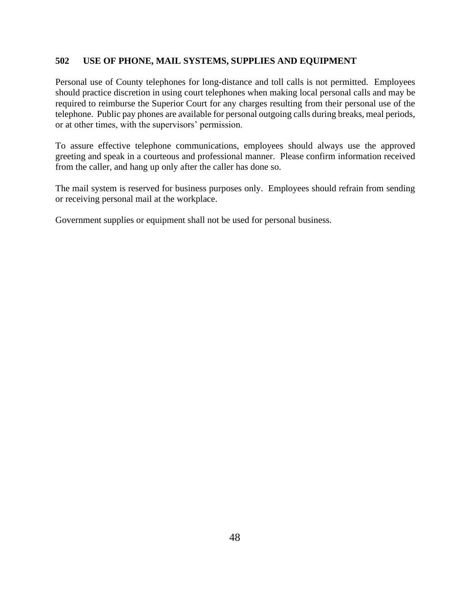### **502 USE OF PHONE, MAIL SYSTEMS, SUPPLIES AND EQUIPMENT**

Personal use of County telephones for long-distance and toll calls is not permitted. Employees should practice discretion in using court telephones when making local personal calls and may be required to reimburse the Superior Court for any charges resulting from their personal use of the telephone. Public pay phones are available for personal outgoing calls during breaks, meal periods, or at other times, with the supervisors' permission.

To assure effective telephone communications, employees should always use the approved greeting and speak in a courteous and professional manner. Please confirm information received from the caller, and hang up only after the caller has done so.

The mail system is reserved for business purposes only. Employees should refrain from sending or receiving personal mail at the workplace.

Government supplies or equipment shall not be used for personal business.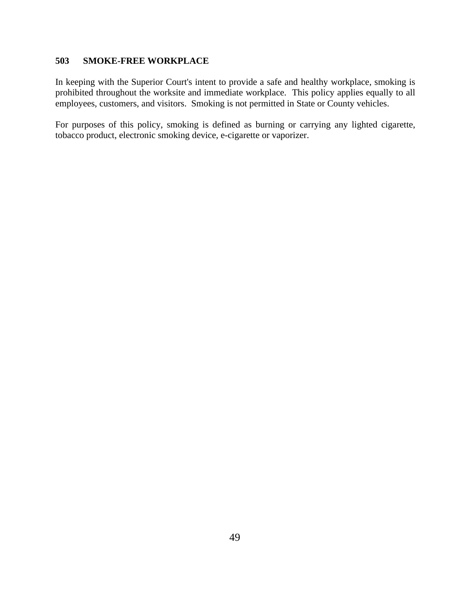### **503 SMOKE-FREE WORKPLACE**

In keeping with the Superior Court's intent to provide a safe and healthy workplace, smoking is prohibited throughout the worksite and immediate workplace. This policy applies equally to all employees, customers, and visitors. Smoking is not permitted in State or County vehicles.

For purposes of this policy, smoking is defined as burning or carrying any lighted cigarette, tobacco product, electronic smoking device, e-cigarette or vaporizer.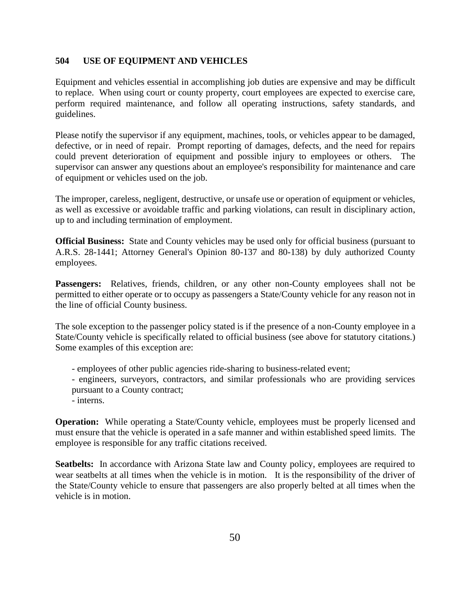### **504 USE OF EQUIPMENT AND VEHICLES**

Equipment and vehicles essential in accomplishing job duties are expensive and may be difficult to replace. When using court or county property, court employees are expected to exercise care, perform required maintenance, and follow all operating instructions, safety standards, and guidelines.

Please notify the supervisor if any equipment, machines, tools, or vehicles appear to be damaged, defective, or in need of repair. Prompt reporting of damages, defects, and the need for repairs could prevent deterioration of equipment and possible injury to employees or others. The supervisor can answer any questions about an employee's responsibility for maintenance and care of equipment or vehicles used on the job.

The improper, careless, negligent, destructive, or unsafe use or operation of equipment or vehicles, as well as excessive or avoidable traffic and parking violations, can result in disciplinary action, up to and including termination of employment.

**Official Business:** State and County vehicles may be used only for official business (pursuant to A.R.S. 28-1441; Attorney General's Opinion 80-137 and 80-138) by duly authorized County employees.

Passengers: Relatives, friends, children, or any other non-County employees shall not be permitted to either operate or to occupy as passengers a State/County vehicle for any reason not in the line of official County business.

The sole exception to the passenger policy stated is if the presence of a non-County employee in a State/County vehicle is specifically related to official business (see above for statutory citations.) Some examples of this exception are:

- employees of other public agencies ride-sharing to business-related event;
- engineers, surveyors, contractors, and similar professionals who are providing services pursuant to a County contract;
- interns.

**Operation:** While operating a State/County vehicle, employees must be properly licensed and must ensure that the vehicle is operated in a safe manner and within established speed limits. The employee is responsible for any traffic citations received.

**Seatbelts:** In accordance with Arizona State law and County policy, employees are required to wear seatbelts at all times when the vehicle is in motion. It is the responsibility of the driver of the State/County vehicle to ensure that passengers are also properly belted at all times when the vehicle is in motion.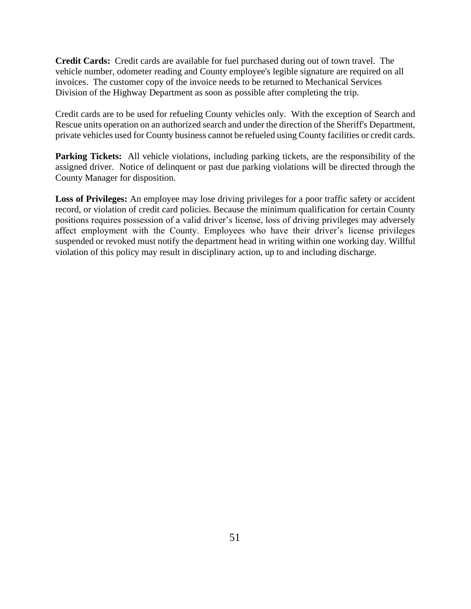**Credit Cards:** Credit cards are available for fuel purchased during out of town travel. The vehicle number, odometer reading and County employee's legible signature are required on all invoices. The customer copy of the invoice needs to be returned to Mechanical Services Division of the Highway Department as soon as possible after completing the trip.

Credit cards are to be used for refueling County vehicles only. With the exception of Search and Rescue units operation on an authorized search and under the direction of the Sheriff's Department, private vehicles used for County business cannot be refueled using County facilities or credit cards.

**Parking Tickets:** All vehicle violations, including parking tickets, are the responsibility of the assigned driver. Notice of delinquent or past due parking violations will be directed through the County Manager for disposition.

**Loss of Privileges:** An employee may lose driving privileges for a poor traffic safety or accident record, or violation of credit card policies. Because the minimum qualification for certain County positions requires possession of a valid driver's license, loss of driving privileges may adversely affect employment with the County. Employees who have their driver's license privileges suspended or revoked must notify the department head in writing within one working day. Willful violation of this policy may result in disciplinary action, up to and including discharge.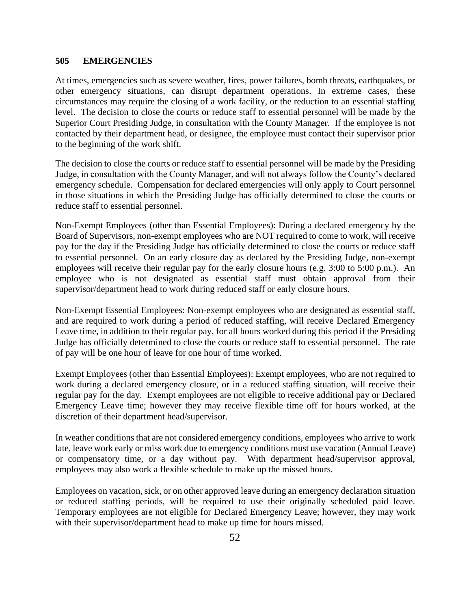#### **505 EMERGENCIES**

At times, emergencies such as severe weather, fires, power failures, bomb threats, earthquakes, or other emergency situations, can disrupt department operations. In extreme cases, these circumstances may require the closing of a work facility, or the reduction to an essential staffing level. The decision to close the courts or reduce staff to essential personnel will be made by the Superior Court Presiding Judge, in consultation with the County Manager. If the employee is not contacted by their department head, or designee, the employee must contact their supervisor prior to the beginning of the work shift.

The decision to close the courts or reduce staff to essential personnel will be made by the Presiding Judge, in consultation with the County Manager, and will not always follow the County's declared emergency schedule. Compensation for declared emergencies will only apply to Court personnel in those situations in which the Presiding Judge has officially determined to close the courts or reduce staff to essential personnel.

Non-Exempt Employees (other than Essential Employees): During a declared emergency by the Board of Supervisors, non-exempt employees who are NOT required to come to work, will receive pay for the day if the Presiding Judge has officially determined to close the courts or reduce staff to essential personnel. On an early closure day as declared by the Presiding Judge, non-exempt employees will receive their regular pay for the early closure hours (e.g. 3:00 to 5:00 p.m.). An employee who is not designated as essential staff must obtain approval from their supervisor/department head to work during reduced staff or early closure hours.

Non-Exempt Essential Employees: Non-exempt employees who are designated as essential staff, and are required to work during a period of reduced staffing, will receive Declared Emergency Leave time, in addition to their regular pay, for all hours worked during this period if the Presiding Judge has officially determined to close the courts or reduce staff to essential personnel. The rate of pay will be one hour of leave for one hour of time worked.

Exempt Employees (other than Essential Employees): Exempt employees, who are not required to work during a declared emergency closure, or in a reduced staffing situation, will receive their regular pay for the day. Exempt employees are not eligible to receive additional pay or Declared Emergency Leave time; however they may receive flexible time off for hours worked, at the discretion of their department head/supervisor.

In weather conditions that are not considered emergency conditions, employees who arrive to work late, leave work early or miss work due to emergency conditions must use vacation (Annual Leave) or compensatory time, or a day without pay. With department head/supervisor approval, employees may also work a flexible schedule to make up the missed hours.

Employees on vacation, sick, or on other approved leave during an emergency declaration situation or reduced staffing periods, will be required to use their originally scheduled paid leave. Temporary employees are not eligible for Declared Emergency Leave; however, they may work with their supervisor/department head to make up time for hours missed.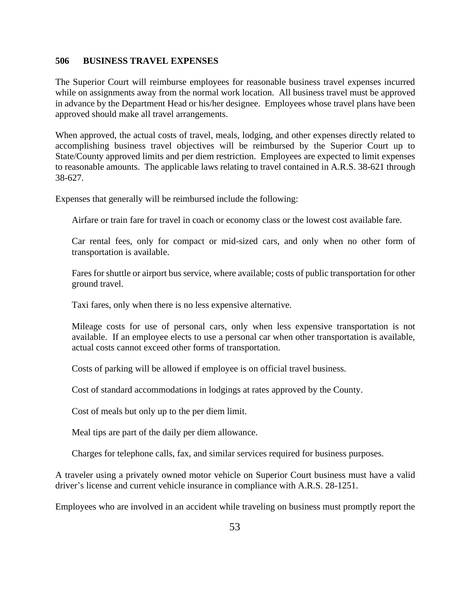#### **506 BUSINESS TRAVEL EXPENSES**

The Superior Court will reimburse employees for reasonable business travel expenses incurred while on assignments away from the normal work location. All business travel must be approved in advance by the Department Head or his/her designee. Employees whose travel plans have been approved should make all travel arrangements.

When approved, the actual costs of travel, meals, lodging, and other expenses directly related to accomplishing business travel objectives will be reimbursed by the Superior Court up to State/County approved limits and per diem restriction. Employees are expected to limit expenses to reasonable amounts. The applicable laws relating to travel contained in A.R.S. 38-621 through 38-627.

Expenses that generally will be reimbursed include the following:

Airfare or train fare for travel in coach or economy class or the lowest cost available fare.

Car rental fees, only for compact or mid-sized cars, and only when no other form of transportation is available.

Fares for shuttle or airport bus service, where available; costs of public transportation for other ground travel.

Taxi fares, only when there is no less expensive alternative.

Mileage costs for use of personal cars, only when less expensive transportation is not available. If an employee elects to use a personal car when other transportation is available, actual costs cannot exceed other forms of transportation.

Costs of parking will be allowed if employee is on official travel business.

Cost of standard accommodations in lodgings at rates approved by the County.

Cost of meals but only up to the per diem limit.

Meal tips are part of the daily per diem allowance.

Charges for telephone calls, fax, and similar services required for business purposes.

A traveler using a privately owned motor vehicle on Superior Court business must have a valid driver's license and current vehicle insurance in compliance with A.R.S. 28-1251.

Employees who are involved in an accident while traveling on business must promptly report the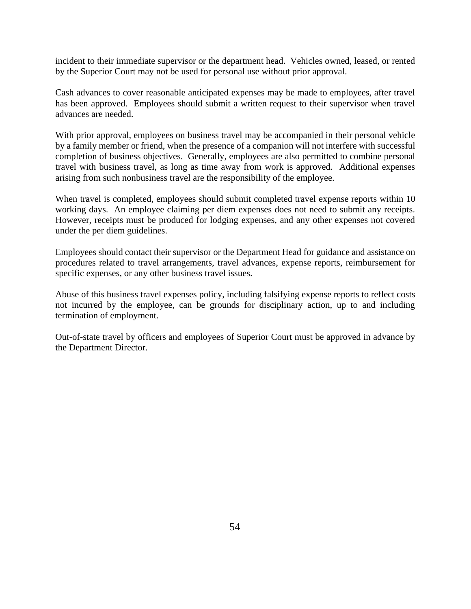incident to their immediate supervisor or the department head. Vehicles owned, leased, or rented by the Superior Court may not be used for personal use without prior approval.

Cash advances to cover reasonable anticipated expenses may be made to employees, after travel has been approved. Employees should submit a written request to their supervisor when travel advances are needed.

With prior approval, employees on business travel may be accompanied in their personal vehicle by a family member or friend, when the presence of a companion will not interfere with successful completion of business objectives. Generally, employees are also permitted to combine personal travel with business travel, as long as time away from work is approved. Additional expenses arising from such nonbusiness travel are the responsibility of the employee.

When travel is completed, employees should submit completed travel expense reports within 10 working days. An employee claiming per diem expenses does not need to submit any receipts. However, receipts must be produced for lodging expenses, and any other expenses not covered under the per diem guidelines.

Employees should contact their supervisor or the Department Head for guidance and assistance on procedures related to travel arrangements, travel advances, expense reports, reimbursement for specific expenses, or any other business travel issues.

Abuse of this business travel expenses policy, including falsifying expense reports to reflect costs not incurred by the employee, can be grounds for disciplinary action, up to and including termination of employment.

Out-of-state travel by officers and employees of Superior Court must be approved in advance by the Department Director.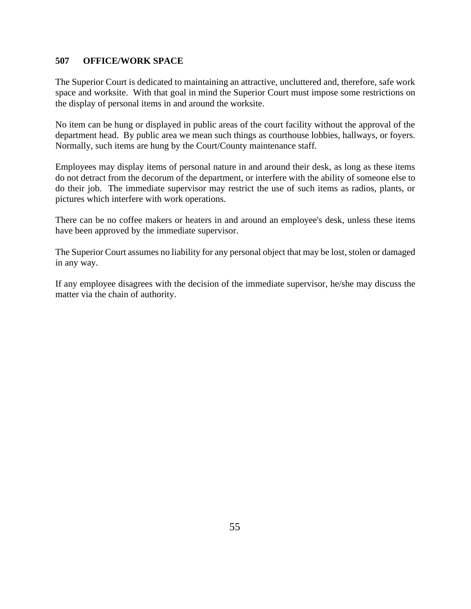### **507 OFFICE/WORK SPACE**

The Superior Court is dedicated to maintaining an attractive, uncluttered and, therefore, safe work space and worksite. With that goal in mind the Superior Court must impose some restrictions on the display of personal items in and around the worksite.

No item can be hung or displayed in public areas of the court facility without the approval of the department head. By public area we mean such things as courthouse lobbies, hallways, or foyers. Normally, such items are hung by the Court/County maintenance staff.

Employees may display items of personal nature in and around their desk, as long as these items do not detract from the decorum of the department, or interfere with the ability of someone else to do their job. The immediate supervisor may restrict the use of such items as radios, plants, or pictures which interfere with work operations.

There can be no coffee makers or heaters in and around an employee's desk, unless these items have been approved by the immediate supervisor.

The Superior Court assumes no liability for any personal object that may be lost, stolen or damaged in any way.

If any employee disagrees with the decision of the immediate supervisor, he/she may discuss the matter via the chain of authority.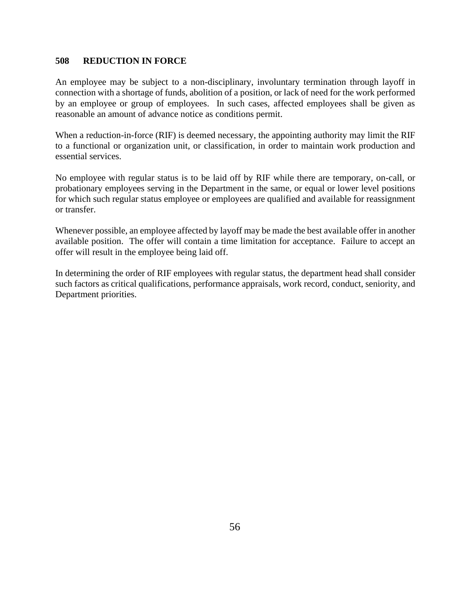### **508 REDUCTION IN FORCE**

An employee may be subject to a non-disciplinary, involuntary termination through layoff in connection with a shortage of funds, abolition of a position, or lack of need for the work performed by an employee or group of employees. In such cases, affected employees shall be given as reasonable an amount of advance notice as conditions permit.

When a reduction-in-force (RIF) is deemed necessary, the appointing authority may limit the RIF to a functional or organization unit, or classification, in order to maintain work production and essential services.

No employee with regular status is to be laid off by RIF while there are temporary, on-call, or probationary employees serving in the Department in the same, or equal or lower level positions for which such regular status employee or employees are qualified and available for reassignment or transfer.

Whenever possible, an employee affected by layoff may be made the best available offer in another available position. The offer will contain a time limitation for acceptance. Failure to accept an offer will result in the employee being laid off.

In determining the order of RIF employees with regular status, the department head shall consider such factors as critical qualifications, performance appraisals, work record, conduct, seniority, and Department priorities.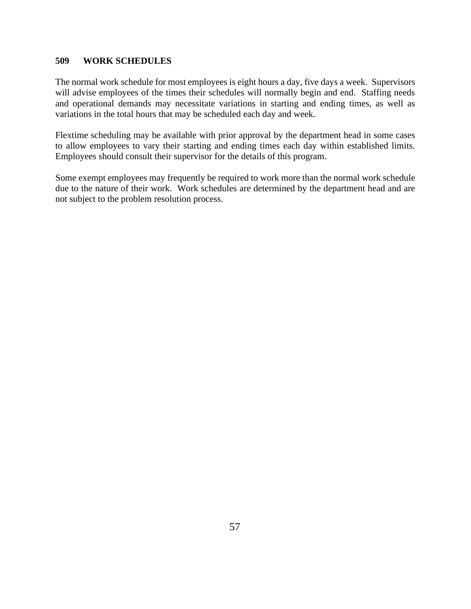### **509 WORK SCHEDULES**

The normal work schedule for most employees is eight hours a day, five days a week. Supervisors will advise employees of the times their schedules will normally begin and end. Staffing needs and operational demands may necessitate variations in starting and ending times, as well as variations in the total hours that may be scheduled each day and week.

Flextime scheduling may be available with prior approval by the department head in some cases to allow employees to vary their starting and ending times each day within established limits. Employees should consult their supervisor for the details of this program.

Some exempt employees may frequently be required to work more than the normal work schedule due to the nature of their work. Work schedules are determined by the department head and are not subject to the problem resolution process.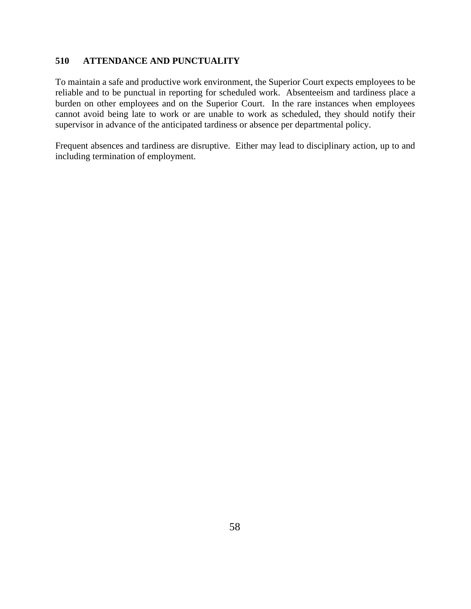### **510 ATTENDANCE AND PUNCTUALITY**

To maintain a safe and productive work environment, the Superior Court expects employees to be reliable and to be punctual in reporting for scheduled work. Absenteeism and tardiness place a burden on other employees and on the Superior Court. In the rare instances when employees cannot avoid being late to work or are unable to work as scheduled, they should notify their supervisor in advance of the anticipated tardiness or absence per departmental policy.

Frequent absences and tardiness are disruptive. Either may lead to disciplinary action, up to and including termination of employment.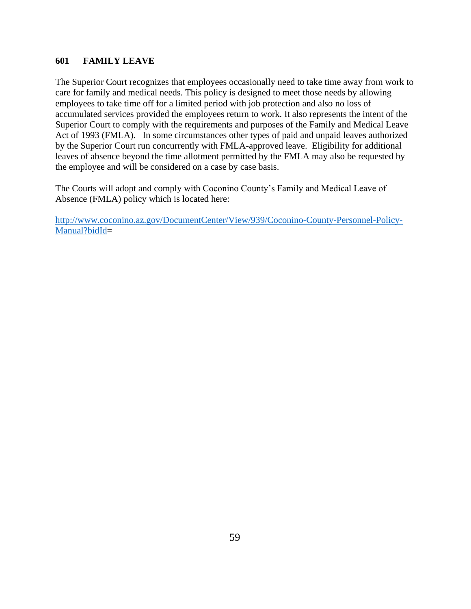### **601 FAMILY LEAVE**

The Superior Court recognizes that employees occasionally need to take time away from work to care for family and medical needs. This policy is designed to meet those needs by allowing employees to take time off for a limited period with job protection and also no loss of accumulated services provided the employees return to work. It also represents the intent of the Superior Court to comply with the requirements and purposes of the Family and Medical Leave Act of 1993 (FMLA). In some circumstances other types of paid and unpaid leaves authorized by the Superior Court run concurrently with FMLA-approved leave. Eligibility for additional leaves of absence beyond the time allotment permitted by the FMLA may also be requested by the employee and will be considered on a case by case basis.

The Courts will adopt and comply with Coconino County's Family and Medical Leave of Absence (FMLA) policy which is located here: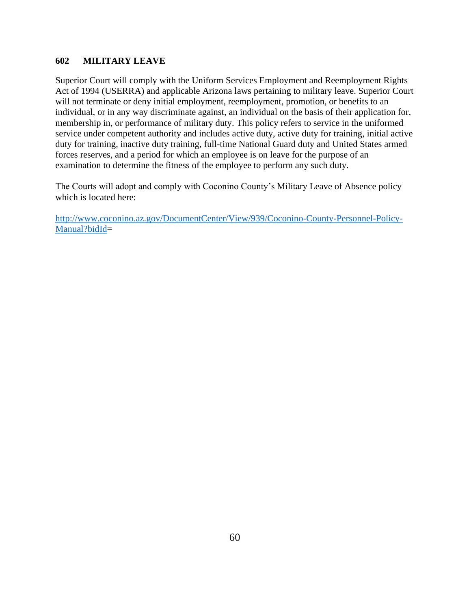### **602 MILITARY LEAVE**

Superior Court will comply with the Uniform Services Employment and Reemployment Rights Act of 1994 (USERRA) and applicable Arizona laws pertaining to military leave. Superior Court will not terminate or deny initial employment, reemployment, promotion, or benefits to an individual, or in any way discriminate against, an individual on the basis of their application for, membership in, or performance of military duty. This policy refers to service in the uniformed service under competent authority and includes active duty, active duty for training, initial active duty for training, inactive duty training, full-time National Guard duty and United States armed forces reserves, and a period for which an employee is on leave for the purpose of an examination to determine the fitness of the employee to perform any such duty.

The Courts will adopt and comply with Coconino County's Military Leave of Absence policy which is located here: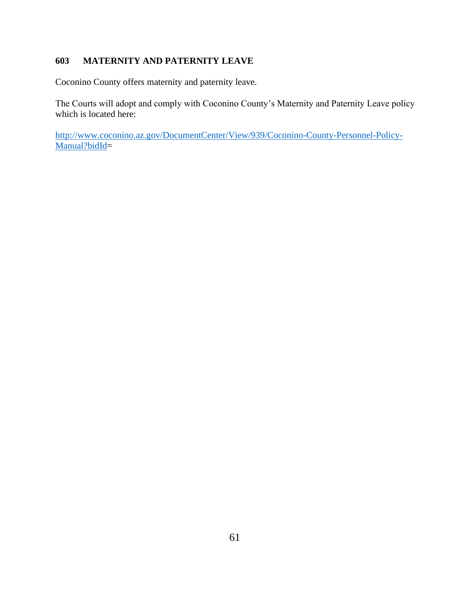# **603 MATERNITY AND PATERNITY LEAVE**

Coconino County offers maternity and paternity leave.

The Courts will adopt and comply with Coconino County's Maternity and Paternity Leave policy which is located here: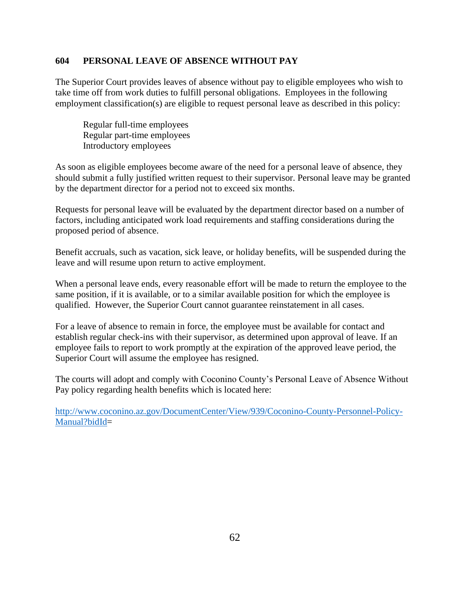#### **604 PERSONAL LEAVE OF ABSENCE WITHOUT PAY**

The Superior Court provides leaves of absence without pay to eligible employees who wish to take time off from work duties to fulfill personal obligations. Employees in the following employment classification(s) are eligible to request personal leave as described in this policy:

Regular full-time employees Regular part-time employees Introductory employees

As soon as eligible employees become aware of the need for a personal leave of absence, they should submit a fully justified written request to their supervisor. Personal leave may be granted by the department director for a period not to exceed six months.

Requests for personal leave will be evaluated by the department director based on a number of factors, including anticipated work load requirements and staffing considerations during the proposed period of absence.

Benefit accruals, such as vacation, sick leave, or holiday benefits, will be suspended during the leave and will resume upon return to active employment.

When a personal leave ends, every reasonable effort will be made to return the employee to the same position, if it is available, or to a similar available position for which the employee is qualified. However, the Superior Court cannot guarantee reinstatement in all cases.

For a leave of absence to remain in force, the employee must be available for contact and establish regular check-ins with their supervisor, as determined upon approval of leave. If an employee fails to report to work promptly at the expiration of the approved leave period, the Superior Court will assume the employee has resigned.

The courts will adopt and comply with Coconino County's Personal Leave of Absence Without Pay policy regarding health benefits which is located here: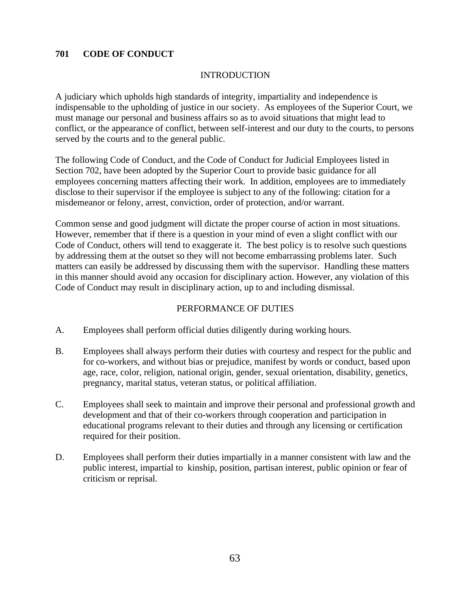### **701 CODE OF CONDUCT**

### INTRODUCTION

A judiciary which upholds high standards of integrity, impartiality and independence is indispensable to the upholding of justice in our society. As employees of the Superior Court, we must manage our personal and business affairs so as to avoid situations that might lead to conflict, or the appearance of conflict, between self-interest and our duty to the courts, to persons served by the courts and to the general public.

The following Code of Conduct, and the Code of Conduct for Judicial Employees listed in Section 702, have been adopted by the Superior Court to provide basic guidance for all employees concerning matters affecting their work. In addition, employees are to immediately disclose to their supervisor if the employee is subject to any of the following: citation for a misdemeanor or felony, arrest, conviction, order of protection, and/or warrant.

Common sense and good judgment will dictate the proper course of action in most situations. However, remember that if there is a question in your mind of even a slight conflict with our Code of Conduct, others will tend to exaggerate it. The best policy is to resolve such questions by addressing them at the outset so they will not become embarrassing problems later. Such matters can easily be addressed by discussing them with the supervisor. Handling these matters in this manner should avoid any occasion for disciplinary action. However, any violation of this Code of Conduct may result in disciplinary action, up to and including dismissal.

### PERFORMANCE OF DUTIES

- A. Employees shall perform official duties diligently during working hours.
- B. Employees shall always perform their duties with courtesy and respect for the public and for co-workers, and without bias or prejudice, manifest by words or conduct, based upon age, race, color, religion, national origin, gender, sexual orientation, disability, genetics, pregnancy, marital status, veteran status, or political affiliation.
- C. Employees shall seek to maintain and improve their personal and professional growth and development and that of their co-workers through cooperation and participation in educational programs relevant to their duties and through any licensing or certification required for their position.
- D. Employees shall perform their duties impartially in a manner consistent with law and the public interest, impartial to kinship, position, partisan interest, public opinion or fear of criticism or reprisal.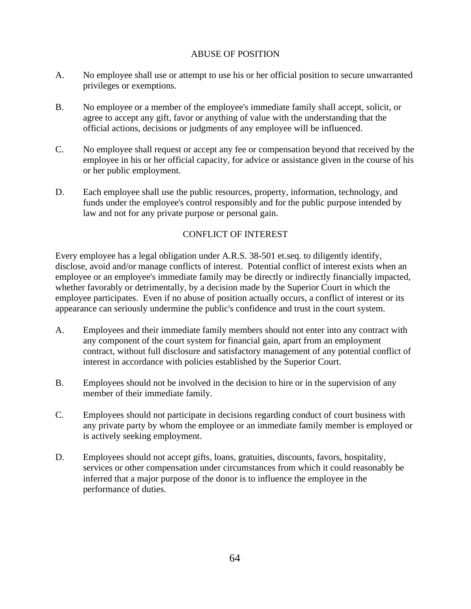### ABUSE OF POSITION

- A. No employee shall use or attempt to use his or her official position to secure unwarranted privileges or exemptions.
- B. No employee or a member of the employee's immediate family shall accept, solicit, or agree to accept any gift, favor or anything of value with the understanding that the official actions, decisions or judgments of any employee will be influenced.
- C. No employee shall request or accept any fee or compensation beyond that received by the employee in his or her official capacity, for advice or assistance given in the course of his or her public employment.
- D. Each employee shall use the public resources, property, information, technology, and funds under the employee's control responsibly and for the public purpose intended by law and not for any private purpose or personal gain.

## CONFLICT OF INTEREST

Every employee has a legal obligation under A.R.S. 38-501 et.seq. to diligently identify, disclose, avoid and/or manage conflicts of interest. Potential conflict of interest exists when an employee or an employee's immediate family may be directly or indirectly financially impacted, whether favorably or detrimentally, by a decision made by the Superior Court in which the employee participates. Even if no abuse of position actually occurs, a conflict of interest or its appearance can seriously undermine the public's confidence and trust in the court system.

- A. Employees and their immediate family members should not enter into any contract with any component of the court system for financial gain, apart from an employment contract, without full disclosure and satisfactory management of any potential conflict of interest in accordance with policies established by the Superior Court.
- B. Employees should not be involved in the decision to hire or in the supervision of any member of their immediate family.
- C. Employees should not participate in decisions regarding conduct of court business with any private party by whom the employee or an immediate family member is employed or is actively seeking employment.
- D. Employees should not accept gifts, loans, gratuities, discounts, favors, hospitality, services or other compensation under circumstances from which it could reasonably be inferred that a major purpose of the donor is to influence the employee in the performance of duties.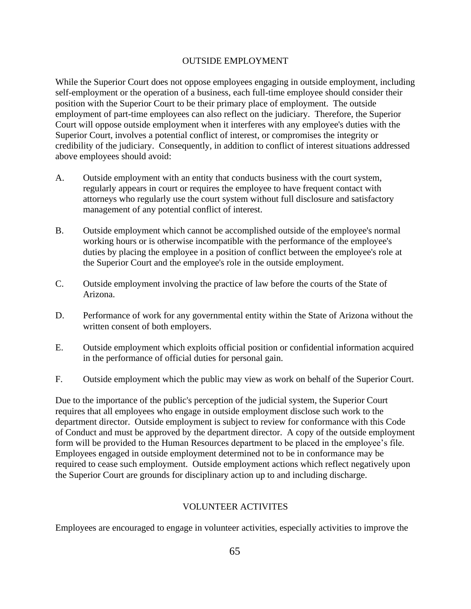### OUTSIDE EMPLOYMENT

While the Superior Court does not oppose employees engaging in outside employment, including self-employment or the operation of a business, each full-time employee should consider their position with the Superior Court to be their primary place of employment. The outside employment of part-time employees can also reflect on the judiciary. Therefore, the Superior Court will oppose outside employment when it interferes with any employee's duties with the Superior Court, involves a potential conflict of interest, or compromises the integrity or credibility of the judiciary. Consequently, in addition to conflict of interest situations addressed above employees should avoid:

- A. Outside employment with an entity that conducts business with the court system, regularly appears in court or requires the employee to have frequent contact with attorneys who regularly use the court system without full disclosure and satisfactory management of any potential conflict of interest.
- B. Outside employment which cannot be accomplished outside of the employee's normal working hours or is otherwise incompatible with the performance of the employee's duties by placing the employee in a position of conflict between the employee's role at the Superior Court and the employee's role in the outside employment.
- C. Outside employment involving the practice of law before the courts of the State of Arizona.
- D. Performance of work for any governmental entity within the State of Arizona without the written consent of both employers.
- E. Outside employment which exploits official position or confidential information acquired in the performance of official duties for personal gain.
- F. Outside employment which the public may view as work on behalf of the Superior Court.

Due to the importance of the public's perception of the judicial system, the Superior Court requires that all employees who engage in outside employment disclose such work to the department director. Outside employment is subject to review for conformance with this Code of Conduct and must be approved by the department director. A copy of the outside employment form will be provided to the Human Resources department to be placed in the employee's file. Employees engaged in outside employment determined not to be in conformance may be required to cease such employment. Outside employment actions which reflect negatively upon the Superior Court are grounds for disciplinary action up to and including discharge.

### VOLUNTEER ACTIVITES

Employees are encouraged to engage in volunteer activities, especially activities to improve the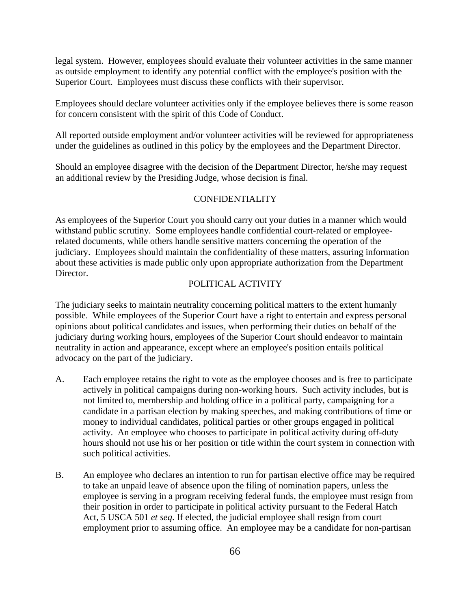legal system. However, employees should evaluate their volunteer activities in the same manner as outside employment to identify any potential conflict with the employee's position with the Superior Court. Employees must discuss these conflicts with their supervisor.

Employees should declare volunteer activities only if the employee believes there is some reason for concern consistent with the spirit of this Code of Conduct.

All reported outside employment and/or volunteer activities will be reviewed for appropriateness under the guidelines as outlined in this policy by the employees and the Department Director.

Should an employee disagree with the decision of the Department Director, he/she may request an additional review by the Presiding Judge, whose decision is final.

### CONFIDENTIALITY

As employees of the Superior Court you should carry out your duties in a manner which would withstand public scrutiny. Some employees handle confidential court-related or employeerelated documents, while others handle sensitive matters concerning the operation of the judiciary. Employees should maintain the confidentiality of these matters, assuring information about these activities is made public only upon appropriate authorization from the Department Director.

### POLITICAL ACTIVITY

The judiciary seeks to maintain neutrality concerning political matters to the extent humanly possible. While employees of the Superior Court have a right to entertain and express personal opinions about political candidates and issues, when performing their duties on behalf of the judiciary during working hours, employees of the Superior Court should endeavor to maintain neutrality in action and appearance, except where an employee's position entails political advocacy on the part of the judiciary.

- A. Each employee retains the right to vote as the employee chooses and is free to participate actively in political campaigns during non-working hours. Such activity includes, but is not limited to, membership and holding office in a political party, campaigning for a candidate in a partisan election by making speeches, and making contributions of time or money to individual candidates, political parties or other groups engaged in political activity. An employee who chooses to participate in political activity during off-duty hours should not use his or her position or title within the court system in connection with such political activities.
- B. An employee who declares an intention to run for partisan elective office may be required to take an unpaid leave of absence upon the filing of nomination papers, unless the employee is serving in a program receiving federal funds, the employee must resign from their position in order to participate in political activity pursuant to the Federal Hatch Act, 5 USCA 501 *et seq*. If elected, the judicial employee shall resign from court employment prior to assuming office. An employee may be a candidate for non-partisan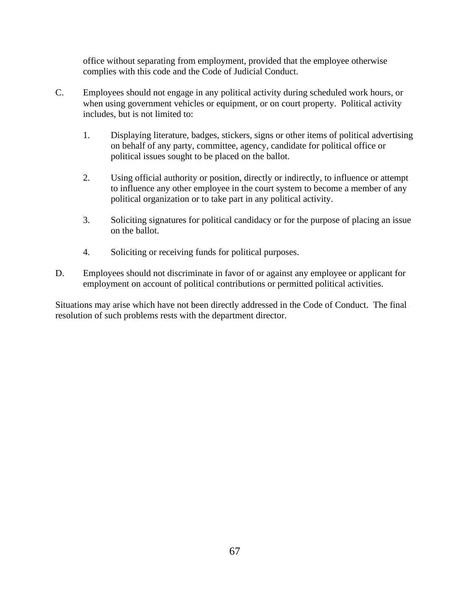office without separating from employment, provided that the employee otherwise complies with this code and the Code of Judicial Conduct.

- C. Employees should not engage in any political activity during scheduled work hours, or when using government vehicles or equipment, or on court property. Political activity includes, but is not limited to:
	- 1. Displaying literature, badges, stickers, signs or other items of political advertising on behalf of any party, committee, agency, candidate for political office or political issues sought to be placed on the ballot.
	- 2. Using official authority or position, directly or indirectly, to influence or attempt to influence any other employee in the court system to become a member of any political organization or to take part in any political activity.
	- 3. Soliciting signatures for political candidacy or for the purpose of placing an issue on the ballot.
	- 4. Soliciting or receiving funds for political purposes.
- D. Employees should not discriminate in favor of or against any employee or applicant for employment on account of political contributions or permitted political activities.

Situations may arise which have not been directly addressed in the Code of Conduct. The final resolution of such problems rests with the department director.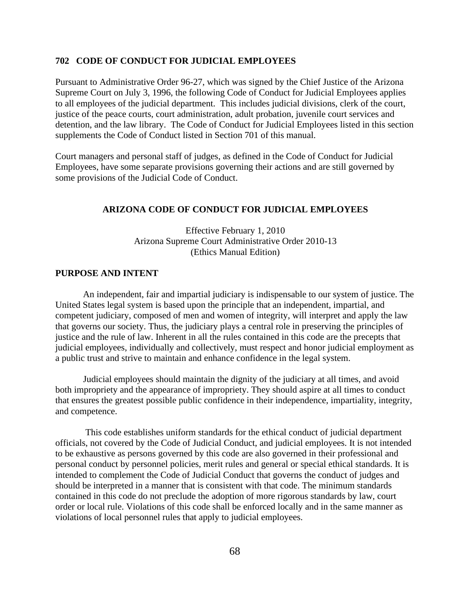#### **702 CODE OF CONDUCT FOR JUDICIAL EMPLOYEES**

Pursuant to Administrative Order 96-27, which was signed by the Chief Justice of the Arizona Supreme Court on July 3, 1996, the following Code of Conduct for Judicial Employees applies to all employees of the judicial department. This includes judicial divisions, clerk of the court, justice of the peace courts, court administration, adult probation, juvenile court services and detention, and the law library. The Code of Conduct for Judicial Employees listed in this section supplements the Code of Conduct listed in Section 701 of this manual.

Court managers and personal staff of judges, as defined in the Code of Conduct for Judicial Employees, have some separate provisions governing their actions and are still governed by some provisions of the Judicial Code of Conduct.

#### **ARIZONA CODE OF CONDUCT FOR JUDICIAL EMPLOYEES**

Effective February 1, 2010 Arizona Supreme Court Administrative Order 2010-13 (Ethics Manual Edition)

#### **PURPOSE AND INTENT**

An independent, fair and impartial judiciary is indispensable to our system of justice. The United States legal system is based upon the principle that an independent, impartial, and competent judiciary, composed of men and women of integrity, will interpret and apply the law that governs our society. Thus, the judiciary plays a central role in preserving the principles of justice and the rule of law. Inherent in all the rules contained in this code are the precepts that judicial employees, individually and collectively, must respect and honor judicial employment as a public trust and strive to maintain and enhance confidence in the legal system.

Judicial employees should maintain the dignity of the judiciary at all times, and avoid both impropriety and the appearance of impropriety. They should aspire at all times to conduct that ensures the greatest possible public confidence in their independence, impartiality, integrity, and competence.

This code establishes uniform standards for the ethical conduct of judicial department officials, not covered by the Code of Judicial Conduct, and judicial employees. It is not intended to be exhaustive as persons governed by this code are also governed in their professional and personal conduct by personnel policies, merit rules and general or special ethical standards. It is intended to complement the Code of Judicial Conduct that governs the conduct of judges and should be interpreted in a manner that is consistent with that code. The minimum standards contained in this code do not preclude the adoption of more rigorous standards by law, court order or local rule. Violations of this code shall be enforced locally and in the same manner as violations of local personnel rules that apply to judicial employees.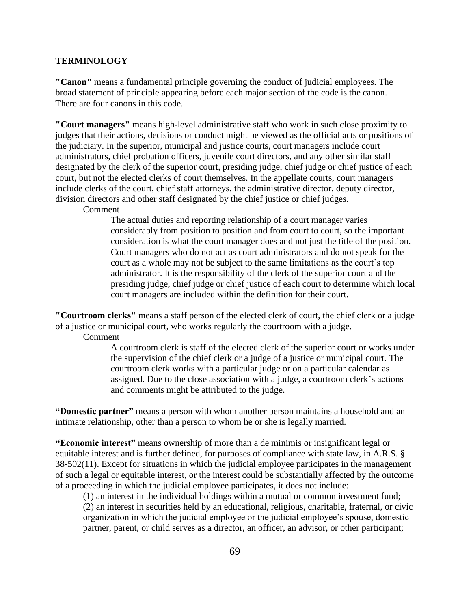#### **TERMINOLOGY**

**"Canon"** means a fundamental principle governing the conduct of judicial employees. The broad statement of principle appearing before each major section of the code is the canon. There are four canons in this code.

**"Court managers"** means high-level administrative staff who work in such close proximity to judges that their actions, decisions or conduct might be viewed as the official acts or positions of the judiciary. In the superior, municipal and justice courts, court managers include court administrators, chief probation officers, juvenile court directors, and any other similar staff designated by the clerk of the superior court, presiding judge, chief judge or chief justice of each court, but not the elected clerks of court themselves. In the appellate courts, court managers include clerks of the court, chief staff attorneys, the administrative director, deputy director, division directors and other staff designated by the chief justice or chief judges.

Comment

The actual duties and reporting relationship of a court manager varies considerably from position to position and from court to court, so the important consideration is what the court manager does and not just the title of the position. Court managers who do not act as court administrators and do not speak for the court as a whole may not be subject to the same limitations as the court's top administrator. It is the responsibility of the clerk of the superior court and the presiding judge, chief judge or chief justice of each court to determine which local court managers are included within the definition for their court.

**"Courtroom clerks"** means a staff person of the elected clerk of court, the chief clerk or a judge of a justice or municipal court, who works regularly the courtroom with a judge.

Comment

A courtroom clerk is staff of the elected clerk of the superior court or works under the supervision of the chief clerk or a judge of a justice or municipal court. The courtroom clerk works with a particular judge or on a particular calendar as assigned. Due to the close association with a judge, a courtroom clerk's actions and comments might be attributed to the judge.

**"Domestic partner"** means a person with whom another person maintains a household and an intimate relationship, other than a person to whom he or she is legally married.

**"Economic interest"** means ownership of more than a de minimis or insignificant legal or equitable interest and is further defined, for purposes of compliance with state law, in A.R.S. § 38-502(11). Except for situations in which the judicial employee participates in the management of such a legal or equitable interest, or the interest could be substantially affected by the outcome of a proceeding in which the judicial employee participates, it does not include:

(1) an interest in the individual holdings within a mutual or common investment fund; (2) an interest in securities held by an educational, religious, charitable, fraternal, or civic organization in which the judicial employee or the judicial employee's spouse, domestic partner, parent, or child serves as a director, an officer, an advisor, or other participant;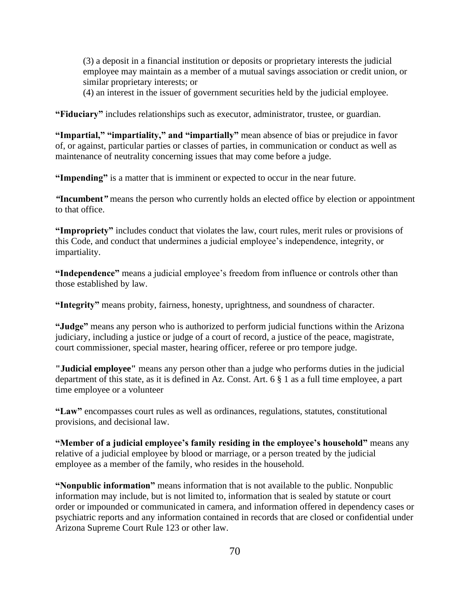(3) a deposit in a financial institution or deposits or proprietary interests the judicial employee may maintain as a member of a mutual savings association or credit union, or similar proprietary interests; or

(4) an interest in the issuer of government securities held by the judicial employee.

**"Fiduciary"** includes relationships such as executor, administrator, trustee, or guardian.

**"Impartial," "impartiality," and "impartially"** mean absence of bias or prejudice in favor of, or against, particular parties or classes of parties, in communication or conduct as well as maintenance of neutrality concerning issues that may come before a judge.

**"Impending"** is a matter that is imminent or expected to occur in the near future.

*"***Incumbent***"* means the person who currently holds an elected office by election or appointment to that office.

**"Impropriety"** includes conduct that violates the law, court rules, merit rules or provisions of this Code, and conduct that undermines a judicial employee's independence, integrity, or impartiality.

**"Independence"** means a judicial employee's freedom from influence or controls other than those established by law.

**"Integrity"** means probity, fairness, honesty, uprightness, and soundness of character.

**"Judge"** means any person who is authorized to perform judicial functions within the Arizona judiciary, including a justice or judge of a court of record, a justice of the peace, magistrate, court commissioner, special master, hearing officer, referee or pro tempore judge.

**"Judicial employee"** means any person other than a judge who performs duties in the judicial department of this state, as it is defined in Az. Const. Art. 6 § 1 as a full time employee, a part time employee or a volunteer

**"Law"** encompasses court rules as well as ordinances, regulations, statutes, constitutional provisions, and decisional law.

**"Member of a judicial employee's family residing in the employee's household"** means any relative of a judicial employee by blood or marriage, or a person treated by the judicial employee as a member of the family, who resides in the household.

**"Nonpublic information"** means information that is not available to the public. Nonpublic information may include, but is not limited to, information that is sealed by statute or court order or impounded or communicated in camera, and information offered in dependency cases or psychiatric reports and any information contained in records that are closed or confidential under Arizona Supreme Court Rule 123 or other law.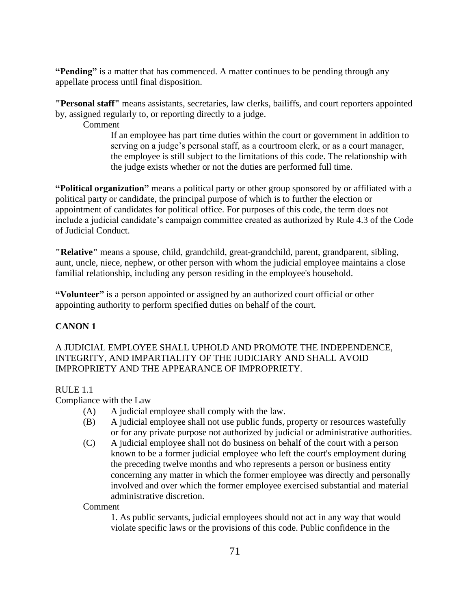**"Pending"** is a matter that has commenced. A matter continues to be pending through any appellate process until final disposition.

**"Personal staff"** means assistants, secretaries, law clerks, bailiffs, and court reporters appointed by, assigned regularly to, or reporting directly to a judge.

Comment

If an employee has part time duties within the court or government in addition to serving on a judge's personal staff, as a courtroom clerk, or as a court manager, the employee is still subject to the limitations of this code. The relationship with the judge exists whether or not the duties are performed full time.

**"Political organization"** means a political party or other group sponsored by or affiliated with a political party or candidate, the principal purpose of which is to further the election or appointment of candidates for political office. For purposes of this code, the term does not include a judicial candidate's campaign committee created as authorized by Rule 4.3 of the Code of Judicial Conduct.

**"Relative"** means a spouse, child, grandchild, great-grandchild, parent, grandparent, sibling, aunt, uncle, niece, nephew, or other person with whom the judicial employee maintains a close familial relationship, including any person residing in the employee's household.

**"Volunteer"** is a person appointed or assigned by an authorized court official or other appointing authority to perform specified duties on behalf of the court.

## **CANON 1**

A JUDICIAL EMPLOYEE SHALL UPHOLD AND PROMOTE THE INDEPENDENCE, INTEGRITY, AND IMPARTIALITY OF THE JUDICIARY AND SHALL AVOID IMPROPRIETY AND THE APPEARANCE OF IMPROPRIETY.

## RULE 1.1

Compliance with the Law

- (A) A judicial employee shall comply with the law.
- (B) A judicial employee shall not use public funds, property or resources wastefully or for any private purpose not authorized by judicial or administrative authorities.
- (C) A judicial employee shall not do business on behalf of the court with a person known to be a former judicial employee who left the court's employment during the preceding twelve months and who represents a person or business entity concerning any matter in which the former employee was directly and personally involved and over which the former employee exercised substantial and material administrative discretion.

Comment

1. As public servants, judicial employees should not act in any way that would violate specific laws or the provisions of this code. Public confidence in the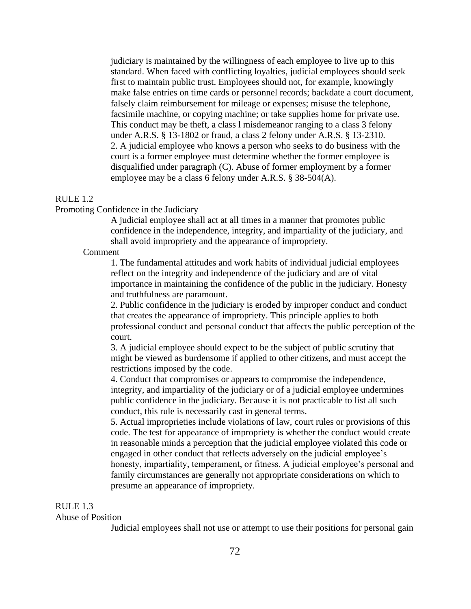judiciary is maintained by the willingness of each employee to live up to this standard. When faced with conflicting loyalties, judicial employees should seek first to maintain public trust. Employees should not, for example, knowingly make false entries on time cards or personnel records; backdate a court document, falsely claim reimbursement for mileage or expenses; misuse the telephone, facsimile machine, or copying machine; or take supplies home for private use. This conduct may be theft, a class l misdemeanor ranging to a class 3 felony under A.R.S. § 13-1802 or fraud, a class 2 felony under A.R.S. § 13-2310. 2. A judicial employee who knows a person who seeks to do business with the court is a former employee must determine whether the former employee is disqualified under paragraph (C). Abuse of former employment by a former employee may be a class 6 felony under A.R.S. § 38-504(A).

### RULE 1.2

Promoting Confidence in the Judiciary

A judicial employee shall act at all times in a manner that promotes public confidence in the independence, integrity, and impartiality of the judiciary, and shall avoid impropriety and the appearance of impropriety.

#### Comment

1. The fundamental attitudes and work habits of individual judicial employees reflect on the integrity and independence of the judiciary and are of vital importance in maintaining the confidence of the public in the judiciary. Honesty and truthfulness are paramount.

2. Public confidence in the judiciary is eroded by improper conduct and conduct that creates the appearance of impropriety. This principle applies to both professional conduct and personal conduct that affects the public perception of the court.

3. A judicial employee should expect to be the subject of public scrutiny that might be viewed as burdensome if applied to other citizens, and must accept the restrictions imposed by the code.

4. Conduct that compromises or appears to compromise the independence, integrity, and impartiality of the judiciary or of a judicial employee undermines public confidence in the judiciary. Because it is not practicable to list all such conduct, this rule is necessarily cast in general terms.

5. Actual improprieties include violations of law, court rules or provisions of this code. The test for appearance of impropriety is whether the conduct would create in reasonable minds a perception that the judicial employee violated this code or engaged in other conduct that reflects adversely on the judicial employee's honesty, impartiality, temperament, or fitness. A judicial employee's personal and family circumstances are generally not appropriate considerations on which to presume an appearance of impropriety.

#### RULE 1.3

#### Abuse of Position

Judicial employees shall not use or attempt to use their positions for personal gain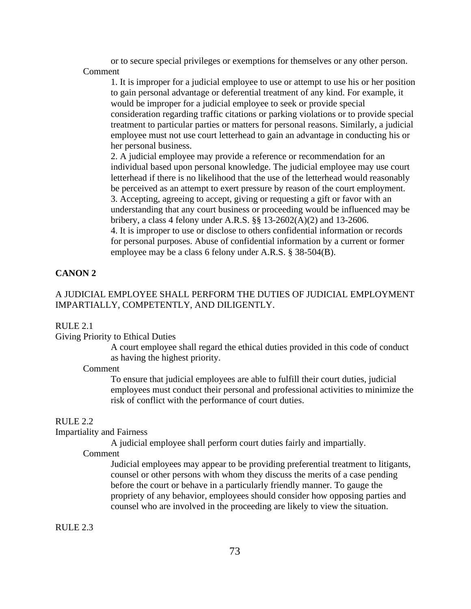or to secure special privileges or exemptions for themselves or any other person. Comment

1. It is improper for a judicial employee to use or attempt to use his or her position to gain personal advantage or deferential treatment of any kind. For example, it would be improper for a judicial employee to seek or provide special consideration regarding traffic citations or parking violations or to provide special treatment to particular parties or matters for personal reasons. Similarly, a judicial employee must not use court letterhead to gain an advantage in conducting his or her personal business.

2. A judicial employee may provide a reference or recommendation for an individual based upon personal knowledge. The judicial employee may use court letterhead if there is no likelihood that the use of the letterhead would reasonably be perceived as an attempt to exert pressure by reason of the court employment. 3. Accepting, agreeing to accept, giving or requesting a gift or favor with an understanding that any court business or proceeding would be influenced may be bribery, a class 4 felony under A.R.S. §§ 13-2602(A)(2) and 13-2606.

4. It is improper to use or disclose to others confidential information or records for personal purposes. Abuse of confidential information by a current or former employee may be a class 6 felony under A.R.S. § 38-504(B).

### **CANON 2**

### A JUDICIAL EMPLOYEE SHALL PERFORM THE DUTIES OF JUDICIAL EMPLOYMENT IMPARTIALLY, COMPETENTLY, AND DILIGENTLY.

#### RULE 2.1

### Giving Priority to Ethical Duties

A court employee shall regard the ethical duties provided in this code of conduct as having the highest priority.

### Comment

To ensure that judicial employees are able to fulfill their court duties, judicial employees must conduct their personal and professional activities to minimize the risk of conflict with the performance of court duties.

#### RULE 2.2

### Impartiality and Fairness

A judicial employee shall perform court duties fairly and impartially.

Comment

Judicial employees may appear to be providing preferential treatment to litigants, counsel or other persons with whom they discuss the merits of a case pending before the court or behave in a particularly friendly manner. To gauge the propriety of any behavior, employees should consider how opposing parties and counsel who are involved in the proceeding are likely to view the situation.

RULE 2.3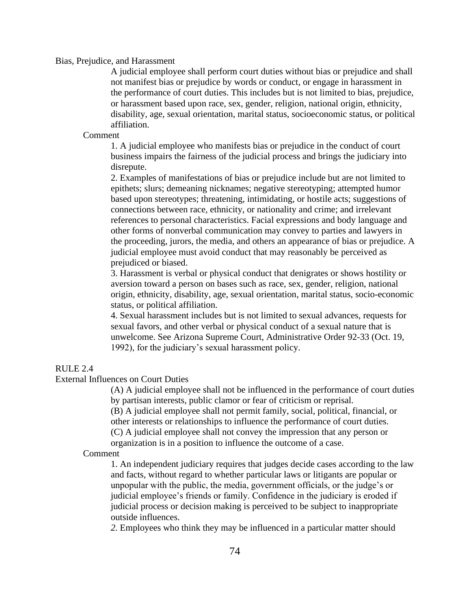### Bias, Prejudice, and Harassment

A judicial employee shall perform court duties without bias or prejudice and shall not manifest bias or prejudice by words or conduct, or engage in harassment in the performance of court duties. This includes but is not limited to bias, prejudice, or harassment based upon race, sex, gender, religion, national origin, ethnicity, disability, age, sexual orientation, marital status, socioeconomic status, or political affiliation.

#### Comment

1. A judicial employee who manifests bias or prejudice in the conduct of court business impairs the fairness of the judicial process and brings the judiciary into disrepute.

2. Examples of manifestations of bias or prejudice include but are not limited to epithets; slurs; demeaning nicknames; negative stereotyping; attempted humor based upon stereotypes; threatening, intimidating, or hostile acts; suggestions of connections between race, ethnicity, or nationality and crime; and irrelevant references to personal characteristics. Facial expressions and body language and other forms of nonverbal communication may convey to parties and lawyers in the proceeding, jurors, the media, and others an appearance of bias or prejudice. A judicial employee must avoid conduct that may reasonably be perceived as prejudiced or biased.

3. Harassment is verbal or physical conduct that denigrates or shows hostility or aversion toward a person on bases such as race, sex, gender, religion, national origin, ethnicity, disability, age, sexual orientation, marital status, socio-economic status, or political affiliation.

4. Sexual harassment includes but is not limited to sexual advances, requests for sexual favors, and other verbal or physical conduct of a sexual nature that is unwelcome. See Arizona Supreme Court, Administrative Order 92-33 (Oct. 19, 1992), for the judiciary's sexual harassment policy.

## $R$ ULE 2.4

#### External Influences on Court Duties

(A) A judicial employee shall not be influenced in the performance of court duties by partisan interests, public clamor or fear of criticism or reprisal.

(B) A judicial employee shall not permit family, social, political, financial, or other interests or relationships to influence the performance of court duties.

(C) A judicial employee shall not convey the impression that any person or organization is in a position to influence the outcome of a case.

### Comment

1. An independent judiciary requires that judges decide cases according to the law and facts, without regard to whether particular laws or litigants are popular or unpopular with the public, the media, government officials, or the judge's or judicial employee's friends or family. Confidence in the judiciary is eroded if judicial process or decision making is perceived to be subject to inappropriate outside influences.

*2.* Employees who think they may be influenced in a particular matter should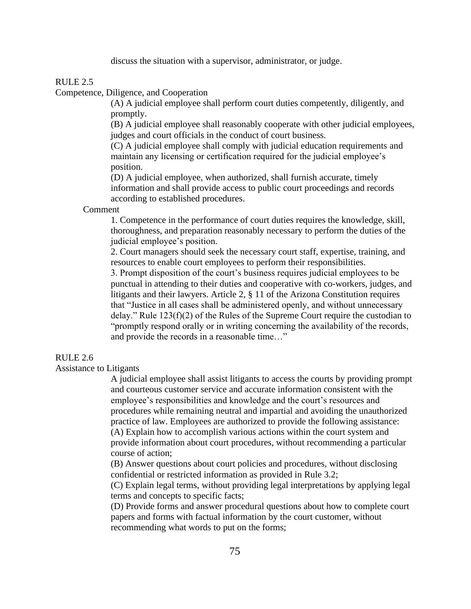discuss the situation with a supervisor, administrator, or judge.

### $RULE 2.5$

Competence, Diligence, and Cooperation

(A) A judicial employee shall perform court duties competently, diligently, and promptly.

(B) A judicial employee shall reasonably cooperate with other judicial employees, judges and court officials in the conduct of court business.

(C) A judicial employee shall comply with judicial education requirements and maintain any licensing or certification required for the judicial employee's position.

(D) A judicial employee, when authorized, shall furnish accurate, timely information and shall provide access to public court proceedings and records according to established procedures.

#### Comment

1. Competence in the performance of court duties requires the knowledge, skill, thoroughness, and preparation reasonably necessary to perform the duties of the judicial employee's position.

2. Court managers should seek the necessary court staff, expertise, training, and resources to enable court employees to perform their responsibilities.

3. Prompt disposition of the court's business requires judicial employees to be punctual in attending to their duties and cooperative with co-workers, judges, and litigants and their lawyers. Article 2, § 11 of the Arizona Constitution requires that "Justice in all cases shall be administered openly, and without unnecessary delay." Rule 123(f)(2) of the Rules of the Supreme Court require the custodian to "promptly respond orally or in writing concerning the availability of the records, and provide the records in a reasonable time…"

### RULE 2.6

Assistance to Litigants

A judicial employee shall assist litigants to access the courts by providing prompt and courteous customer service and accurate information consistent with the employee's responsibilities and knowledge and the court's resources and procedures while remaining neutral and impartial and avoiding the unauthorized practice of law. Employees are authorized to provide the following assistance: (A) Explain how to accomplish various actions within the court system and provide information about court procedures, without recommending a particular course of action;

(B) Answer questions about court policies and procedures, without disclosing confidential or restricted information as provided in Rule 3.2;

(C) Explain legal terms, without providing legal interpretations by applying legal terms and concepts to specific facts;

(D) Provide forms and answer procedural questions about how to complete court papers and forms with factual information by the court customer, without recommending what words to put on the forms;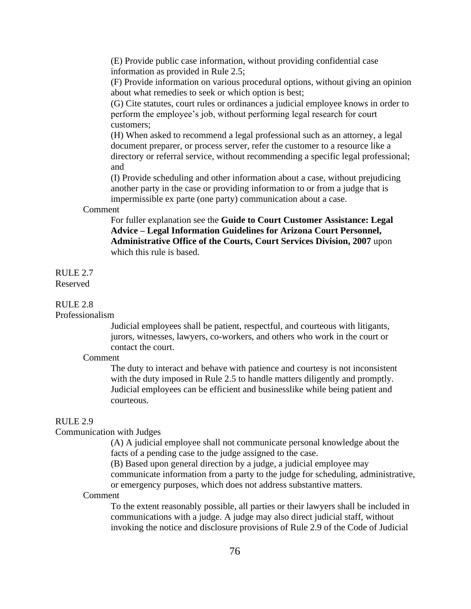(E) Provide public case information, without providing confidential case information as provided in Rule 2.5;

(F) Provide information on various procedural options, without giving an opinion about what remedies to seek or which option is best;

(G) Cite statutes, court rules or ordinances a judicial employee knows in order to perform the employee's job, without performing legal research for court customers;

(H) When asked to recommend a legal professional such as an attorney, a legal document preparer, or process server, refer the customer to a resource like a directory or referral service, without recommending a specific legal professional; and

(I) Provide scheduling and other information about a case, without prejudicing another party in the case or providing information to or from a judge that is impermissible ex parte (one party) communication about a case.

#### Comment

For fuller explanation see the **Guide to Court Customer Assistance: Legal Advice – Legal Information Guidelines for Arizona Court Personnel, Administrative Office of the Courts, Court Services Division, 2007** upon which this rule is based.

#### RULE 2.7 Reserved

# RULE 2.8

### Professionalism

Judicial employees shall be patient, respectful, and courteous with litigants, jurors, witnesses, lawyers, co-workers, and others who work in the court or contact the court.

#### Comment

The duty to interact and behave with patience and courtesy is not inconsistent with the duty imposed in Rule 2.5 to handle matters diligently and promptly. Judicial employees can be efficient and businesslike while being patient and courteous.

#### RULE 2.9

### Communication with Judges

(A) A judicial employee shall not communicate personal knowledge about the facts of a pending case to the judge assigned to the case.

(B) Based upon general direction by a judge, a judicial employee may communicate information from a party to the judge for scheduling, administrative, or emergency purposes, which does not address substantive matters.

#### Comment

To the extent reasonably possible, all parties or their lawyers shall be included in communications with a judge. A judge may also direct judicial staff, without invoking the notice and disclosure provisions of Rule 2.9 of the Code of Judicial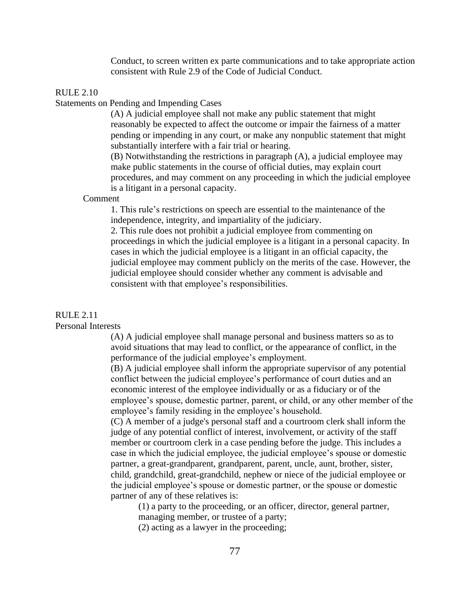Conduct, to screen written ex parte communications and to take appropriate action consistent with Rule 2.9 of the Code of Judicial Conduct.

### RULE 2.10

### Statements on Pending and Impending Cases

(A) A judicial employee shall not make any public statement that might reasonably be expected to affect the outcome or impair the fairness of a matter pending or impending in any court, or make any nonpublic statement that might substantially interfere with a fair trial or hearing.

(B) Notwithstanding the restrictions in paragraph (A), a judicial employee may make public statements in the course of official duties, may explain court procedures, and may comment on any proceeding in which the judicial employee is a litigant in a personal capacity.

#### Comment

1. This rule's restrictions on speech are essential to the maintenance of the independence, integrity, and impartiality of the judiciary.

2. This rule does not prohibit a judicial employee from commenting on proceedings in which the judicial employee is a litigant in a personal capacity. In cases in which the judicial employee is a litigant in an official capacity, the judicial employee may comment publicly on the merits of the case. However, the judicial employee should consider whether any comment is advisable and consistent with that employee's responsibilities.

### RULE 2.11

Personal Interests

(A) A judicial employee shall manage personal and business matters so as to avoid situations that may lead to conflict, or the appearance of conflict, in the performance of the judicial employee's employment.

(B) A judicial employee shall inform the appropriate supervisor of any potential conflict between the judicial employee's performance of court duties and an economic interest of the employee individually or as a fiduciary or of the employee's spouse, domestic partner, parent, or child, or any other member of the employee's family residing in the employee's household.

(C) A member of a judge's personal staff and a courtroom clerk shall inform the judge of any potential conflict of interest, involvement, or activity of the staff member or courtroom clerk in a case pending before the judge. This includes a case in which the judicial employee, the judicial employee's spouse or domestic partner, a great-grandparent, grandparent, parent, uncle, aunt, brother, sister, child, grandchild, great-grandchild, nephew or niece of the judicial employee or the judicial employee's spouse or domestic partner, or the spouse or domestic partner of any of these relatives is:

(1) a party to the proceeding, or an officer, director, general partner,

managing member, or trustee of a party;

(2) acting as a lawyer in the proceeding;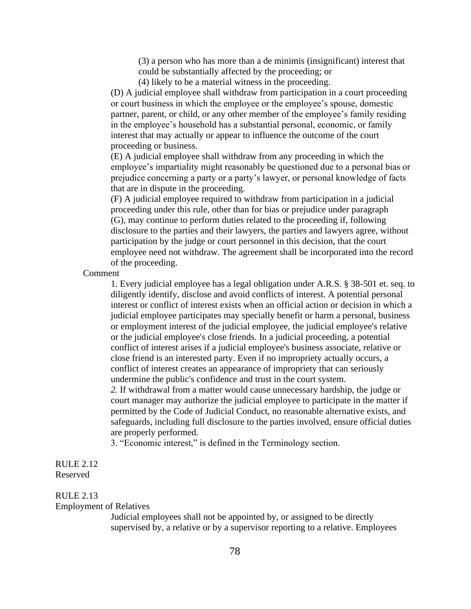(3) a person who has more than a de minimis (insignificant) interest that could be substantially affected by the proceeding; or

(4) likely to be a material witness in the proceeding.

(D) A judicial employee shall withdraw from participation in a court proceeding or court business in which the employee or the employee's spouse, domestic partner, parent, or child, or any other member of the employee's family residing in the employee's household has a substantial personal, economic, or family interest that may actually or appear to influence the outcome of the court proceeding or business.

(E) A judicial employee shall withdraw from any proceeding in which the employee's impartiality might reasonably be questioned due to a personal bias or prejudice concerning a party or a party's lawyer, or personal knowledge of facts that are in dispute in the proceeding*.*

(F) A judicial employee required to withdraw from participation in a judicial proceeding under this rule, other than for bias or prejudice under paragraph (G), may continue to perform duties related to the proceeding if, following disclosure to the parties and their lawyers, the parties and lawyers agree, without participation by the judge or court personnel in this decision, that the court employee need not withdraw. The agreement shall be incorporated into the record of the proceeding.

Comment

1. Every judicial employee has a legal obligation under A.R.S. § 38-501 et. seq. to diligently identify, disclose and avoid conflicts of interest. A potential personal interest or conflict of interest exists when an official action or decision in which a judicial employee participates may specially benefit or harm a personal, business or employment interest of the judicial employee, the judicial employee's relative or the judicial employee's close friends. In a judicial proceeding, a potential conflict of interest arises if a judicial employee's business associate, relative or close friend is an interested party. Even if no impropriety actually occurs, a conflict of interest creates an appearance of impropriety that can seriously undermine the public's confidence and trust in the court system.

*2.* If withdrawal from a matter would cause unnecessary hardship, the judge or court manager may authorize the judicial employee to participate in the matter if permitted by the Code of Judicial Conduct, no reasonable alternative exists, and safeguards, including full disclosure to the parties involved, ensure official duties are properly performed.

3. "Economic interest," is defined in the Terminology section.

## RULE 2.12 Reserved

### RULE 2.13

### Employment of Relatives

Judicial employees shall not be appointed by, or assigned to be directly supervised by, a relative or by a supervisor reporting to a relative. Employees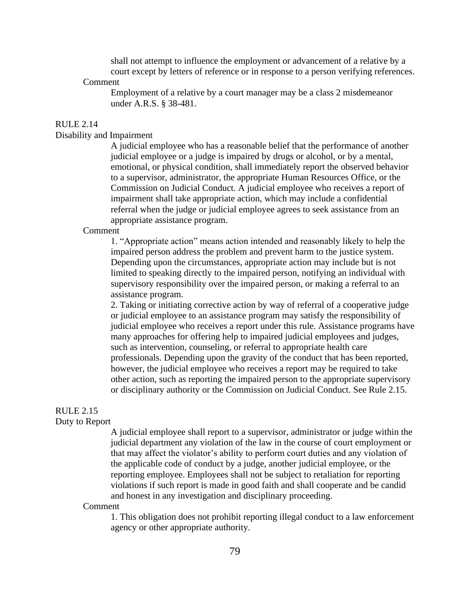shall not attempt to influence the employment or advancement of a relative by a court except by letters of reference or in response to a person verifying references.

#### Comment

Employment of a relative by a court manager may be a class 2 misdemeanor under A.R.S. § 38-481.

#### RULE 2.14

### Disability and Impairment

A judicial employee who has a reasonable belief that the performance of another judicial employee or a judge is impaired by drugs or alcohol, or by a mental, emotional, or physical condition, shall immediately report the observed behavior to a supervisor, administrator, the appropriate Human Resources Office, or the Commission on Judicial Conduct. A judicial employee who receives a report of impairment shall take appropriate action, which may include a confidential referral when the judge or judicial employee agrees to seek assistance from an appropriate assistance program.

#### Comment

1. "Appropriate action" means action intended and reasonably likely to help the impaired person address the problem and prevent harm to the justice system. Depending upon the circumstances, appropriate action may include but is not limited to speaking directly to the impaired person, notifying an individual with supervisory responsibility over the impaired person, or making a referral to an assistance program.

2. Taking or initiating corrective action by way of referral of a cooperative judge or judicial employee to an assistance program may satisfy the responsibility of judicial employee who receives a report under this rule. Assistance programs have many approaches for offering help to impaired judicial employees and judges, such as intervention, counseling, or referral to appropriate health care professionals. Depending upon the gravity of the conduct that has been reported, however, the judicial employee who receives a report may be required to take other action, such as reporting the impaired person to the appropriate supervisory or disciplinary authority or the Commission on Judicial Conduct. See Rule 2.15.

# RULE 2.15

### Duty to Report

A judicial employee shall report to a supervisor, administrator or judge within the judicial department any violation of the law in the course of court employment or that may affect the violator's ability to perform court duties and any violation of the applicable code of conduct by a judge, another judicial employee, or the reporting employee. Employees shall not be subject to retaliation for reporting violations if such report is made in good faith and shall cooperate and be candid and honest in any investigation and disciplinary proceeding.

#### Comment

1. This obligation does not prohibit reporting illegal conduct to a law enforcement agency or other appropriate authority.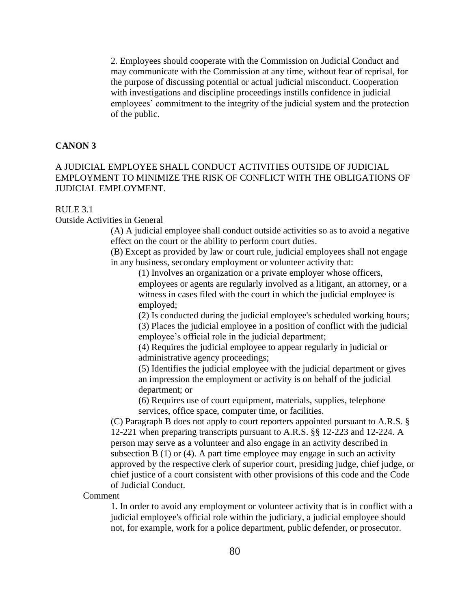2*.* Employees should cooperate with the Commission on Judicial Conduct and may communicate with the Commission at any time, without fear of reprisal, for the purpose of discussing potential or actual judicial misconduct. Cooperation with investigations and discipline proceedings instills confidence in judicial employees' commitment to the integrity of the judicial system and the protection of the public.

### **CANON 3**

# A JUDICIAL EMPLOYEE SHALL CONDUCT ACTIVITIES OUTSIDE OF JUDICIAL EMPLOYMENT TO MINIMIZE THE RISK OF CONFLICT WITH THE OBLIGATIONS OF JUDICIAL EMPLOYMENT.

### RULE 3.1

Outside Activities in General

(A) A judicial employee shall conduct outside activities so as to avoid a negative effect on the court or the ability to perform court duties.

(B) Except as provided by law or court rule, judicial employees shall not engage in any business, secondary employment or volunteer activity that:

(1) Involves an organization or a private employer whose officers, employees or agents are regularly involved as a litigant, an attorney, or a witness in cases filed with the court in which the judicial employee is employed;

(2) Is conducted during the judicial employee's scheduled working hours; (3) Places the judicial employee in a position of conflict with the judicial employee's official role in the judicial department;

(4) Requires the judicial employee to appear regularly in judicial or administrative agency proceedings;

(5) Identifies the judicial employee with the judicial department or gives an impression the employment or activity is on behalf of the judicial department; or

(6) Requires use of court equipment, materials, supplies, telephone services, office space, computer time, or facilities.

(C) Paragraph B does not apply to court reporters appointed pursuant to A.R.S. § 12-221 when preparing transcripts pursuant to A.R.S. §§ 12-223 and 12-224. A person may serve as a volunteer and also engage in an activity described in subsection B (1) or (4). A part time employee may engage in such an activity approved by the respective clerk of superior court, presiding judge, chief judge, or chief justice of a court consistent with other provisions of this code and the Code of Judicial Conduct.

Comment

1. In order to avoid any employment or volunteer activity that is in conflict with a judicial employee's official role within the judiciary, a judicial employee should not, for example, work for a police department, public defender, or prosecutor.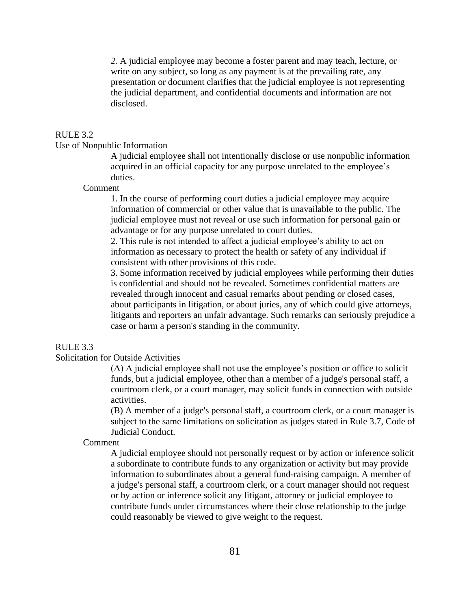*2.* A judicial employee may become a foster parent and may teach, lecture, or write on any subject, so long as any payment is at the prevailing rate, any presentation or document clarifies that the judicial employee is not representing the judicial department, and confidential documents and information are not disclosed.

#### RULE 3.2

### Use of Nonpublic Information

A judicial employee shall not intentionally disclose or use nonpublic information acquired in an official capacity for any purpose unrelated to the employee's duties.

Comment

1. In the course of performing court duties a judicial employee may acquire information of commercial or other value that is unavailable to the public. The judicial employee must not reveal or use such information for personal gain or advantage or for any purpose unrelated to court duties.

2. This rule is not intended to affect a judicial employee's ability to act on information as necessary to protect the health or safety of any individual if consistent with other provisions of this code.

3. Some information received by judicial employees while performing their duties is confidential and should not be revealed. Sometimes confidential matters are revealed through innocent and casual remarks about pending or closed cases, about participants in litigation, or about juries, any of which could give attorneys, litigants and reporters an unfair advantage. Such remarks can seriously prejudice a case or harm a person's standing in the community.

# RULE 3.3

## Solicitation for Outside Activities

(A) A judicial employee shall not use the employee's position or office to solicit funds, but a judicial employee, other than a member of a judge's personal staff, a courtroom clerk, or a court manager, may solicit funds in connection with outside activities.

(B) A member of a judge's personal staff, a courtroom clerk, or a court manager is subject to the same limitations on solicitation as judges stated in Rule 3.7, Code of Judicial Conduct.

#### Comment

A judicial employee should not personally request or by action or inference solicit a subordinate to contribute funds to any organization or activity but may provide information to subordinates about a general fund-raising campaign. A member of a judge's personal staff, a courtroom clerk, or a court manager should not request or by action or inference solicit any litigant, attorney or judicial employee to contribute funds under circumstances where their close relationship to the judge could reasonably be viewed to give weight to the request.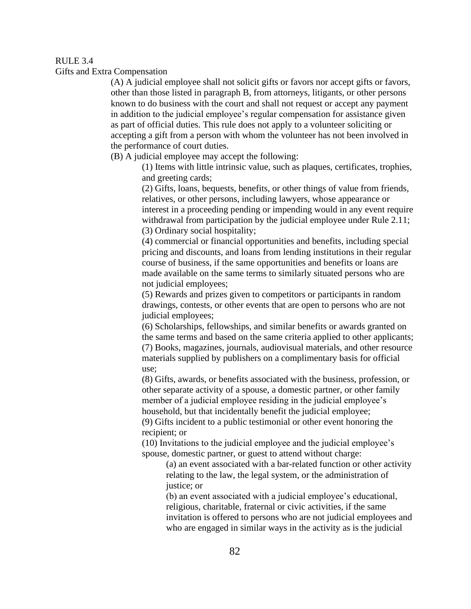#### RULE 3.4

Gifts and Extra Compensation

(A) A judicial employee shall not solicit gifts or favors nor accept gifts or favors, other than those listed in paragraph B, from attorneys, litigants, or other persons known to do business with the court and shall not request or accept any payment in addition to the judicial employee's regular compensation for assistance given as part of official duties. This rule does not apply to a volunteer soliciting or accepting a gift from a person with whom the volunteer has not been involved in the performance of court duties.

(B) A judicial employee may accept the following:

(1) Items with little intrinsic value, such as plaques, certificates, trophies, and greeting cards;

(2) Gifts, loans, bequests, benefits, or other things of value from friends, relatives, or other persons, including lawyers, whose appearance or interest in a proceeding pending or impending would in any event require withdrawal from participation by the judicial employee under Rule 2.11; (3) Ordinary social hospitality;

(4) commercial or financial opportunities and benefits, including special pricing and discounts, and loans from lending institutions in their regular course of business, if the same opportunities and benefits or loans are made available on the same terms to similarly situated persons who are not judicial employees;

(5) Rewards and prizes given to competitors or participants in random drawings, contests, or other events that are open to persons who are not judicial employees;

(6) Scholarships, fellowships, and similar benefits or awards granted on the same terms and based on the same criteria applied to other applicants; (7) Books, magazines, journals, audiovisual materials, and other resource materials supplied by publishers on a complimentary basis for official use;

(8) Gifts, awards, or benefits associated with the business, profession, or other separate activity of a spouse, a domestic partner, or other family member of a judicial employee residing in the judicial employee's household, but that incidentally benefit the judicial employee;

(9) Gifts incident to a public testimonial or other event honoring the recipient; or

(10) Invitations to the judicial employee and the judicial employee's spouse, domestic partner, or guest to attend without charge:

(a) an event associated with a bar-related function or other activity relating to the law, the legal system, or the administration of justice; or

(b) an event associated with a judicial employee's educational, religious, charitable, fraternal or civic activities, if the same invitation is offered to persons who are not judicial employees and who are engaged in similar ways in the activity as is the judicial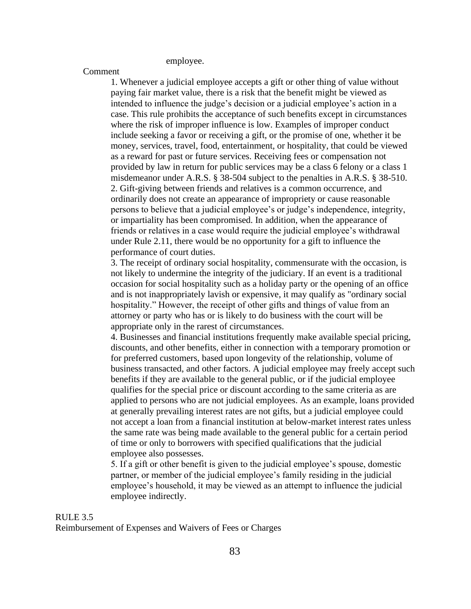employee.

## Comment

1. Whenever a judicial employee accepts a gift or other thing of value without paying fair market value, there is a risk that the benefit might be viewed as intended to influence the judge's decision or a judicial employee's action in a case. This rule prohibits the acceptance of such benefits except in circumstances where the risk of improper influence is low. Examples of improper conduct include seeking a favor or receiving a gift, or the promise of one, whether it be money, services, travel, food, entertainment, or hospitality, that could be viewed as a reward for past or future services. Receiving fees or compensation not provided by law in return for public services may be a class 6 felony or a class 1 misdemeanor under A.R.S. § 38-504 subject to the penalties in A.R.S. § 38-510. 2. Gift-giving between friends and relatives is a common occurrence, and ordinarily does not create an appearance of impropriety or cause reasonable persons to believe that a judicial employee's or judge's independence, integrity, or impartiality has been compromised. In addition, when the appearance of friends or relatives in a case would require the judicial employee's withdrawal under Rule 2.11, there would be no opportunity for a gift to influence the performance of court duties.

3. The receipt of ordinary social hospitality, commensurate with the occasion, is not likely to undermine the integrity of the judiciary. If an event is a traditional occasion for social hospitality such as a holiday party or the opening of an office and is not inappropriately lavish or expensive, it may qualify as "ordinary social hospitality." However, the receipt of other gifts and things of value from an attorney or party who has or is likely to do business with the court will be appropriate only in the rarest of circumstances.

4. Businesses and financial institutions frequently make available special pricing, discounts, and other benefits, either in connection with a temporary promotion or for preferred customers, based upon longevity of the relationship, volume of business transacted, and other factors. A judicial employee may freely accept such benefits if they are available to the general public, or if the judicial employee qualifies for the special price or discount according to the same criteria as are applied to persons who are not judicial employees. As an example, loans provided at generally prevailing interest rates are not gifts, but a judicial employee could not accept a loan from a financial institution at below-market interest rates unless the same rate was being made available to the general public for a certain period of time or only to borrowers with specified qualifications that the judicial employee also possesses.

5. If a gift or other benefit is given to the judicial employee's spouse, domestic partner, or member of the judicial employee's family residing in the judicial employee's household, it may be viewed as an attempt to influence the judicial employee indirectly.

#### RULE 3.5

Reimbursement of Expenses and Waivers of Fees or Charges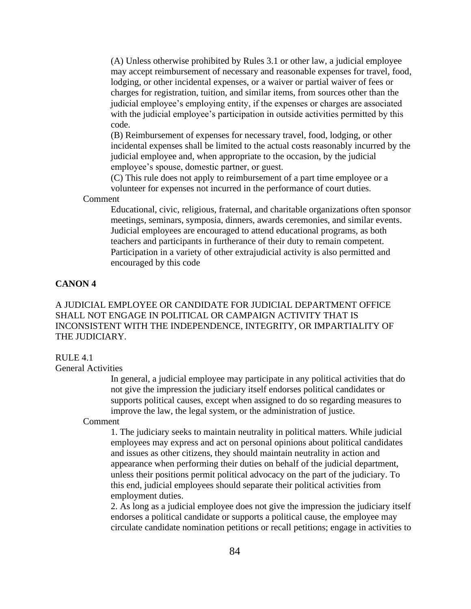(A) Unless otherwise prohibited by Rules 3.1 or other law, a judicial employee may accept reimbursement of necessary and reasonable expenses for travel, food, lodging, or other incidental expenses, or a waiver or partial waiver of fees or charges for registration, tuition, and similar items, from sources other than the judicial employee's employing entity, if the expenses or charges are associated with the judicial employee's participation in outside activities permitted by this code.

(B) Reimbursement of expenses for necessary travel, food, lodging, or other incidental expenses shall be limited to the actual costs reasonably incurred by the judicial employee and, when appropriate to the occasion, by the judicial employee's spouse, domestic partner, or guest.

(C) This rule does not apply to reimbursement of a part time employee or a volunteer for expenses not incurred in the performance of court duties.

Comment

Educational, civic, religious, fraternal, and charitable organizations often sponsor meetings, seminars, symposia, dinners, awards ceremonies, and similar events. Judicial employees are encouraged to attend educational programs, as both teachers and participants in furtherance of their duty to remain competent. Participation in a variety of other extrajudicial activity is also permitted and encouraged by this code

# **CANON 4**

A JUDICIAL EMPLOYEE OR CANDIDATE FOR JUDICIAL DEPARTMENT OFFICE SHALL NOT ENGAGE IN POLITICAL OR CAMPAIGN ACTIVITY THAT IS INCONSISTENT WITH THE INDEPENDENCE, INTEGRITY, OR IMPARTIALITY OF THE JUDICIARY.

### RULE 4.1

General Activities

In general, a judicial employee may participate in any political activities that do not give the impression the judiciary itself endorses political candidates or supports political causes, except when assigned to do so regarding measures to improve the law, the legal system, or the administration of justice.

#### Comment

1. The judiciary seeks to maintain neutrality in political matters. While judicial employees may express and act on personal opinions about political candidates and issues as other citizens, they should maintain neutrality in action and appearance when performing their duties on behalf of the judicial department, unless their positions permit political advocacy on the part of the judiciary. To this end, judicial employees should separate their political activities from employment duties.

2. As long as a judicial employee does not give the impression the judiciary itself endorses a political candidate or supports a political cause, the employee may circulate candidate nomination petitions or recall petitions; engage in activities to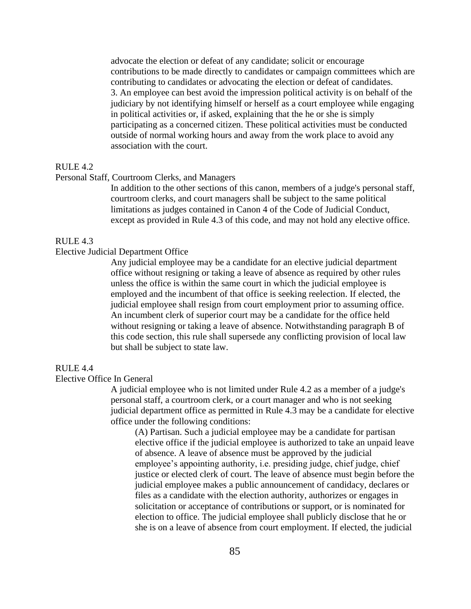advocate the election or defeat of any candidate; solicit or encourage contributions to be made directly to candidates or campaign committees which are contributing to candidates or advocating the election or defeat of candidates. 3. An employee can best avoid the impression political activity is on behalf of the judiciary by not identifying himself or herself as a court employee while engaging in political activities or, if asked, explaining that the he or she is simply participating as a concerned citizen. These political activities must be conducted outside of normal working hours and away from the work place to avoid any association with the court.

### RULE 4.2

### Personal Staff, Courtroom Clerks, and Managers

In addition to the other sections of this canon, members of a judge's personal staff, courtroom clerks, and court managers shall be subject to the same political limitations as judges contained in Canon 4 of the Code of Judicial Conduct, except as provided in Rule 4.3 of this code, and may not hold any elective office.

### RULE 4.3

### Elective Judicial Department Office

Any judicial employee may be a candidate for an elective judicial department office without resigning or taking a leave of absence as required by other rules unless the office is within the same court in which the judicial employee is employed and the incumbent of that office is seeking reelection. If elected, the judicial employee shall resign from court employment prior to assuming office. An incumbent clerk of superior court may be a candidate for the office held without resigning or taking a leave of absence. Notwithstanding paragraph B of this code section, this rule shall supersede any conflicting provision of local law but shall be subject to state law.

## RULE 4.4

### Elective Office In General

A judicial employee who is not limited under Rule 4.2 as a member of a judge's personal staff, a courtroom clerk, or a court manager and who is not seeking judicial department office as permitted in Rule 4.3 may be a candidate for elective office under the following conditions:

(A) Partisan. Such a judicial employee may be a candidate for partisan elective office if the judicial employee is authorized to take an unpaid leave of absence. A leave of absence must be approved by the judicial employee's appointing authority, i.e. presiding judge, chief judge, chief justice or elected clerk of court. The leave of absence must begin before the judicial employee makes a public announcement of candidacy, declares or files as a candidate with the election authority, authorizes or engages in solicitation or acceptance of contributions or support, or is nominated for election to office. The judicial employee shall publicly disclose that he or she is on a leave of absence from court employment. If elected, the judicial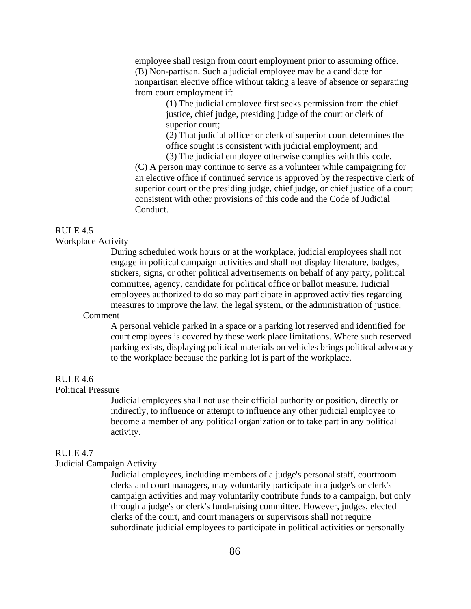employee shall resign from court employment prior to assuming office. (B) Non-partisan. Such a judicial employee may be a candidate for nonpartisan elective office without taking a leave of absence or separating from court employment if:

> (1) The judicial employee first seeks permission from the chief justice, chief judge, presiding judge of the court or clerk of superior court;

(2) That judicial officer or clerk of superior court determines the office sought is consistent with judicial employment; and

(3) The judicial employee otherwise complies with this code. (C) A person may continue to serve as a volunteer while campaigning for an elective office if continued service is approved by the respective clerk of superior court or the presiding judge, chief judge, or chief justice of a court consistent with other provisions of this code and the Code of Judicial Conduct.

# RULE 4.5

Workplace Activity

During scheduled work hours or at the workplace, judicial employees shall not engage in political campaign activities and shall not display literature, badges, stickers, signs, or other political advertisements on behalf of any party, political committee, agency, candidate for political office or ballot measure. Judicial employees authorized to do so may participate in approved activities regarding measures to improve the law, the legal system, or the administration of justice.

#### Comment

A personal vehicle parked in a space or a parking lot reserved and identified for court employees is covered by these work place limitations. Where such reserved parking exists, displaying political materials on vehicles brings political advocacy to the workplace because the parking lot is part of the workplace.

#### RULE 4.6

## Political Pressure

Judicial employees shall not use their official authority or position, directly or indirectly, to influence or attempt to influence any other judicial employee to become a member of any political organization or to take part in any political activity.

#### RULE 4.7

### Judicial Campaign Activity

Judicial employees, including members of a judge's personal staff, courtroom clerks and court managers, may voluntarily participate in a judge's or clerk's campaign activities and may voluntarily contribute funds to a campaign, but only through a judge's or clerk's fund-raising committee. However, judges, elected clerks of the court, and court managers or supervisors shall not require subordinate judicial employees to participate in political activities or personally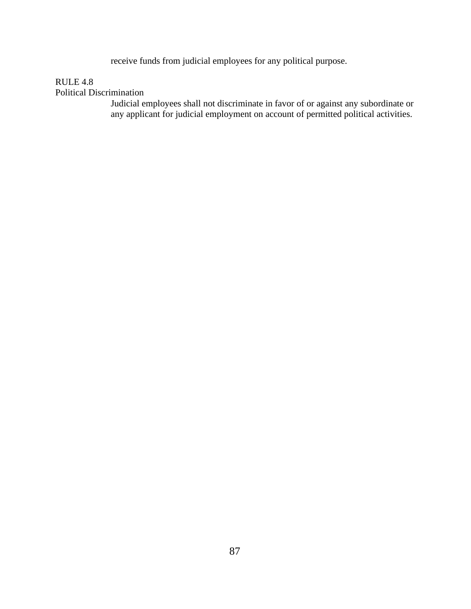receive funds from judicial employees for any political purpose.

# RULE 4.8

Political Discrimination

Judicial employees shall not discriminate in favor of or against any subordinate or any applicant for judicial employment on account of permitted political activities.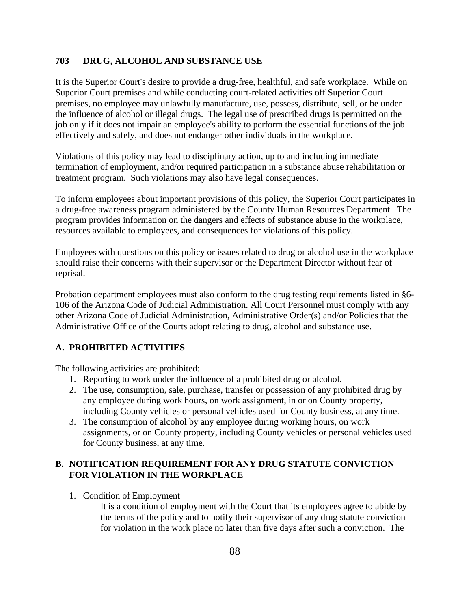# **703 DRUG, ALCOHOL AND SUBSTANCE USE**

It is the Superior Court's desire to provide a drug-free, healthful, and safe workplace. While on Superior Court premises and while conducting court-related activities off Superior Court premises, no employee may unlawfully manufacture, use, possess, distribute, sell, or be under the influence of alcohol or illegal drugs. The legal use of prescribed drugs is permitted on the job only if it does not impair an employee's ability to perform the essential functions of the job effectively and safely, and does not endanger other individuals in the workplace.

Violations of this policy may lead to disciplinary action, up to and including immediate termination of employment, and/or required participation in a substance abuse rehabilitation or treatment program. Such violations may also have legal consequences.

To inform employees about important provisions of this policy, the Superior Court participates in a drug-free awareness program administered by the County Human Resources Department. The program provides information on the dangers and effects of substance abuse in the workplace, resources available to employees, and consequences for violations of this policy.

Employees with questions on this policy or issues related to drug or alcohol use in the workplace should raise their concerns with their supervisor or the Department Director without fear of reprisal.

Probation department employees must also conform to the drug testing requirements listed in §6- 106 of the Arizona Code of Judicial Administration. All Court Personnel must comply with any other Arizona Code of Judicial Administration, Administrative Order(s) and/or Policies that the Administrative Office of the Courts adopt relating to drug, alcohol and substance use.

## **A. PROHIBITED ACTIVITIES**

The following activities are prohibited:

- 1. Reporting to work under the influence of a prohibited drug or alcohol.
- 2. The use, consumption, sale, purchase, transfer or possession of any prohibited drug by any employee during work hours, on work assignment, in or on County property, including County vehicles or personal vehicles used for County business, at any time.
- 3. The consumption of alcohol by any employee during working hours, on work assignments, or on County property, including County vehicles or personal vehicles used for County business, at any time.

# **B. NOTIFICATION REQUIREMENT FOR ANY DRUG STATUTE CONVICTION FOR VIOLATION IN THE WORKPLACE**

1. Condition of Employment

It is a condition of employment with the Court that its employees agree to abide by the terms of the policy and to notify their supervisor of any drug statute conviction for violation in the work place no later than five days after such a conviction. The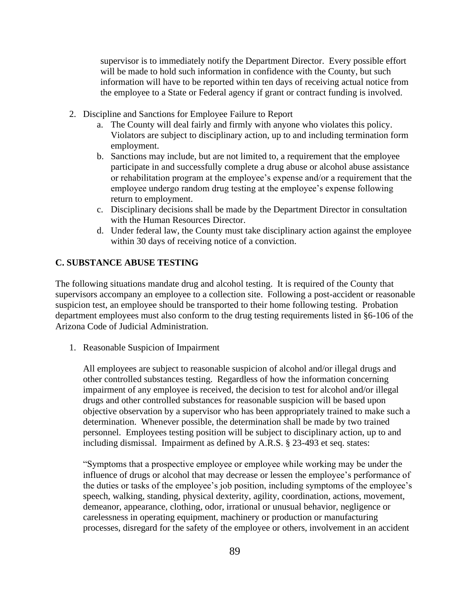supervisor is to immediately notify the Department Director. Every possible effort will be made to hold such information in confidence with the County, but such information will have to be reported within ten days of receiving actual notice from the employee to a State or Federal agency if grant or contract funding is involved.

- 2. Discipline and Sanctions for Employee Failure to Report
	- a. The County will deal fairly and firmly with anyone who violates this policy. Violators are subject to disciplinary action, up to and including termination form employment.
	- b. Sanctions may include, but are not limited to, a requirement that the employee participate in and successfully complete a drug abuse or alcohol abuse assistance or rehabilitation program at the employee's expense and/or a requirement that the employee undergo random drug testing at the employee's expense following return to employment.
	- c. Disciplinary decisions shall be made by the Department Director in consultation with the Human Resources Director.
	- d. Under federal law, the County must take disciplinary action against the employee within 30 days of receiving notice of a conviction.

# **C. SUBSTANCE ABUSE TESTING**

The following situations mandate drug and alcohol testing. It is required of the County that supervisors accompany an employee to a collection site. Following a post-accident or reasonable suspicion test, an employee should be transported to their home following testing. Probation department employees must also conform to the drug testing requirements listed in §6-106 of the Arizona Code of Judicial Administration.

1. Reasonable Suspicion of Impairment

All employees are subject to reasonable suspicion of alcohol and/or illegal drugs and other controlled substances testing. Regardless of how the information concerning impairment of any employee is received, the decision to test for alcohol and/or illegal drugs and other controlled substances for reasonable suspicion will be based upon objective observation by a supervisor who has been appropriately trained to make such a determination. Whenever possible, the determination shall be made by two trained personnel. Employees testing position will be subject to disciplinary action, up to and including dismissal. Impairment as defined by A.R.S. § 23-493 et seq. states:

"Symptoms that a prospective employee or employee while working may be under the influence of drugs or alcohol that may decrease or lessen the employee's performance of the duties or tasks of the employee's job position, including symptoms of the employee's speech, walking, standing, physical dexterity, agility, coordination, actions, movement, demeanor, appearance, clothing, odor, irrational or unusual behavior, negligence or carelessness in operating equipment, machinery or production or manufacturing processes, disregard for the safety of the employee or others, involvement in an accident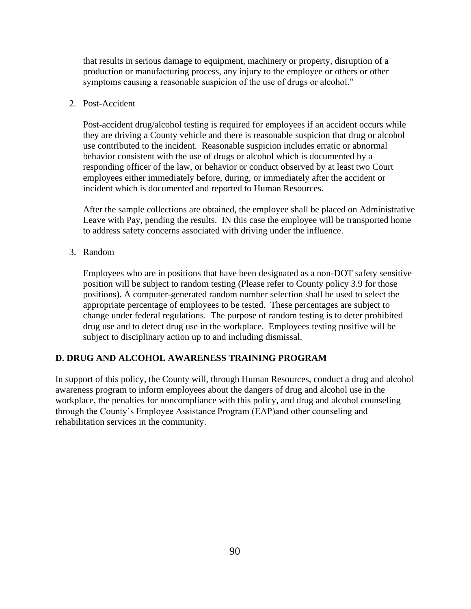that results in serious damage to equipment, machinery or property, disruption of a production or manufacturing process, any injury to the employee or others or other symptoms causing a reasonable suspicion of the use of drugs or alcohol."

## 2. Post-Accident

Post-accident drug/alcohol testing is required for employees if an accident occurs while they are driving a County vehicle and there is reasonable suspicion that drug or alcohol use contributed to the incident. Reasonable suspicion includes erratic or abnormal behavior consistent with the use of drugs or alcohol which is documented by a responding officer of the law, or behavior or conduct observed by at least two Court employees either immediately before, during, or immediately after the accident or incident which is documented and reported to Human Resources.

After the sample collections are obtained, the employee shall be placed on Administrative Leave with Pay, pending the results. IN this case the employee will be transported home to address safety concerns associated with driving under the influence.

3. Random

Employees who are in positions that have been designated as a non-DOT safety sensitive position will be subject to random testing (Please refer to County policy 3.9 for those positions). A computer-generated random number selection shall be used to select the appropriate percentage of employees to be tested. These percentages are subject to change under federal regulations. The purpose of random testing is to deter prohibited drug use and to detect drug use in the workplace. Employees testing positive will be subject to disciplinary action up to and including dismissal.

## **D. DRUG AND ALCOHOL AWARENESS TRAINING PROGRAM**

In support of this policy, the County will, through Human Resources, conduct a drug and alcohol awareness program to inform employees about the dangers of drug and alcohol use in the workplace, the penalties for noncompliance with this policy, and drug and alcohol counseling through the County's Employee Assistance Program (EAP)and other counseling and rehabilitation services in the community.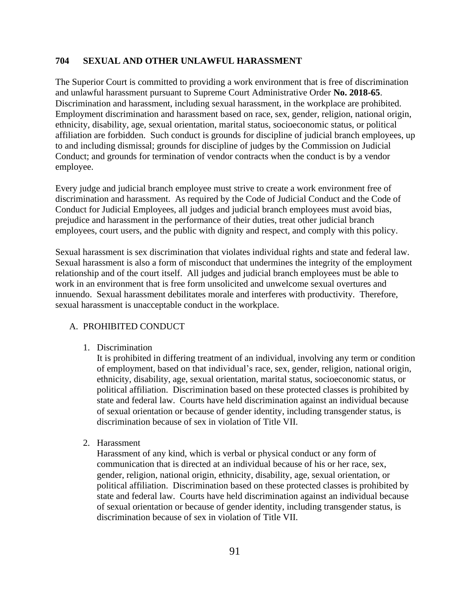## **704 SEXUAL AND OTHER UNLAWFUL HARASSMENT**

The Superior Court is committed to providing a work environment that is free of discrimination and unlawful harassment pursuant to Supreme Court Administrative Order **No. 2018-65**. Discrimination and harassment, including sexual harassment, in the workplace are prohibited. Employment discrimination and harassment based on race, sex, gender, religion, national origin, ethnicity, disability, age, sexual orientation, marital status, socioeconomic status, or political affiliation are forbidden. Such conduct is grounds for discipline of judicial branch employees, up to and including dismissal; grounds for discipline of judges by the Commission on Judicial Conduct; and grounds for termination of vendor contracts when the conduct is by a vendor employee.

Every judge and judicial branch employee must strive to create a work environment free of discrimination and harassment. As required by the Code of Judicial Conduct and the Code of Conduct for Judicial Employees, all judges and judicial branch employees must avoid bias, prejudice and harassment in the performance of their duties, treat other judicial branch employees, court users, and the public with dignity and respect, and comply with this policy.

Sexual harassment is sex discrimination that violates individual rights and state and federal law. Sexual harassment is also a form of misconduct that undermines the integrity of the employment relationship and of the court itself. All judges and judicial branch employees must be able to work in an environment that is free form unsolicited and unwelcome sexual overtures and innuendo. Sexual harassment debilitates morale and interferes with productivity. Therefore, sexual harassment is unacceptable conduct in the workplace.

### A. PROHIBITED CONDUCT

1. Discrimination

It is prohibited in differing treatment of an individual, involving any term or condition of employment, based on that individual's race, sex, gender, religion, national origin, ethnicity, disability, age, sexual orientation, marital status, socioeconomic status, or political affiliation. Discrimination based on these protected classes is prohibited by state and federal law. Courts have held discrimination against an individual because of sexual orientation or because of gender identity, including transgender status, is discrimination because of sex in violation of Title VII.

2. Harassment

Harassment of any kind, which is verbal or physical conduct or any form of communication that is directed at an individual because of his or her race, sex, gender, religion, national origin, ethnicity, disability, age, sexual orientation, or political affiliation. Discrimination based on these protected classes is prohibited by state and federal law. Courts have held discrimination against an individual because of sexual orientation or because of gender identity, including transgender status, is discrimination because of sex in violation of Title VII.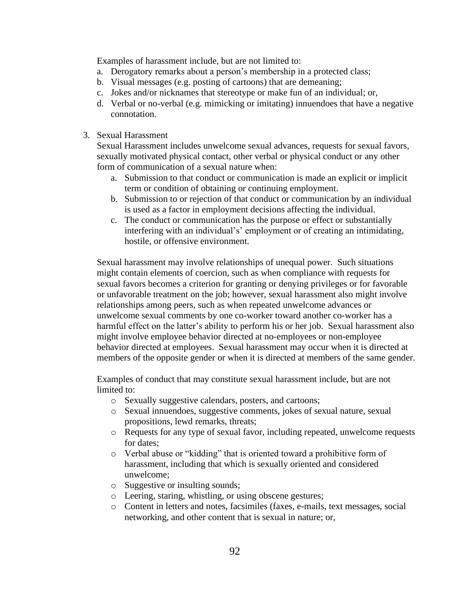Examples of harassment include, but are not limited to:

- a. Derogatory remarks about a person's membership in a protected class;
- b. Visual messages (e.g. posting of cartoons) that are demeaning;
- c. Jokes and/or nicknames that stereotype or make fun of an individual; or,
- d. Verbal or no-verbal (e.g. mimicking or imitating) innuendoes that have a negative connotation.
- 3. Sexual Harassment

Sexual Harassment includes unwelcome sexual advances, requests for sexual favors, sexually motivated physical contact, other verbal or physical conduct or any other form of communication of a sexual nature when:

- a. Submission to that conduct or communication is made an explicit or implicit term or condition of obtaining or continuing employment.
- b. Submission to or rejection of that conduct or communication by an individual is used as a factor in employment decisions affecting the individual.
- c. The conduct or communication has the purpose or effect or substantially interfering with an individual's' employment or of creating an intimidating, hostile, or offensive environment.

Sexual harassment may involve relationships of unequal power. Such situations might contain elements of coercion, such as when compliance with requests for sexual favors becomes a criterion for granting or denying privileges or for favorable or unfavorable treatment on the job; however, sexual harassment also might involve relationships among peers, such as when repeated unwelcome advances or unwelcome sexual comments by one co-worker toward another co-worker has a harmful effect on the latter's ability to perform his or her job. Sexual harassment also might involve employee behavior directed at no-employees or non-employee behavior directed at employees. Sexual harassment may occur when it is directed at members of the opposite gender or when it is directed at members of the same gender.

Examples of conduct that may constitute sexual harassment include, but are not limited to:

- o Sexually suggestive calendars, posters, and cartoons;
- o Sexual innuendoes, suggestive comments, jokes of sexual nature, sexual propositions, lewd remarks, threats;
- o Requests for any type of sexual favor, including repeated, unwelcome requests for dates;
- o Verbal abuse or "kidding" that is oriented toward a prohibitive form of harassment, including that which is sexually oriented and considered unwelcome;
- o Suggestive or insulting sounds;
- o Leering, staring, whistling, or using obscene gestures;
- o Content in letters and notes, facsimiles (faxes, e-mails, text messages, social networking, and other content that is sexual in nature; or,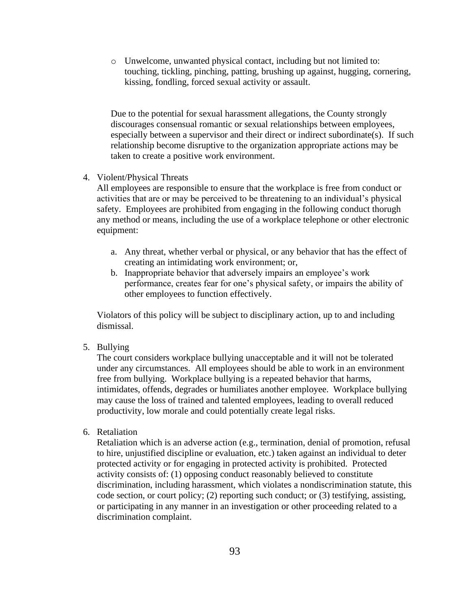o Unwelcome, unwanted physical contact, including but not limited to: touching, tickling, pinching, patting, brushing up against, hugging, cornering, kissing, fondling, forced sexual activity or assault.

Due to the potential for sexual harassment allegations, the County strongly discourages consensual romantic or sexual relationships between employees, especially between a supervisor and their direct or indirect subordinate(s). If such relationship become disruptive to the organization appropriate actions may be taken to create a positive work environment.

### 4. Violent/Physical Threats

All employees are responsible to ensure that the workplace is free from conduct or activities that are or may be perceived to be threatening to an individual's physical safety. Employees are prohibited from engaging in the following conduct thorugh any method or means, including the use of a workplace telephone or other electronic equipment:

- a. Any threat, whether verbal or physical, or any behavior that has the effect of creating an intimidating work environment; or,
- b. Inappropriate behavior that adversely impairs an employee's work performance, creates fear for one's physical safety, or impairs the ability of other employees to function effectively.

Violators of this policy will be subject to disciplinary action, up to and including dismissal.

5. Bullying

The court considers workplace bullying unacceptable and it will not be tolerated under any circumstances. All employees should be able to work in an environment free from bullying. Workplace bullying is a repeated behavior that harms, intimidates, offends, degrades or humiliates another employee. Workplace bullying may cause the loss of trained and talented employees, leading to overall reduced productivity, low morale and could potentially create legal risks.

6. Retaliation

Retaliation which is an adverse action (e.g., termination, denial of promotion, refusal to hire, unjustified discipline or evaluation, etc.) taken against an individual to deter protected activity or for engaging in protected activity is prohibited. Protected activity consists of: (1) opposing conduct reasonably believed to constitute discrimination, including harassment, which violates a nondiscrimination statute, this code section, or court policy; (2) reporting such conduct; or (3) testifying, assisting, or participating in any manner in an investigation or other proceeding related to a discrimination complaint.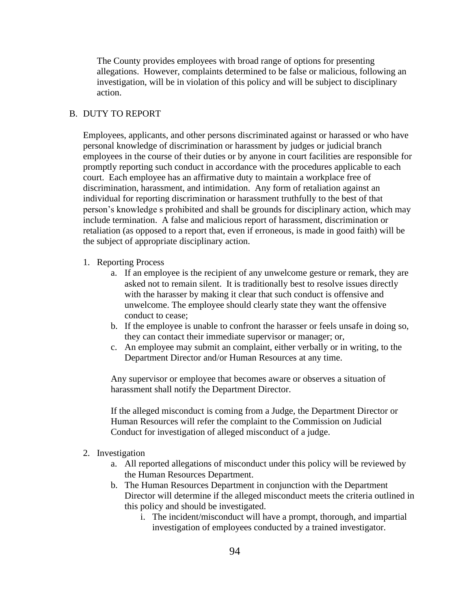The County provides employees with broad range of options for presenting allegations. However, complaints determined to be false or malicious, following an investigation, will be in violation of this policy and will be subject to disciplinary action.

## B. DUTY TO REPORT

Employees, applicants, and other persons discriminated against or harassed or who have personal knowledge of discrimination or harassment by judges or judicial branch employees in the course of their duties or by anyone in court facilities are responsible for promptly reporting such conduct in accordance with the procedures applicable to each court. Each employee has an affirmative duty to maintain a workplace free of discrimination, harassment, and intimidation. Any form of retaliation against an individual for reporting discrimination or harassment truthfully to the best of that person's knowledge s prohibited and shall be grounds for disciplinary action, which may include termination. A false and malicious report of harassment, discrimination or retaliation (as opposed to a report that, even if erroneous, is made in good faith) will be the subject of appropriate disciplinary action.

### 1. Reporting Process

- a. If an employee is the recipient of any unwelcome gesture or remark, they are asked not to remain silent. It is traditionally best to resolve issues directly with the harasser by making it clear that such conduct is offensive and unwelcome. The employee should clearly state they want the offensive conduct to cease;
- b. If the employee is unable to confront the harasser or feels unsafe in doing so, they can contact their immediate supervisor or manager; or,
- c. An employee may submit an complaint, either verbally or in writing, to the Department Director and/or Human Resources at any time.

Any supervisor or employee that becomes aware or observes a situation of harassment shall notify the Department Director.

If the alleged misconduct is coming from a Judge, the Department Director or Human Resources will refer the complaint to the Commission on Judicial Conduct for investigation of alleged misconduct of a judge.

- 2. Investigation
	- a. All reported allegations of misconduct under this policy will be reviewed by the Human Resources Department.
	- b. The Human Resources Department in conjunction with the Department Director will determine if the alleged misconduct meets the criteria outlined in this policy and should be investigated.
		- i. The incident/misconduct will have a prompt, thorough, and impartial investigation of employees conducted by a trained investigator.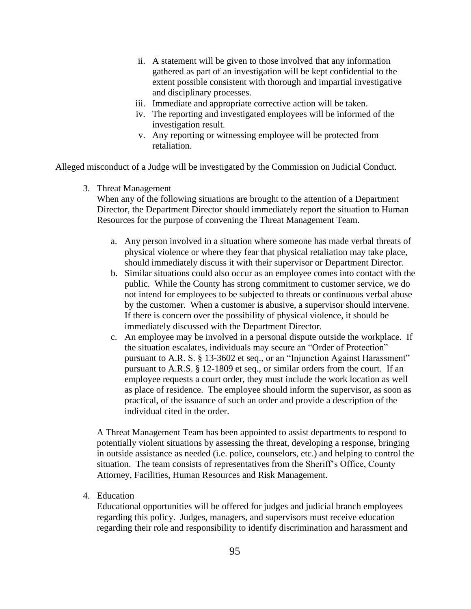- ii. A statement will be given to those involved that any information gathered as part of an investigation will be kept confidential to the extent possible consistent with thorough and impartial investigative and disciplinary processes.
- iii. Immediate and appropriate corrective action will be taken.
- iv. The reporting and investigated employees will be informed of the investigation result.
- v. Any reporting or witnessing employee will be protected from retaliation.

Alleged misconduct of a Judge will be investigated by the Commission on Judicial Conduct.

3. Threat Management

When any of the following situations are brought to the attention of a Department Director, the Department Director should immediately report the situation to Human Resources for the purpose of convening the Threat Management Team.

- a. Any person involved in a situation where someone has made verbal threats of physical violence or where they fear that physical retaliation may take place, should immediately discuss it with their supervisor or Department Director.
- b. Similar situations could also occur as an employee comes into contact with the public. While the County has strong commitment to customer service, we do not intend for employees to be subjected to threats or continuous verbal abuse by the customer. When a customer is abusive, a supervisor should intervene. If there is concern over the possibility of physical violence, it should be immediately discussed with the Department Director.
- c. An employee may be involved in a personal dispute outside the workplace. If the situation escalates, individuals may secure an "Order of Protection" pursuant to A.R. S. § 13-3602 et seq., or an "Injunction Against Harassment" pursuant to A.R.S. § 12-1809 et seq., or similar orders from the court. If an employee requests a court order, they must include the work location as well as place of residence. The employee should inform the supervisor, as soon as practical, of the issuance of such an order and provide a description of the individual cited in the order.

A Threat Management Team has been appointed to assist departments to respond to potentially violent situations by assessing the threat, developing a response, bringing in outside assistance as needed (i.e. police, counselors, etc.) and helping to control the situation. The team consists of representatives from the Sheriff's Office, County Attorney, Facilities, Human Resources and Risk Management.

4. Education

Educational opportunities will be offered for judges and judicial branch employees regarding this policy. Judges, managers, and supervisors must receive education regarding their role and responsibility to identify discrimination and harassment and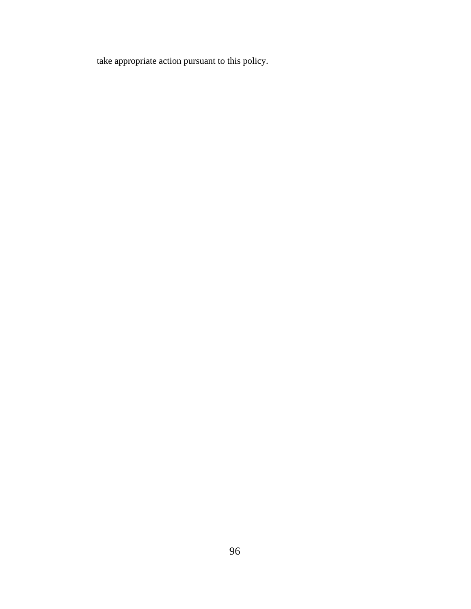take appropriate action pursuant to this policy.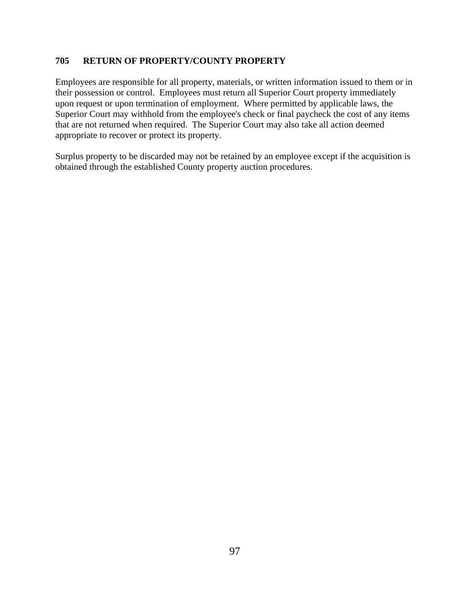# **705 RETURN OF PROPERTY/COUNTY PROPERTY**

Employees are responsible for all property, materials, or written information issued to them or in their possession or control. Employees must return all Superior Court property immediately upon request or upon termination of employment. Where permitted by applicable laws, the Superior Court may withhold from the employee's check or final paycheck the cost of any items that are not returned when required. The Superior Court may also take all action deemed appropriate to recover or protect its property.

Surplus property to be discarded may not be retained by an employee except if the acquisition is obtained through the established County property auction procedures.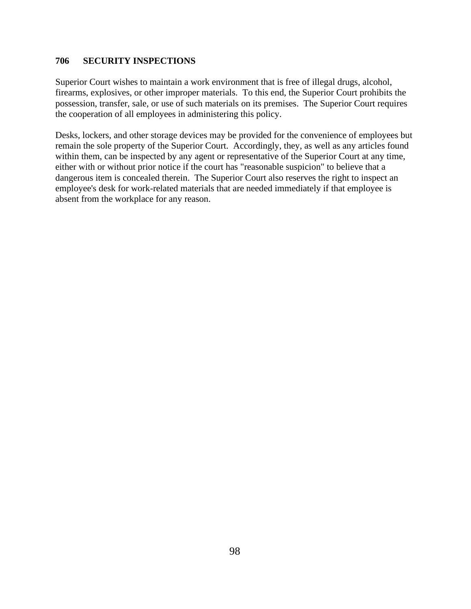## **706 SECURITY INSPECTIONS**

Superior Court wishes to maintain a work environment that is free of illegal drugs, alcohol, firearms, explosives, or other improper materials. To this end, the Superior Court prohibits the possession, transfer, sale, or use of such materials on its premises. The Superior Court requires the cooperation of all employees in administering this policy.

Desks, lockers, and other storage devices may be provided for the convenience of employees but remain the sole property of the Superior Court. Accordingly, they, as well as any articles found within them, can be inspected by any agent or representative of the Superior Court at any time, either with or without prior notice if the court has "reasonable suspicion" to believe that a dangerous item is concealed therein. The Superior Court also reserves the right to inspect an employee's desk for work-related materials that are needed immediately if that employee is absent from the workplace for any reason.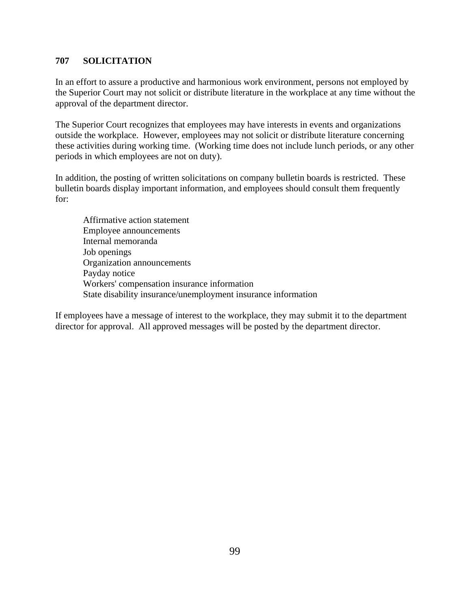# **707 SOLICITATION**

In an effort to assure a productive and harmonious work environment, persons not employed by the Superior Court may not solicit or distribute literature in the workplace at any time without the approval of the department director.

The Superior Court recognizes that employees may have interests in events and organizations outside the workplace. However, employees may not solicit or distribute literature concerning these activities during working time. (Working time does not include lunch periods, or any other periods in which employees are not on duty).

In addition, the posting of written solicitations on company bulletin boards is restricted. These bulletin boards display important information, and employees should consult them frequently for:

Affirmative action statement Employee announcements Internal memoranda Job openings Organization announcements Payday notice Workers' compensation insurance information State disability insurance/unemployment insurance information

If employees have a message of interest to the workplace, they may submit it to the department director for approval. All approved messages will be posted by the department director.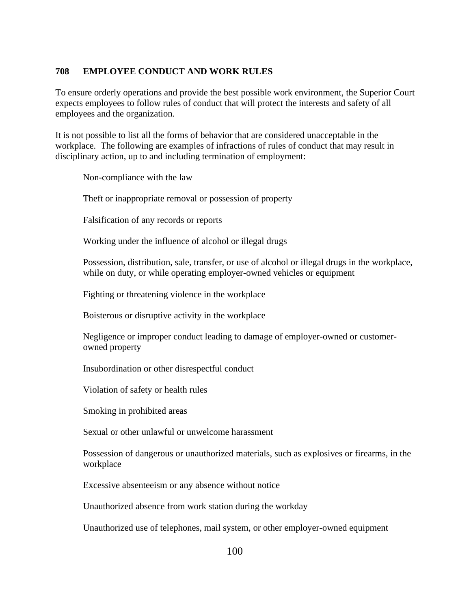# **708 EMPLOYEE CONDUCT AND WORK RULES**

To ensure orderly operations and provide the best possible work environment, the Superior Court expects employees to follow rules of conduct that will protect the interests and safety of all employees and the organization.

It is not possible to list all the forms of behavior that are considered unacceptable in the workplace. The following are examples of infractions of rules of conduct that may result in disciplinary action, up to and including termination of employment:

Non-compliance with the law

Theft or inappropriate removal or possession of property

Falsification of any records or reports

Working under the influence of alcohol or illegal drugs

Possession, distribution, sale, transfer, or use of alcohol or illegal drugs in the workplace, while on duty, or while operating employer-owned vehicles or equipment

Fighting or threatening violence in the workplace

Boisterous or disruptive activity in the workplace

Negligence or improper conduct leading to damage of employer-owned or customerowned property

Insubordination or other disrespectful conduct

Violation of safety or health rules

Smoking in prohibited areas

Sexual or other unlawful or unwelcome harassment

Possession of dangerous or unauthorized materials, such as explosives or firearms, in the workplace

Excessive absenteeism or any absence without notice

Unauthorized absence from work station during the workday

Unauthorized use of telephones, mail system, or other employer-owned equipment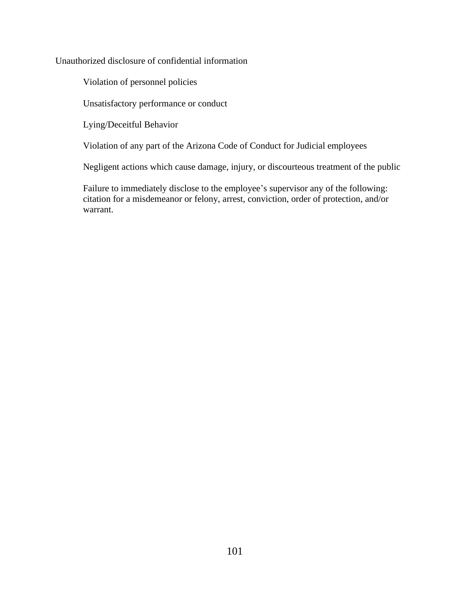Unauthorized disclosure of confidential information

Violation of personnel policies

Unsatisfactory performance or conduct

Lying/Deceitful Behavior

Violation of any part of the Arizona Code of Conduct for Judicial employees

Negligent actions which cause damage, injury, or discourteous treatment of the public

Failure to immediately disclose to the employee's supervisor any of the following: citation for a misdemeanor or felony, arrest, conviction, order of protection, and/or warrant.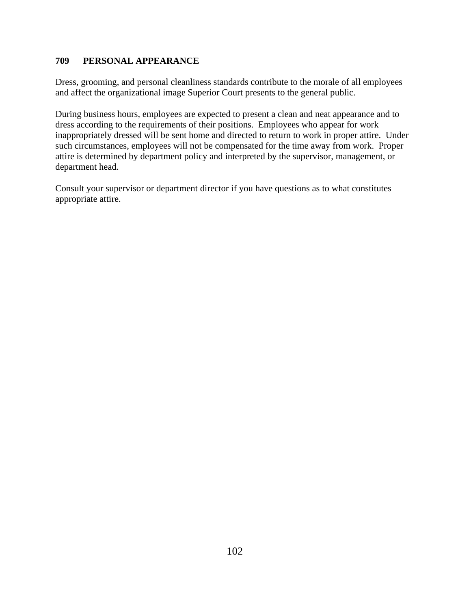# **709 PERSONAL APPEARANCE**

Dress, grooming, and personal cleanliness standards contribute to the morale of all employees and affect the organizational image Superior Court presents to the general public.

During business hours, employees are expected to present a clean and neat appearance and to dress according to the requirements of their positions. Employees who appear for work inappropriately dressed will be sent home and directed to return to work in proper attire. Under such circumstances, employees will not be compensated for the time away from work. Proper attire is determined by department policy and interpreted by the supervisor, management, or department head.

Consult your supervisor or department director if you have questions as to what constitutes appropriate attire.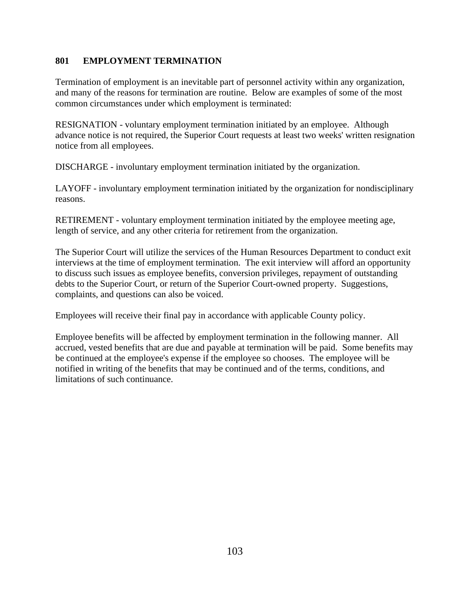# **801 EMPLOYMENT TERMINATION**

Termination of employment is an inevitable part of personnel activity within any organization, and many of the reasons for termination are routine. Below are examples of some of the most common circumstances under which employment is terminated:

RESIGNATION - voluntary employment termination initiated by an employee. Although advance notice is not required, the Superior Court requests at least two weeks' written resignation notice from all employees.

DISCHARGE - involuntary employment termination initiated by the organization.

LAYOFF - involuntary employment termination initiated by the organization for nondisciplinary reasons.

RETIREMENT - voluntary employment termination initiated by the employee meeting age, length of service, and any other criteria for retirement from the organization.

The Superior Court will utilize the services of the Human Resources Department to conduct exit interviews at the time of employment termination. The exit interview will afford an opportunity to discuss such issues as employee benefits, conversion privileges, repayment of outstanding debts to the Superior Court, or return of the Superior Court-owned property. Suggestions, complaints, and questions can also be voiced.

Employees will receive their final pay in accordance with applicable County policy.

Employee benefits will be affected by employment termination in the following manner. All accrued, vested benefits that are due and payable at termination will be paid. Some benefits may be continued at the employee's expense if the employee so chooses. The employee will be notified in writing of the benefits that may be continued and of the terms, conditions, and limitations of such continuance.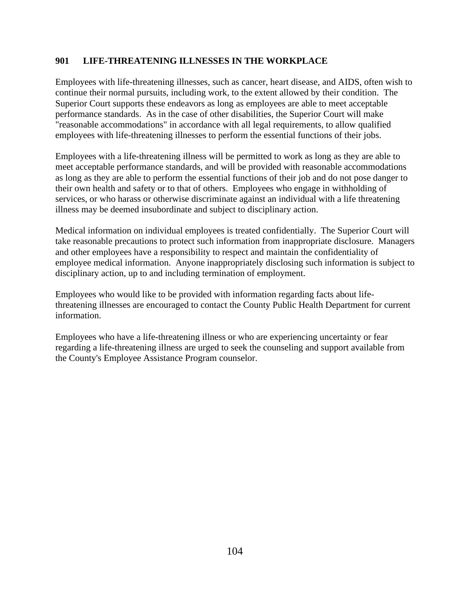# **901 LIFE-THREATENING ILLNESSES IN THE WORKPLACE**

Employees with life-threatening illnesses, such as cancer, heart disease, and AIDS, often wish to continue their normal pursuits, including work, to the extent allowed by their condition. The Superior Court supports these endeavors as long as employees are able to meet acceptable performance standards. As in the case of other disabilities, the Superior Court will make "reasonable accommodations" in accordance with all legal requirements, to allow qualified employees with life-threatening illnesses to perform the essential functions of their jobs.

Employees with a life-threatening illness will be permitted to work as long as they are able to meet acceptable performance standards, and will be provided with reasonable accommodations as long as they are able to perform the essential functions of their job and do not pose danger to their own health and safety or to that of others. Employees who engage in withholding of services, or who harass or otherwise discriminate against an individual with a life threatening illness may be deemed insubordinate and subject to disciplinary action.

Medical information on individual employees is treated confidentially. The Superior Court will take reasonable precautions to protect such information from inappropriate disclosure. Managers and other employees have a responsibility to respect and maintain the confidentiality of employee medical information. Anyone inappropriately disclosing such information is subject to disciplinary action, up to and including termination of employment.

Employees who would like to be provided with information regarding facts about lifethreatening illnesses are encouraged to contact the County Public Health Department for current information.

Employees who have a life-threatening illness or who are experiencing uncertainty or fear regarding a life-threatening illness are urged to seek the counseling and support available from the County's Employee Assistance Program counselor.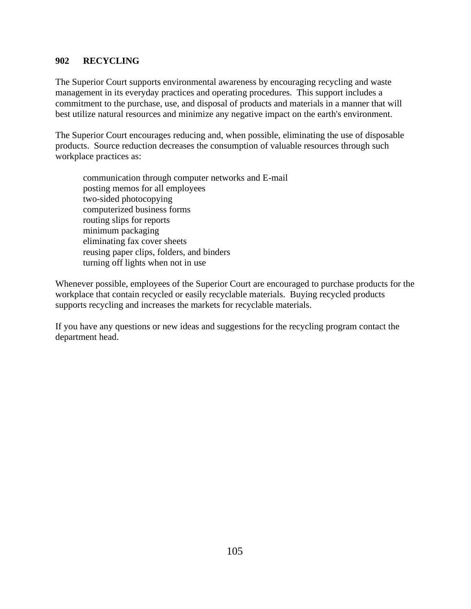# **902 RECYCLING**

The Superior Court supports environmental awareness by encouraging recycling and waste management in its everyday practices and operating procedures. This support includes a commitment to the purchase, use, and disposal of products and materials in a manner that will best utilize natural resources and minimize any negative impact on the earth's environment.

The Superior Court encourages reducing and, when possible, eliminating the use of disposable products. Source reduction decreases the consumption of valuable resources through such workplace practices as:

communication through computer networks and E-mail posting memos for all employees two-sided photocopying computerized business forms routing slips for reports minimum packaging eliminating fax cover sheets reusing paper clips, folders, and binders turning off lights when not in use

Whenever possible, employees of the Superior Court are encouraged to purchase products for the workplace that contain recycled or easily recyclable materials. Buying recycled products supports recycling and increases the markets for recyclable materials.

If you have any questions or new ideas and suggestions for the recycling program contact the department head.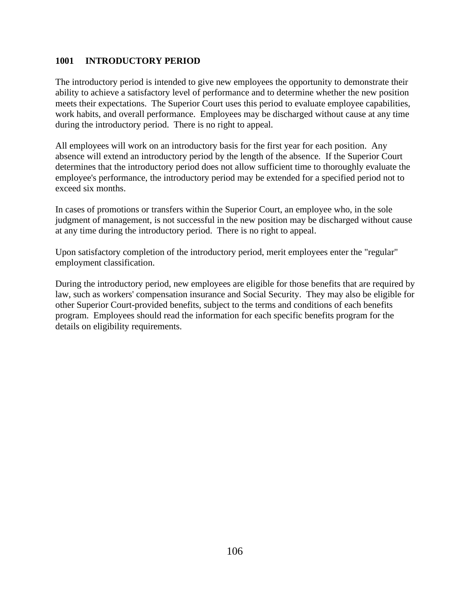# **1001 INTRODUCTORY PERIOD**

The introductory period is intended to give new employees the opportunity to demonstrate their ability to achieve a satisfactory level of performance and to determine whether the new position meets their expectations. The Superior Court uses this period to evaluate employee capabilities, work habits, and overall performance. Employees may be discharged without cause at any time during the introductory period. There is no right to appeal.

All employees will work on an introductory basis for the first year for each position. Any absence will extend an introductory period by the length of the absence. If the Superior Court determines that the introductory period does not allow sufficient time to thoroughly evaluate the employee's performance, the introductory period may be extended for a specified period not to exceed six months.

In cases of promotions or transfers within the Superior Court, an employee who, in the sole judgment of management, is not successful in the new position may be discharged without cause at any time during the introductory period. There is no right to appeal.

Upon satisfactory completion of the introductory period, merit employees enter the "regular" employment classification.

During the introductory period, new employees are eligible for those benefits that are required by law, such as workers' compensation insurance and Social Security. They may also be eligible for other Superior Court-provided benefits, subject to the terms and conditions of each benefits program. Employees should read the information for each specific benefits program for the details on eligibility requirements.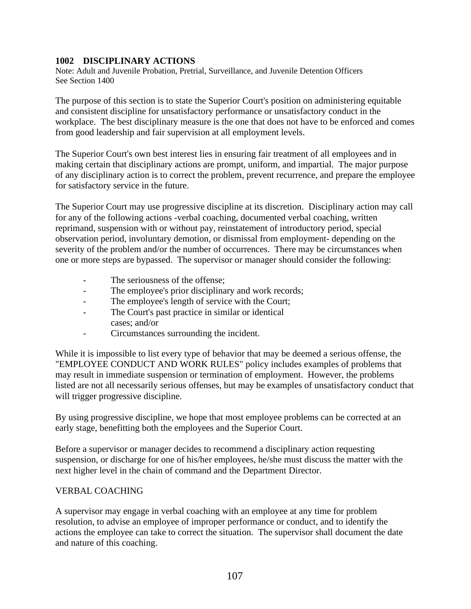# **1002 DISCIPLINARY ACTIONS**

Note: Adult and Juvenile Probation, Pretrial, Surveillance, and Juvenile Detention Officers See Section 1400

The purpose of this section is to state the Superior Court's position on administering equitable and consistent discipline for unsatisfactory performance or unsatisfactory conduct in the workplace. The best disciplinary measure is the one that does not have to be enforced and comes from good leadership and fair supervision at all employment levels.

The Superior Court's own best interest lies in ensuring fair treatment of all employees and in making certain that disciplinary actions are prompt, uniform, and impartial. The major purpose of any disciplinary action is to correct the problem, prevent recurrence, and prepare the employee for satisfactory service in the future.

The Superior Court may use progressive discipline at its discretion. Disciplinary action may call for any of the following actions -verbal coaching, documented verbal coaching, written reprimand, suspension with or without pay, reinstatement of introductory period, special observation period, involuntary demotion, or dismissal from employment- depending on the severity of the problem and/or the number of occurrences. There may be circumstances when one or more steps are bypassed. The supervisor or manager should consider the following:

- The seriousness of the offense:
- The employee's prior disciplinary and work records;
- The employee's length of service with the Court;
- The Court's past practice in similar or identical cases; and/or
- Circumstances surrounding the incident.

While it is impossible to list every type of behavior that may be deemed a serious offense, the "EMPLOYEE CONDUCT AND WORK RULES" policy includes examples of problems that may result in immediate suspension or termination of employment. However, the problems listed are not all necessarily serious offenses, but may be examples of unsatisfactory conduct that will trigger progressive discipline.

By using progressive discipline, we hope that most employee problems can be corrected at an early stage, benefitting both the employees and the Superior Court.

Before a supervisor or manager decides to recommend a disciplinary action requesting suspension, or discharge for one of his/her employees, he/she must discuss the matter with the next higher level in the chain of command and the Department Director.

# VERBAL COACHING

A supervisor may engage in verbal coaching with an employee at any time for problem resolution, to advise an employee of improper performance or conduct, and to identify the actions the employee can take to correct the situation. The supervisor shall document the date and nature of this coaching.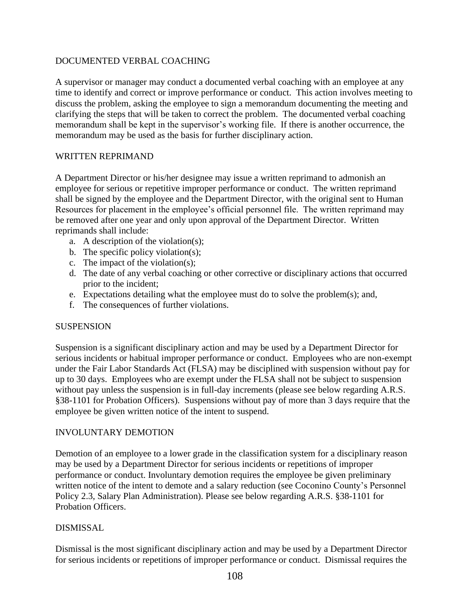# DOCUMENTED VERBAL COACHING

A supervisor or manager may conduct a documented verbal coaching with an employee at any time to identify and correct or improve performance or conduct. This action involves meeting to discuss the problem, asking the employee to sign a memorandum documenting the meeting and clarifying the steps that will be taken to correct the problem. The documented verbal coaching memorandum shall be kept in the supervisor's working file. If there is another occurrence, the memorandum may be used as the basis for further disciplinary action.

## WRITTEN REPRIMAND

A Department Director or his/her designee may issue a written reprimand to admonish an employee for serious or repetitive improper performance or conduct. The written reprimand shall be signed by the employee and the Department Director, with the original sent to Human Resources for placement in the employee's official personnel file. The written reprimand may be removed after one year and only upon approval of the Department Director. Written reprimands shall include:

- a. A description of the violation(s);
- b. The specific policy violation(s);
- c. The impact of the violation(s);
- d. The date of any verbal coaching or other corrective or disciplinary actions that occurred prior to the incident;
- e. Expectations detailing what the employee must do to solve the problem(s); and,
- f. The consequences of further violations.

## SUSPENSION

Suspension is a significant disciplinary action and may be used by a Department Director for serious incidents or habitual improper performance or conduct. Employees who are non-exempt under the Fair Labor Standards Act (FLSA) may be disciplined with suspension without pay for up to 30 days. Employees who are exempt under the FLSA shall not be subject to suspension without pay unless the suspension is in full-day increments (please see below regarding A.R.S. §38-1101 for Probation Officers). Suspensions without pay of more than 3 days require that the employee be given written notice of the intent to suspend.

## INVOLUNTARY DEMOTION

Demotion of an employee to a lower grade in the classification system for a disciplinary reason may be used by a Department Director for serious incidents or repetitions of improper performance or conduct. Involuntary demotion requires the employee be given preliminary written notice of the intent to demote and a salary reduction (see Coconino County's Personnel Policy 2.3, Salary Plan Administration). Please see below regarding A.R.S. §38-1101 for Probation Officers.

## DISMISSAL

Dismissal is the most significant disciplinary action and may be used by a Department Director for serious incidents or repetitions of improper performance or conduct. Dismissal requires the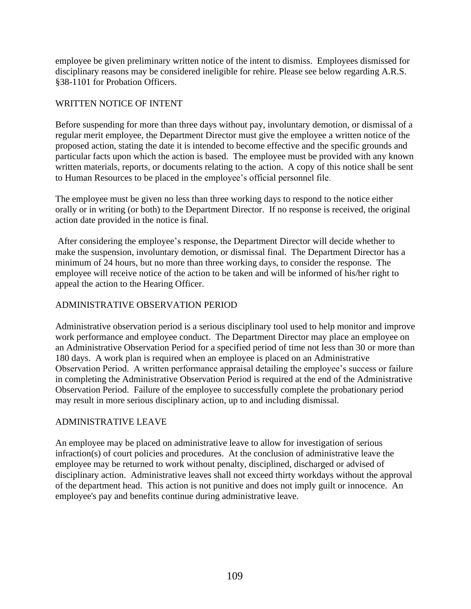employee be given preliminary written notice of the intent to dismiss. Employees dismissed for disciplinary reasons may be considered ineligible for rehire. Please see below regarding A.R.S. §38-1101 for Probation Officers.

## WRITTEN NOTICE OF INTENT

Before suspending for more than three days without pay, involuntary demotion, or dismissal of a regular merit employee, the Department Director must give the employee a written notice of the proposed action, stating the date it is intended to become effective and the specific grounds and particular facts upon which the action is based. The employee must be provided with any known written materials, reports, or documents relating to the action. A copy of this notice shall be sent to Human Resources to be placed in the employee's official personnel file.

The employee must be given no less than three working days to respond to the notice either orally or in writing (or both) to the Department Director. If no response is received, the original action date provided in the notice is final.

After considering the employee's response, the Department Director will decide whether to make the suspension, involuntary demotion, or dismissal final. The Department Director has a minimum of 24 hours, but no more than three working days, to consider the response. The employee will receive notice of the action to be taken and will be informed of his/her right to appeal the action to the Hearing Officer.

## ADMINISTRATIVE OBSERVATION PERIOD

Administrative observation period is a serious disciplinary tool used to help monitor and improve work performance and employee conduct. The Department Director may place an employee on an Administrative Observation Period for a specified period of time not less than 30 or more than 180 days. A work plan is required when an employee is placed on an Administrative Observation Period. A written performance appraisal detailing the employee's success or failure in completing the Administrative Observation Period is required at the end of the Administrative Observation Period. Failure of the employee to successfully complete the probationary period may result in more serious disciplinary action, up to and including dismissal.

#### ADMINISTRATIVE LEAVE

An employee may be placed on administrative leave to allow for investigation of serious infraction(s) of court policies and procedures. At the conclusion of administrative leave the employee may be returned to work without penalty, disciplined, discharged or advised of disciplinary action. Administrative leaves shall not exceed thirty workdays without the approval of the department head. This action is not punitive and does not imply guilt or innocence. An employee's pay and benefits continue during administrative leave.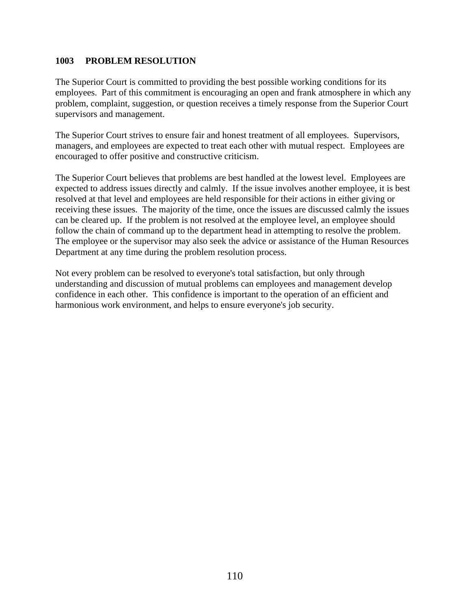#### **1003 PROBLEM RESOLUTION**

The Superior Court is committed to providing the best possible working conditions for its employees. Part of this commitment is encouraging an open and frank atmosphere in which any problem, complaint, suggestion, or question receives a timely response from the Superior Court supervisors and management.

The Superior Court strives to ensure fair and honest treatment of all employees. Supervisors, managers, and employees are expected to treat each other with mutual respect. Employees are encouraged to offer positive and constructive criticism.

The Superior Court believes that problems are best handled at the lowest level. Employees are expected to address issues directly and calmly. If the issue involves another employee, it is best resolved at that level and employees are held responsible for their actions in either giving or receiving these issues. The majority of the time, once the issues are discussed calmly the issues can be cleared up. If the problem is not resolved at the employee level, an employee should follow the chain of command up to the department head in attempting to resolve the problem. The employee or the supervisor may also seek the advice or assistance of the Human Resources Department at any time during the problem resolution process.

Not every problem can be resolved to everyone's total satisfaction, but only through understanding and discussion of mutual problems can employees and management develop confidence in each other. This confidence is important to the operation of an efficient and harmonious work environment, and helps to ensure everyone's job security.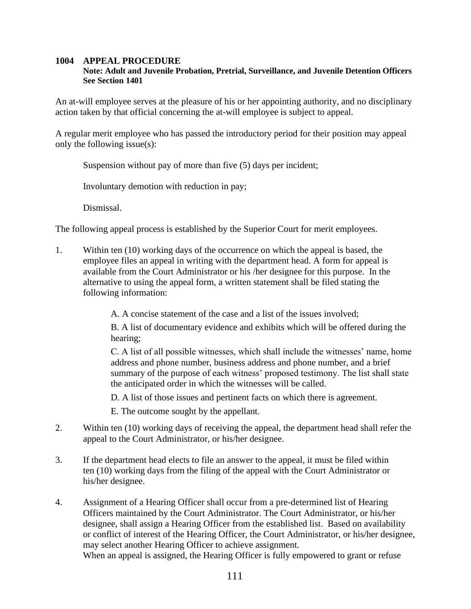#### **1004 APPEAL PROCEDURE**

#### **Note: Adult and Juvenile Probation, Pretrial, Surveillance, and Juvenile Detention Officers See Section 1401**

An at-will employee serves at the pleasure of his or her appointing authority, and no disciplinary action taken by that official concerning the at-will employee is subject to appeal.

A regular merit employee who has passed the introductory period for their position may appeal only the following issue(s):

Suspension without pay of more than five (5) days per incident;

Involuntary demotion with reduction in pay;

Dismissal.

The following appeal process is established by the Superior Court for merit employees.

1. Within ten (10) working days of the occurrence on which the appeal is based, the employee files an appeal in writing with the department head. A form for appeal is available from the Court Administrator or his /her designee for this purpose. In the alternative to using the appeal form, a written statement shall be filed stating the following information:

A. A concise statement of the case and a list of the issues involved;

B. A list of documentary evidence and exhibits which will be offered during the hearing;

C. A list of all possible witnesses, which shall include the witnesses' name, home address and phone number, business address and phone number, and a brief summary of the purpose of each witness' proposed testimony. The list shall state the anticipated order in which the witnesses will be called.

D. A list of those issues and pertinent facts on which there is agreement.

E. The outcome sought by the appellant.

- 2. Within ten (10) working days of receiving the appeal, the department head shall refer the appeal to the Court Administrator, or his/her designee.
- 3. If the department head elects to file an answer to the appeal, it must be filed within ten (10) working days from the filing of the appeal with the Court Administrator or his/her designee.
- 4. Assignment of a Hearing Officer shall occur from a pre-determined list of Hearing Officers maintained by the Court Administrator. The Court Administrator, or his/her designee, shall assign a Hearing Officer from the established list. Based on availability or conflict of interest of the Hearing Officer, the Court Administrator, or his/her designee, may select another Hearing Officer to achieve assignment. When an appeal is assigned, the Hearing Officer is fully empowered to grant or refuse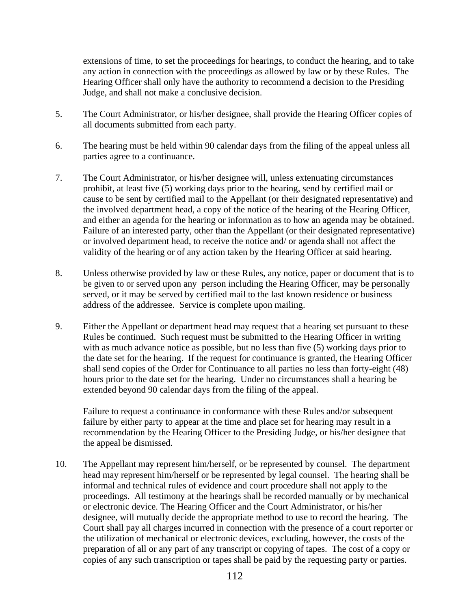extensions of time, to set the proceedings for hearings, to conduct the hearing, and to take any action in connection with the proceedings as allowed by law or by these Rules. The Hearing Officer shall only have the authority to recommend a decision to the Presiding Judge, and shall not make a conclusive decision.

- 5. The Court Administrator, or his/her designee, shall provide the Hearing Officer copies of all documents submitted from each party.
- 6. The hearing must be held within 90 calendar days from the filing of the appeal unless all parties agree to a continuance.
- 7. The Court Administrator, or his/her designee will, unless extenuating circumstances prohibit, at least five (5) working days prior to the hearing, send by certified mail or cause to be sent by certified mail to the Appellant (or their designated representative) and the involved department head, a copy of the notice of the hearing of the Hearing Officer, and either an agenda for the hearing or information as to how an agenda may be obtained. Failure of an interested party, other than the Appellant (or their designated representative) or involved department head, to receive the notice and/ or agenda shall not affect the validity of the hearing or of any action taken by the Hearing Officer at said hearing.
- 8. Unless otherwise provided by law or these Rules, any notice, paper or document that is to be given to or served upon any person including the Hearing Officer, may be personally served, or it may be served by certified mail to the last known residence or business address of the addressee. Service is complete upon mailing.
- 9. Either the Appellant or department head may request that a hearing set pursuant to these Rules be continued. Such request must be submitted to the Hearing Officer in writing with as much advance notice as possible, but no less than five  $(5)$  working days prior to the date set for the hearing. If the request for continuance is granted, the Hearing Officer shall send copies of the Order for Continuance to all parties no less than forty-eight (48) hours prior to the date set for the hearing. Under no circumstances shall a hearing be extended beyond 90 calendar days from the filing of the appeal.

Failure to request a continuance in conformance with these Rules and/or subsequent failure by either party to appear at the time and place set for hearing may result in a recommendation by the Hearing Officer to the Presiding Judge, or his/her designee that the appeal be dismissed.

10. The Appellant may represent him/herself, or be represented by counsel. The department head may represent him/herself or be represented by legal counsel. The hearing shall be informal and technical rules of evidence and court procedure shall not apply to the proceedings. All testimony at the hearings shall be recorded manually or by mechanical or electronic device. The Hearing Officer and the Court Administrator, or his/her designee, will mutually decide the appropriate method to use to record the hearing. The Court shall pay all charges incurred in connection with the presence of a court reporter or the utilization of mechanical or electronic devices, excluding, however, the costs of the preparation of all or any part of any transcript or copying of tapes. The cost of a copy or copies of any such transcription or tapes shall be paid by the requesting party or parties.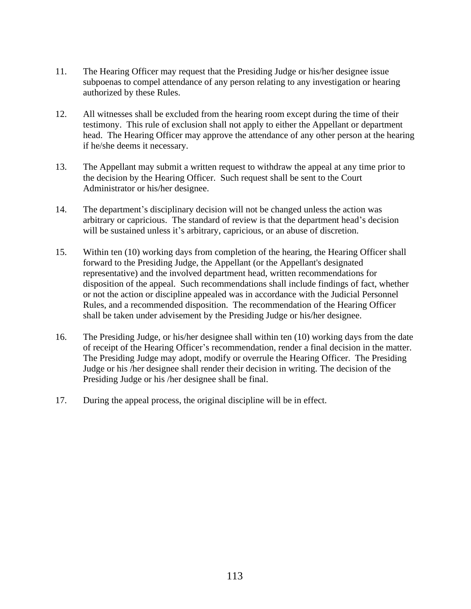- 11. The Hearing Officer may request that the Presiding Judge or his/her designee issue subpoenas to compel attendance of any person relating to any investigation or hearing authorized by these Rules.
- 12. All witnesses shall be excluded from the hearing room except during the time of their testimony. This rule of exclusion shall not apply to either the Appellant or department head. The Hearing Officer may approve the attendance of any other person at the hearing if he/she deems it necessary.
- 13. The Appellant may submit a written request to withdraw the appeal at any time prior to the decision by the Hearing Officer. Such request shall be sent to the Court Administrator or his/her designee.
- 14. The department's disciplinary decision will not be changed unless the action was arbitrary or capricious. The standard of review is that the department head's decision will be sustained unless it's arbitrary, capricious, or an abuse of discretion.
- 15. Within ten (10) working days from completion of the hearing, the Hearing Officer shall forward to the Presiding Judge, the Appellant (or the Appellant's designated representative) and the involved department head, written recommendations for disposition of the appeal. Such recommendations shall include findings of fact, whether or not the action or discipline appealed was in accordance with the Judicial Personnel Rules, and a recommended disposition. The recommendation of the Hearing Officer shall be taken under advisement by the Presiding Judge or his/her designee.
- 16. The Presiding Judge, or his/her designee shall within ten (10) working days from the date of receipt of the Hearing Officer's recommendation, render a final decision in the matter. The Presiding Judge may adopt, modify or overrule the Hearing Officer. The Presiding Judge or his /her designee shall render their decision in writing. The decision of the Presiding Judge or his /her designee shall be final.
- 17. During the appeal process, the original discipline will be in effect.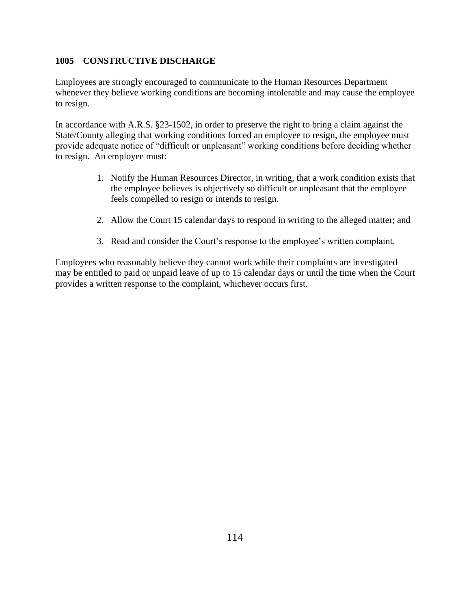## **1005 CONSTRUCTIVE DISCHARGE**

Employees are strongly encouraged to communicate to the Human Resources Department whenever they believe working conditions are becoming intolerable and may cause the employee to resign.

In accordance with A.R.S. §23-1502, in order to preserve the right to bring a claim against the State/County alleging that working conditions forced an employee to resign, the employee must provide adequate notice of "difficult or unpleasant" working conditions before deciding whether to resign. An employee must:

- 1. Notify the Human Resources Director, in writing, that a work condition exists that the employee believes is objectively so difficult or unpleasant that the employee feels compelled to resign or intends to resign.
- 2. Allow the Court 15 calendar days to respond in writing to the alleged matter; and
- 3. Read and consider the Court's response to the employee's written complaint.

Employees who reasonably believe they cannot work while their complaints are investigated may be entitled to paid or unpaid leave of up to 15 calendar days or until the time when the Court provides a written response to the complaint, whichever occurs first.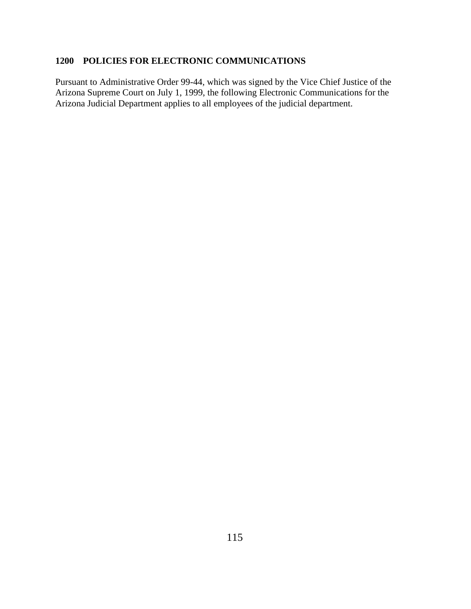# **1200 POLICIES FOR ELECTRONIC COMMUNICATIONS**

Pursuant to Administrative Order 99-44, which was signed by the Vice Chief Justice of the Arizona Supreme Court on July 1, 1999, the following Electronic Communications for the Arizona Judicial Department applies to all employees of the judicial department.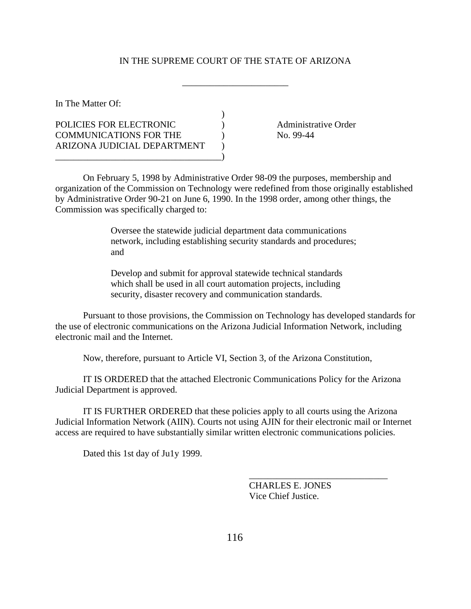#### IN THE SUPREME COURT OF THE STATE OF ARIZONA

\_\_\_\_\_\_\_\_\_\_\_\_\_\_\_\_\_\_\_\_\_\_\_

 $\lambda$ 

In The Matter Of:

POLICIES FOR ELECTRONIC ) Administrative Order COMMUNICATIONS FOR THE  $\qquad \qquad$  No. 99-44 ARIZONA JUDICIAL DEPARTMENT \_\_\_\_\_\_\_\_\_\_\_\_\_\_\_\_\_\_\_\_\_\_\_\_\_\_\_\_\_\_\_\_\_\_\_\_)

On February 5, 1998 by Administrative Order 98-09 the purposes, membership and organization of the Commission on Technology were redefined from those originally established by Administrative Order 90-21 on June 6, 1990. In the 1998 order, among other things, the Commission was specifically charged to:

> Oversee the statewide judicial department data communications network, including establishing security standards and procedures; and

Develop and submit for approval statewide technical standards which shall be used in all court automation projects, including security, disaster recovery and communication standards.

Pursuant to those provisions, the Commission on Technology has developed standards for the use of electronic communications on the Arizona Judicial Information Network, including electronic mail and the Internet.

Now, therefore, pursuant to Article VI, Section 3, of the Arizona Constitution,

IT IS ORDERED that the attached Electronic Communications Policy for the Arizona Judicial Department is approved.

IT IS FURTHER ORDERED that these policies apply to all courts using the Arizona Judicial Information Network (AIIN). Courts not using AJIN for their electronic mail or Internet access are required to have substantially similar written electronic communications policies.

Dated this 1st day of Ju1y 1999.

CHARLES E. JONES Vice Chief Justice.

\_\_\_\_\_\_\_\_\_\_\_\_\_\_\_\_\_\_\_\_\_\_\_\_\_\_\_\_\_\_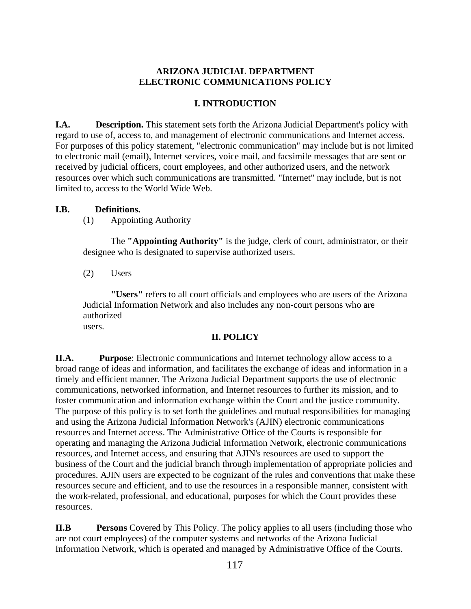## **ARIZONA JUDICIAL DEPARTMENT ELECTRONIC COMMUNICATIONS POLICY**

## **I. INTRODUCTION**

**I.A. Description.** This statement sets forth the Arizona Judicial Department's policy with regard to use of, access to, and management of electronic communications and Internet access. For purposes of this policy statement, "electronic communication" may include but is not limited to electronic mail (email), Internet services, voice mail, and facsimile messages that are sent or received by judicial officers, court employees, and other authorized users, and the network resources over which such communications are transmitted. "Internet" may include, but is not limited to, access to the World Wide Web.

## **I.B. Definitions.**

(1) Appointing Authority

The **"Appointing Authority"** is the judge, clerk of court, administrator, or their designee who is designated to supervise authorized users.

(2) Users

**"Users"** refers to all court officials and employees who are users of the Arizona Judicial Information Network and also includes any non-court persons who are authorized users.

## **II. POLICY**

**II.A. Purpose**: Electronic communications and Internet technology allow access to a broad range of ideas and information, and facilitates the exchange of ideas and information in a timely and efficient manner. The Arizona Judicial Department supports the use of electronic communications, networked information, and Internet resources to further its mission, and to foster communication and information exchange within the Court and the justice community. The purpose of this policy is to set forth the guidelines and mutual responsibilities for managing and using the Arizona Judicial Information Network's (AJIN) electronic communications resources and Internet access. The Administrative Office of the Courts is responsible for operating and managing the Arizona Judicial Information Network, electronic communications resources, and Internet access, and ensuring that AJIN's resources are used to support the business of the Court and the judicial branch through implementation of appropriate policies and procedures. AJIN users are expected to be cognizant of the rules and conventions that make these resources secure and efficient, and to use the resources in a responsible manner, consistent with the work-related, professional, and educational, purposes for which the Court provides these resources.

**II.B Persons** Covered by This Policy. The policy applies to all users (including those who are not court employees) of the computer systems and networks of the Arizona Judicial Information Network, which is operated and managed by Administrative Office of the Courts.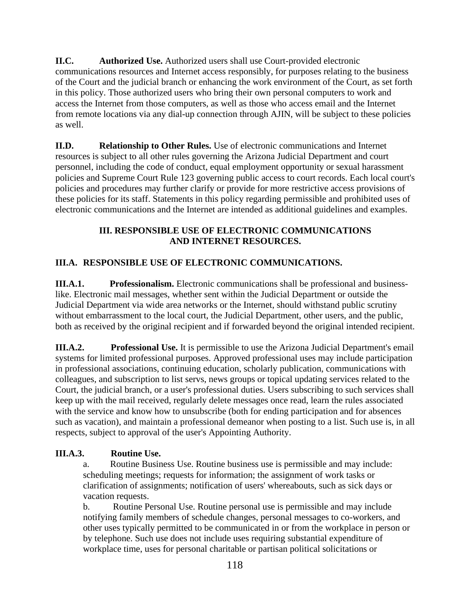**II.C. Authorized Use.** Authorized users shall use Court-provided electronic communications resources and Internet access responsibly, for purposes relating to the business of the Court and the judicial branch or enhancing the work environment of the Court, as set forth in this policy. Those authorized users who bring their own personal computers to work and access the Internet from those computers, as well as those who access email and the Internet from remote locations via any dial-up connection through AJIN, will be subject to these policies as well.

**II.D. Relationship to Other Rules.** Use of electronic communications and Internet resources is subject to all other rules governing the Arizona Judicial Department and court personnel, including the code of conduct, equal employment opportunity or sexual harassment policies and Supreme Court Rule 123 governing public access to court records. Each local court's policies and procedures may further clarify or provide for more restrictive access provisions of these policies for its staff. Statements in this policy regarding permissible and prohibited uses of electronic communications and the Internet are intended as additional guidelines and examples.

# **III. RESPONSIBLE USE OF ELECTRONIC COMMUNICATIONS AND INTERNET RESOURCES.**

# **III.A. RESPONSIBLE USE OF ELECTRONIC COMMUNICATIONS.**

**III.A.1. Professionalism.** Electronic communications shall be professional and businesslike. Electronic mail messages, whether sent within the Judicial Department or outside the Judicial Department via wide area networks or the Internet, should withstand public scrutiny without embarrassment to the local court, the Judicial Department, other users, and the public, both as received by the original recipient and if forwarded beyond the original intended recipient.

**III.A.2. Professional Use.** It is permissible to use the Arizona Judicial Department's email systems for limited professional purposes. Approved professional uses may include participation in professional associations, continuing education, scholarly publication, communications with colleagues, and subscription to list servs, news groups or topical updating services related to the Court, the judicial branch, or a user's professional duties. Users subscribing to such services shall keep up with the mail received, regularly delete messages once read, learn the rules associated with the service and know how to unsubscribe (both for ending participation and for absences such as vacation), and maintain a professional demeanor when posting to a list. Such use is, in all respects, subject to approval of the user's Appointing Authority.

# **III.A.3. Routine Use.**

a. Routine Business Use. Routine business use is permissible and may include: scheduling meetings; requests for information; the assignment of work tasks or clarification of assignments; notification of users' whereabouts, such as sick days or vacation requests.

b. Routine Personal Use. Routine personal use is permissible and may include notifying family members of schedule changes, personal messages to co-workers, and other uses typically permitted to be communicated in or from the workplace in person or by telephone. Such use does not include uses requiring substantial expenditure of workplace time, uses for personal charitable or partisan political solicitations or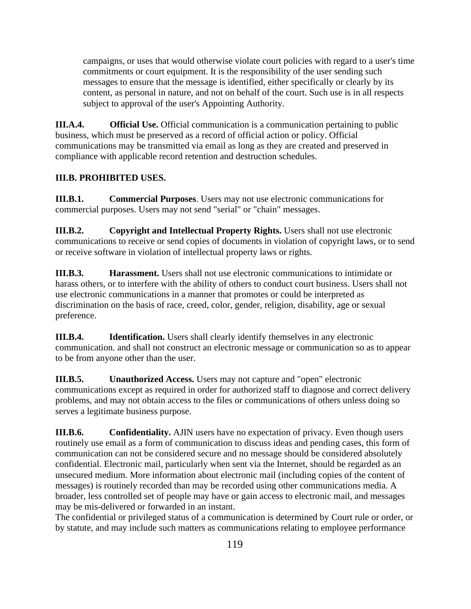campaigns, or uses that would otherwise violate court policies with regard to a user's time commitments or court equipment. It is the responsibility of the user sending such messages to ensure that the message is identified, either specifically or clearly by its content, as personal in nature, and not on behalf of the court. Such use is in all respects subject to approval of the user's Appointing Authority.

**III.A.4. Official Use.** Official communication is a communication pertaining to public business, which must be preserved as a record of official action or policy. Official communications may be transmitted via email as long as they are created and preserved in compliance with applicable record retention and destruction schedules.

# **III.B. PROHIBITED USES.**

**III.B.1. Commercial Purposes**. Users may not use electronic communications for commercial purposes. Users may not send "serial" or "chain" messages.

**III.B.2. Copyright and Intellectual Property Rights.** Users shall not use electronic communications to receive or send copies of documents in violation of copyright laws, or to send or receive software in violation of intellectual property laws or rights.

**III.B.3. Harassment.** Users shall not use electronic communications to intimidate or harass others, or to interfere with the ability of others to conduct court business. Users shall not use electronic communications in a manner that promotes or could be interpreted as discrimination on the basis of race, creed, color, gender, religion, disability, age or sexual preference.

**III.B.4.** Identification. Users shall clearly identify themselves in any electronic communication. and shall not construct an electronic message or communication so as to appear to be from anyone other than the user.

**III.B.5.** Unauthorized Access. Users may not capture and "open" electronic communications except as required in order for authorized staff to diagnose and correct delivery problems, and may not obtain access to the files or communications of others unless doing so serves a legitimate business purpose.

**III.B.6.** Confidentiality. AJIN users have no expectation of privacy. Even though users routinely use email as a form of communication to discuss ideas and pending cases, this form of communication can not be considered secure and no message should be considered absolutely confidential. Electronic mail, particularly when sent via the Internet, should be regarded as an unsecured medium. More information about electronic mail (including copies of the content of messages) is routinely recorded than may be recorded using other communications media. A broader, less controlled set of people may have or gain access to electronic mail, and messages may be mis-delivered or forwarded in an instant.

The confidential or privileged status of a communication is determined by Court rule or order, or by statute, and may include such matters as communications relating to employee performance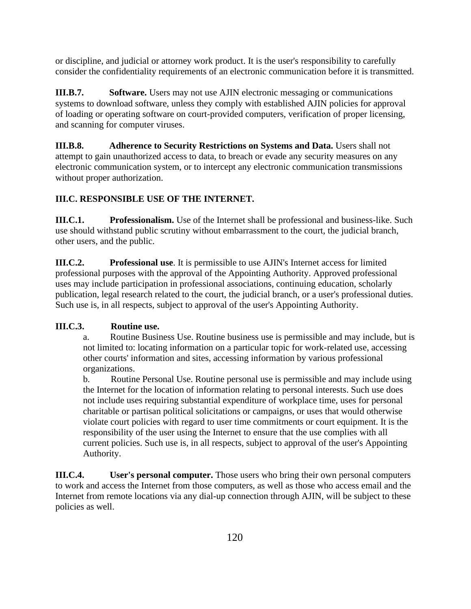or discipline, and judicial or attorney work product. It is the user's responsibility to carefully consider the confidentiality requirements of an electronic communication before it is transmitted.

**III.B.7. Software.** Users may not use AJIN electronic messaging or communications systems to download software, unless they comply with established AJIN policies for approval of loading or operating software on court-provided computers, verification of proper licensing, and scanning for computer viruses.

**III.B.8. Adherence to Security Restrictions on Systems and Data.** Users shall not attempt to gain unauthorized access to data, to breach or evade any security measures on any electronic communication system, or to intercept any electronic communication transmissions without proper authorization.

# **III.C. RESPONSIBLE USE OF THE INTERNET.**

**III.C.1. Professionalism.** Use of the Internet shall be professional and business-like. Such use should withstand public scrutiny without embarrassment to the court, the judicial branch, other users, and the public.

**III.C.2. Professional use**. It is permissible to use AJIN's Internet access for limited professional purposes with the approval of the Appointing Authority. Approved professional uses may include participation in professional associations, continuing education, scholarly publication, legal research related to the court, the judicial branch, or a user's professional duties. Such use is, in all respects, subject to approval of the user's Appointing Authority.

## **III.C.3. Routine use.**

a. Routine Business Use. Routine business use is permissible and may include, but is not limited to: locating information on a particular topic for work-related use, accessing other courts' information and sites, accessing information by various professional organizations.

b. Routine Personal Use. Routine personal use is permissible and may include using the Internet for the location of information relating to personal interests. Such use does not include uses requiring substantial expenditure of workplace time, uses for personal charitable or partisan political solicitations or campaigns, or uses that would otherwise violate court policies with regard to user time commitments or court equipment. It is the responsibility of the user using the Internet to ensure that the use complies with all current policies. Such use is, in all respects, subject to approval of the user's Appointing Authority.

**III.C.4. User's personal computer.** Those users who bring their own personal computers to work and access the Internet from those computers, as well as those who access email and the Internet from remote locations via any dial-up connection through AJIN, will be subject to these policies as well.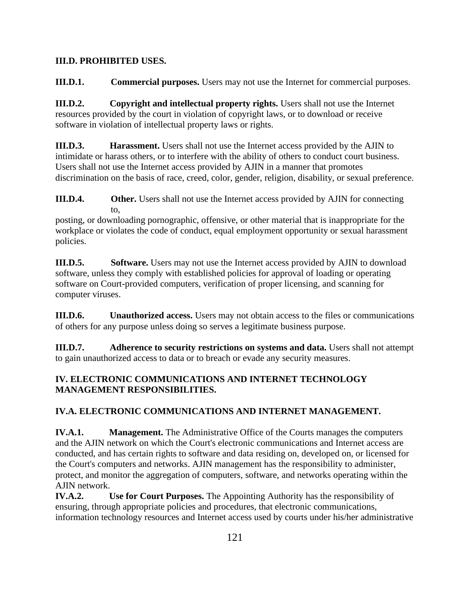## **III.D. PROHIBITED USES.**

**III.D.1. Commercial purposes.** Users may not use the Internet for commercial purposes.

**III.D.2. Copyright and intellectual property rights.** Users shall not use the Internet resources provided by the court in violation of copyright laws, or to download or receive software in violation of intellectual property laws or rights.

**III.D.3. Harassment.** Users shall not use the Internet access provided by the AJIN to intimidate or harass others, or to interfere with the ability of others to conduct court business. Users shall not use the Internet access provided by AJIN in a manner that promotes discrimination on the basis of race, creed, color, gender, religion, disability, or sexual preference.

**III.D.4. Other.** Users shall not use the Internet access provided by AJIN for connecting to,

posting, or downloading pornographic, offensive, or other material that is inappropriate for the workplace or violates the code of conduct, equal employment opportunity or sexual harassment policies.

**III.D.5.** Software. Users may not use the Internet access provided by AJIN to download software, unless they comply with established policies for approval of loading or operating software on Court-provided computers, verification of proper licensing, and scanning for computer viruses.

**III.D.6. Unauthorized access.** Users may not obtain access to the files or communications of others for any purpose unless doing so serves a legitimate business purpose.

**III.D.7. Adherence to security restrictions on systems and data.** Users shall not attempt to gain unauthorized access to data or to breach or evade any security measures.

# **IV. ELECTRONIC COMMUNICATIONS AND INTERNET TECHNOLOGY MANAGEMENT RESPONSIBILITIES.**

# **IV.A. ELECTRONIC COMMUNICATIONS AND INTERNET MANAGEMENT.**

**IV.A.1. Management.** The Administrative Office of the Courts manages the computers and the AJIN network on which the Court's electronic communications and Internet access are conducted, and has certain rights to software and data residing on, developed on, or licensed for the Court's computers and networks. AJIN management has the responsibility to administer, protect, and monitor the aggregation of computers, software, and networks operating within the AJIN network.

**IV.A.2. Use for Court Purposes.** The Appointing Authority has the responsibility of ensuring, through appropriate policies and procedures, that electronic communications, information technology resources and Internet access used by courts under his/her administrative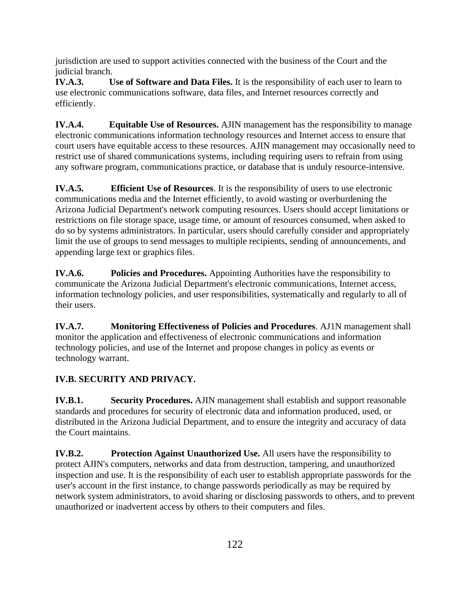jurisdiction are used to support activities connected with the business of the Court and the judicial branch.

**IV.A.3. Use of Software and Data Files.** It is the responsibility of each user to learn to use electronic communications software, data files, and Internet resources correctly and efficiently.

**IV.A.4. Equitable Use of Resources.** AJIN management has the responsibility to manage electronic communications information technology resources and Internet access to ensure that court users have equitable access to these resources. AJIN management may occasionally need to restrict use of shared communications systems, including requiring users to refrain from using any software program, communications practice, or database that is unduly resource-intensive.

**IV.A.5. Efficient Use of Resources**. It is the responsibility of users to use electronic communications media and the Internet efficiently, to avoid wasting or overburdening the Arizona Judicial Department's network computing resources. Users should accept limitations or restrictions on file storage space, usage time, or amount of resources consumed, when asked to do so by systems administrators. In particular, users should carefully consider and appropriately limit the use of groups to send messages to multiple recipients, sending of announcements, and appending large text or graphics files.

**IV.A.6. Policies and Procedures.** Appointing Authorities have the responsibility to communicate the Arizona Judicial Department's electronic communications, Internet access, information technology policies, and user responsibilities, systematically and regularly to all of their users.

**IV.A.7. Monitoring Effectiveness of Policies and Procedures**. AJ1N management shall monitor the application and effectiveness of electronic communications and information technology policies, and use of the Internet and propose changes in policy as events or technology warrant.

# **IV.B. SECURITY AND PRIVACY.**

**IV.B.1. Security Procedures.** AJIN management shall establish and support reasonable standards and procedures for security of electronic data and information produced, used, or distributed in the Arizona Judicial Department, and to ensure the integrity and accuracy of data the Court maintains.

**IV.B.2. Protection Against Unauthorized Use.** All users have the responsibility to protect AJIN's computers, networks and data from destruction, tampering, and unauthorized inspection and use. It is the responsibility of each user to establish appropriate passwords for the user's account in the first instance, to change passwords periodically as may be required by network system administrators, to avoid sharing or disclosing passwords to others, and to prevent unauthorized or inadvertent access by others to their computers and files.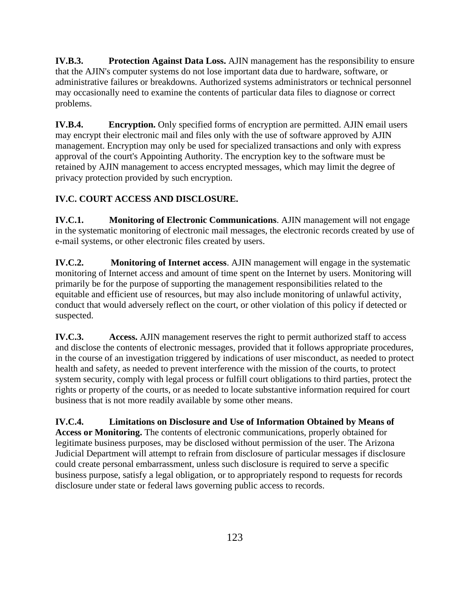**IV.B.3. Protection Against Data Loss.** AJIN management has the responsibility to ensure that the AJIN's computer systems do not lose important data due to hardware, software, or administrative failures or breakdowns. Authorized systems administrators or technical personnel may occasionally need to examine the contents of particular data files to diagnose or correct problems.

**IV.B.4. Encryption.** Only specified forms of encryption are permitted. AJIN email users may encrypt their electronic mail and files only with the use of software approved by AJIN management. Encryption may only be used for specialized transactions and only with express approval of the court's Appointing Authority. The encryption key to the software must be retained by AJIN management to access encrypted messages, which may limit the degree of privacy protection provided by such encryption.

# **IV.C. COURT ACCESS AND DISCLOSURE.**

**IV.C.1. Monitoring of Electronic Communications**. AJIN management will not engage in the systematic monitoring of electronic mail messages, the electronic records created by use of e-mail systems, or other electronic files created by users.

**IV.C.2. Monitoring of Internet access**. AJIN management will engage in the systematic monitoring of Internet access and amount of time spent on the Internet by users. Monitoring will primarily be for the purpose of supporting the management responsibilities related to the equitable and efficient use of resources, but may also include monitoring of unlawful activity, conduct that would adversely reflect on the court, or other violation of this policy if detected or suspected.

**IV.C.3.** Access. AJIN management reserves the right to permit authorized staff to access and disclose the contents of electronic messages, provided that it follows appropriate procedures, in the course of an investigation triggered by indications of user misconduct, as needed to protect health and safety, as needed to prevent interference with the mission of the courts, to protect system security, comply with legal process or fulfill court obligations to third parties, protect the rights or property of the courts, or as needed to locate substantive information required for court business that is not more readily available by some other means.

**IV.C.4. Limitations on Disclosure and Use of Information Obtained by Means of Access or Monitoring.** The contents of electronic communications, properly obtained for legitimate business purposes, may be disclosed without permission of the user. The Arizona Judicial Department will attempt to refrain from disclosure of particular messages if disclosure could create personal embarrassment, unless such disclosure is required to serve a specific business purpose, satisfy a legal obligation, or to appropriately respond to requests for records disclosure under state or federal laws governing public access to records.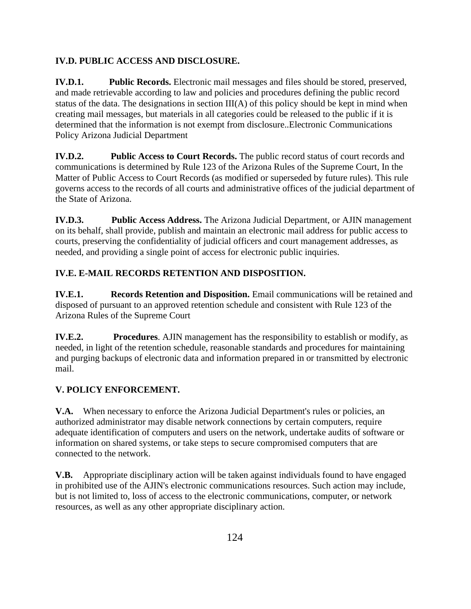# **IV.D. PUBLIC ACCESS AND DISCLOSURE.**

**IV.D.1. Public Records.** Electronic mail messages and files should be stored, preserved, and made retrievable according to law and policies and procedures defining the public record status of the data. The designations in section III(A) of this policy should be kept in mind when creating mail messages, but materials in all categories could be released to the public if it is determined that the information is not exempt from disclosure..Electronic Communications Policy Arizona Judicial Department

**IV.D.2.** Public Access to Court Records. The public record status of court records and communications is determined by Rule 123 of the Arizona Rules of the Supreme Court, In the Matter of Public Access to Court Records (as modified or superseded by future rules). This rule governs access to the records of all courts and administrative offices of the judicial department of the State of Arizona.

**IV.D.3. Public Access Address.** The Arizona Judicial Department, or AJIN management on its behalf, shall provide, publish and maintain an electronic mail address for public access to courts, preserving the confidentiality of judicial officers and court management addresses, as needed, and providing a single point of access for electronic public inquiries.

# **IV.E. E-MAIL RECORDS RETENTION AND DISPOSITION.**

**IV.E.1. Records Retention and Disposition.** Email communications will be retained and disposed of pursuant to an approved retention schedule and consistent with Rule 123 of the Arizona Rules of the Supreme Court

**IV.E.2.** Procedures. AJIN management has the responsibility to establish or modify, as needed, in light of the retention schedule, reasonable standards and procedures for maintaining and purging backups of electronic data and information prepared in or transmitted by electronic mail.

# **V. POLICY ENFORCEMENT.**

**V.A.** When necessary to enforce the Arizona Judicial Department's rules or policies, an authorized administrator may disable network connections by certain computers, require adequate identification of computers and users on the network, undertake audits of software or information on shared systems, or take steps to secure compromised computers that are connected to the network.

**V.B.** Appropriate disciplinary action will be taken against individuals found to have engaged in prohibited use of the AJIN's electronic communications resources. Such action may include, but is not limited to, loss of access to the electronic communications, computer, or network resources, as well as any other appropriate disciplinary action.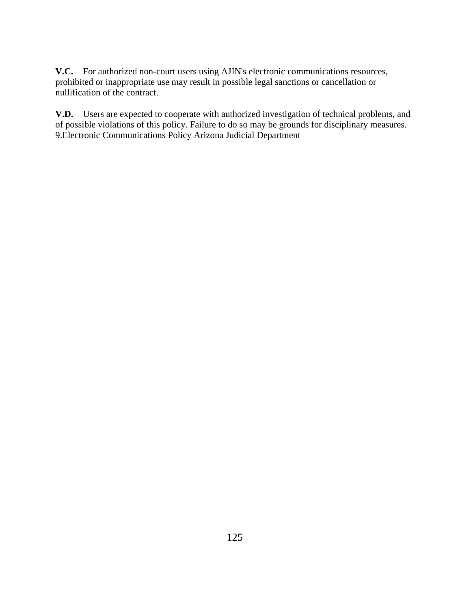**V.C.** For authorized non-court users using AJIN's electronic communications resources, prohibited or inappropriate use may result in possible legal sanctions or cancellation or nullification of the contract.

**V.D.** Users are expected to cooperate with authorized investigation of technical problems, and of possible violations of this policy. Failure to do so may be grounds for disciplinary measures. 9.Electronic Communications Policy Arizona Judicial Department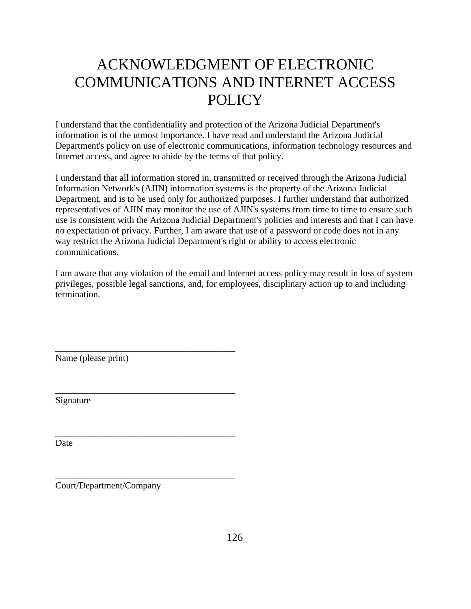# ACKNOWLEDGMENT OF ELECTRONIC COMMUNICATIONS AND INTERNET ACCESS **POLICY**

I understand that the confidentiality and protection of the Arizona Judicial Department's information is of the utmost importance. I have read and understand the Arizona Judicial Department's policy on use of electronic communications, information technology resources and Internet access, and agree to abide by the terms of that policy.

I understand that all information stored in, transmitted or received through the Arizona Judicial Information Network's (AJIN) information systems is the property of the Arizona Judicial Department, and is to be used only for authorized purposes. I further understand that authorized representatives of AJIN may monitor the use of AJIN's systems from time to time to ensure such use is consistent with the Arizona Judicial Department's policies and interests and that I can have no expectation of privacy. Further, I am aware that use of a password or code does not in any way restrict the Arizona Judicial Department's right or ability to access electronic communications.

I am aware that any violation of the email and Internet access policy may result in loss of system privileges, possible legal sanctions, and, for employees, disciplinary action up to and including termination.

Name (please print)

\_\_\_\_\_\_\_\_\_\_\_\_\_\_\_\_\_\_\_\_\_\_\_\_\_\_\_\_\_\_\_\_\_\_\_\_\_\_\_

\_\_\_\_\_\_\_\_\_\_\_\_\_\_\_\_\_\_\_\_\_\_\_\_\_\_\_\_\_\_\_\_\_\_\_\_\_\_\_

\_\_\_\_\_\_\_\_\_\_\_\_\_\_\_\_\_\_\_\_\_\_\_\_\_\_\_\_\_\_\_\_\_\_\_\_\_\_\_

\_\_\_\_\_\_\_\_\_\_\_\_\_\_\_\_\_\_\_\_\_\_\_\_\_\_\_\_\_\_\_\_\_\_\_\_\_\_\_

Signature

**Date** 

Court/Department/Company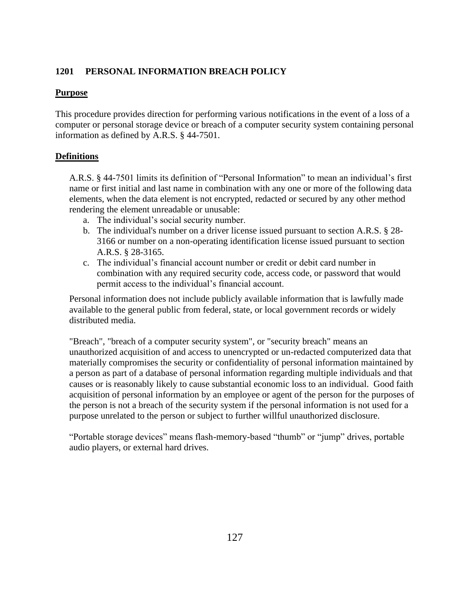## **1201 PERSONAL INFORMATION BREACH POLICY**

#### **Purpose**

This procedure provides direction for performing various notifications in the event of a loss of a computer or personal storage device or breach of a computer security system containing personal information as defined by A.R.S. § 44-7501.

## **Definitions**

A.R.S. § 44-7501 limits its definition of "Personal Information" to mean an individual's first name or first initial and last name in combination with any one or more of the following data elements, when the data element is not encrypted, redacted or secured by any other method rendering the element unreadable or unusable:

- a. The individual's social security number.
- b. The individual's number on a driver license issued pursuant to section A.R.S. § 28- 3166 or number on a non-operating identification license issued pursuant to section A.R.S. § 28-3165.
- c. The individual's financial account number or credit or debit card number in combination with any required security code, access code, or password that would permit access to the individual's financial account.

Personal information does not include publicly available information that is lawfully made available to the general public from federal, state, or local government records or widely distributed media.

"Breach", "breach of a computer security system", or "security breach" means an unauthorized acquisition of and access to unencrypted or un-redacted computerized data that materially compromises the security or confidentiality of personal information maintained by a person as part of a database of personal information regarding multiple individuals and that causes or is reasonably likely to cause substantial economic loss to an individual. Good faith acquisition of personal information by an employee or agent of the person for the purposes of the person is not a breach of the security system if the personal information is not used for a purpose unrelated to the person or subject to further willful unauthorized disclosure.

"Portable storage devices" means flash-memory-based "thumb" or "jump" drives, portable audio players, or external hard drives.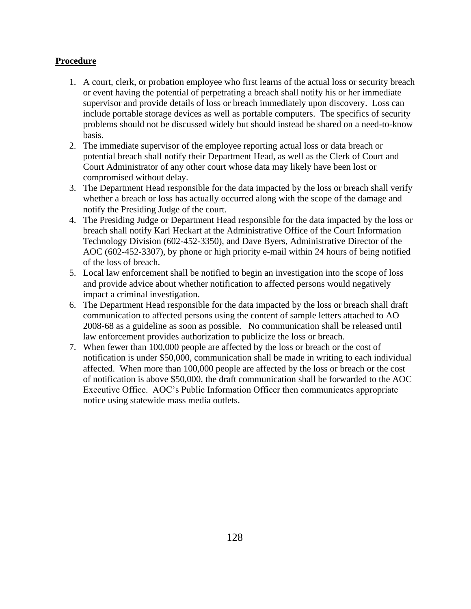## **Procedure**

- 1. A court, clerk, or probation employee who first learns of the actual loss or security breach or event having the potential of perpetrating a breach shall notify his or her immediate supervisor and provide details of loss or breach immediately upon discovery. Loss can include portable storage devices as well as portable computers. The specifics of security problems should not be discussed widely but should instead be shared on a need-to-know basis.
- 2. The immediate supervisor of the employee reporting actual loss or data breach or potential breach shall notify their Department Head, as well as the Clerk of Court and Court Administrator of any other court whose data may likely have been lost or compromised without delay.
- 3. The Department Head responsible for the data impacted by the loss or breach shall verify whether a breach or loss has actually occurred along with the scope of the damage and notify the Presiding Judge of the court.
- 4. The Presiding Judge or Department Head responsible for the data impacted by the loss or breach shall notify Karl Heckart at the Administrative Office of the Court Information Technology Division (602-452-3350), and Dave Byers, Administrative Director of the AOC (602-452-3307), by phone or high priority e-mail within 24 hours of being notified of the loss of breach.
- 5. Local law enforcement shall be notified to begin an investigation into the scope of loss and provide advice about whether notification to affected persons would negatively impact a criminal investigation.
- 6. The Department Head responsible for the data impacted by the loss or breach shall draft communication to affected persons using the content of sample letters attached to AO 2008-68 as a guideline as soon as possible. No communication shall be released until law enforcement provides authorization to publicize the loss or breach.
- 7. When fewer than 100,000 people are affected by the loss or breach or the cost of notification is under \$50,000, communication shall be made in writing to each individual affected. When more than 100,000 people are affected by the loss or breach or the cost of notification is above \$50,000, the draft communication shall be forwarded to the AOC Executive Office. AOC's Public Information Officer then communicates appropriate notice using statewide mass media outlets.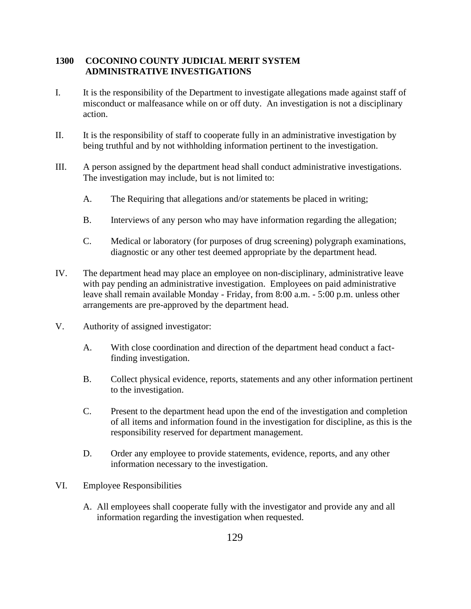## **1300 COCONINO COUNTY JUDICIAL MERIT SYSTEM ADMINISTRATIVE INVESTIGATIONS**

- I. It is the responsibility of the Department to investigate allegations made against staff of misconduct or malfeasance while on or off duty. An investigation is not a disciplinary action.
- II. It is the responsibility of staff to cooperate fully in an administrative investigation by being truthful and by not withholding information pertinent to the investigation.
- III. A person assigned by the department head shall conduct administrative investigations. The investigation may include, but is not limited to:
	- A. The Requiring that allegations and/or statements be placed in writing;
	- B. Interviews of any person who may have information regarding the allegation;
	- C. Medical or laboratory (for purposes of drug screening) polygraph examinations, diagnostic or any other test deemed appropriate by the department head.
- IV. The department head may place an employee on non-disciplinary, administrative leave with pay pending an administrative investigation. Employees on paid administrative leave shall remain available Monday - Friday, from 8:00 a.m. - 5:00 p.m. unless other arrangements are pre-approved by the department head.
- V. Authority of assigned investigator:
	- A. With close coordination and direction of the department head conduct a factfinding investigation.
	- B. Collect physical evidence, reports, statements and any other information pertinent to the investigation.
	- C. Present to the department head upon the end of the investigation and completion of all items and information found in the investigation for discipline, as this is the responsibility reserved for department management.
	- D. Order any employee to provide statements, evidence, reports, and any other information necessary to the investigation.
- VI. Employee Responsibilities
	- A. All employees shall cooperate fully with the investigator and provide any and all information regarding the investigation when requested.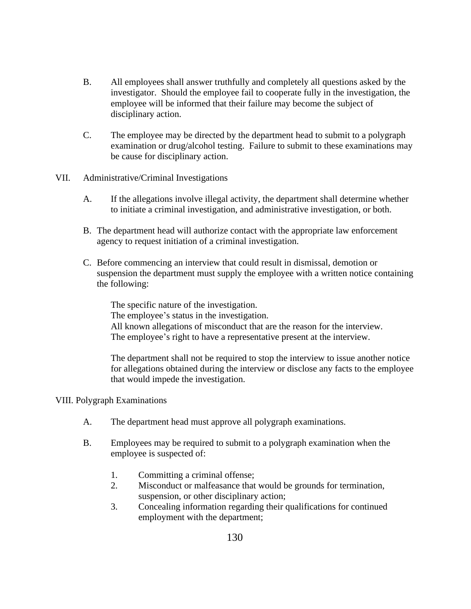- B. All employees shall answer truthfully and completely all questions asked by the investigator. Should the employee fail to cooperate fully in the investigation, the employee will be informed that their failure may become the subject of disciplinary action.
- C. The employee may be directed by the department head to submit to a polygraph examination or drug/alcohol testing. Failure to submit to these examinations may be cause for disciplinary action.
- VII. Administrative/Criminal Investigations
	- A. If the allegations involve illegal activity, the department shall determine whether to initiate a criminal investigation, and administrative investigation, or both.
	- B. The department head will authorize contact with the appropriate law enforcement agency to request initiation of a criminal investigation.
	- C. Before commencing an interview that could result in dismissal, demotion or suspension the department must supply the employee with a written notice containing the following:

The specific nature of the investigation. The employee's status in the investigation. All known allegations of misconduct that are the reason for the interview. The employee's right to have a representative present at the interview.

The department shall not be required to stop the interview to issue another notice for allegations obtained during the interview or disclose any facts to the employee that would impede the investigation.

#### VIII. Polygraph Examinations

- A. The department head must approve all polygraph examinations.
- B. Employees may be required to submit to a polygraph examination when the employee is suspected of:
	- 1. Committing a criminal offense;
	- 2. Misconduct or malfeasance that would be grounds for termination, suspension, or other disciplinary action;
	- 3. Concealing information regarding their qualifications for continued employment with the department;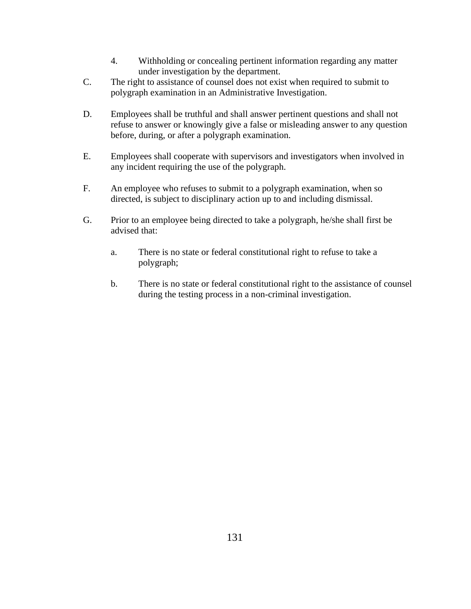- 4. Withholding or concealing pertinent information regarding any matter under investigation by the department.
- C. The right to assistance of counsel does not exist when required to submit to polygraph examination in an Administrative Investigation.
- D. Employees shall be truthful and shall answer pertinent questions and shall not refuse to answer or knowingly give a false or misleading answer to any question before, during, or after a polygraph examination.
- E. Employees shall cooperate with supervisors and investigators when involved in any incident requiring the use of the polygraph.
- F. An employee who refuses to submit to a polygraph examination, when so directed, is subject to disciplinary action up to and including dismissal.
- G. Prior to an employee being directed to take a polygraph, he/she shall first be advised that:
	- a. There is no state or federal constitutional right to refuse to take a polygraph;
	- b. There is no state or federal constitutional right to the assistance of counsel during the testing process in a non-criminal investigation.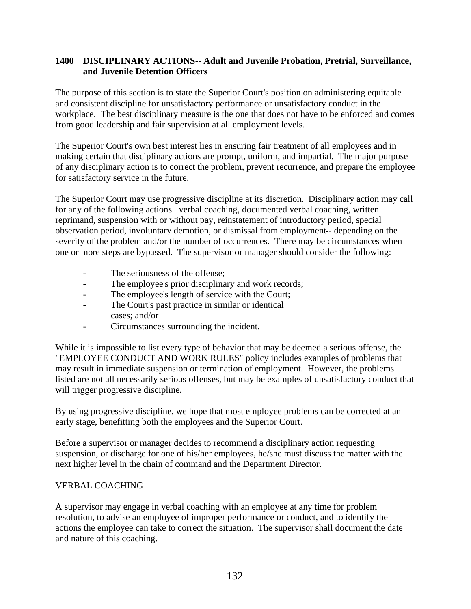## **1400 DISCIPLINARY ACTIONS-- Adult and Juvenile Probation, Pretrial, Surveillance, and Juvenile Detention Officers**

The purpose of this section is to state the Superior Court's position on administering equitable and consistent discipline for unsatisfactory performance or unsatisfactory conduct in the workplace. The best disciplinary measure is the one that does not have to be enforced and comes from good leadership and fair supervision at all employment levels.

The Superior Court's own best interest lies in ensuring fair treatment of all employees and in making certain that disciplinary actions are prompt, uniform, and impartial. The major purpose of any disciplinary action is to correct the problem, prevent recurrence, and prepare the employee for satisfactory service in the future.

The Superior Court may use progressive discipline at its discretion. Disciplinary action may call for any of the following actions –verbal coaching, documented verbal coaching, written reprimand, suspension with or without pay, reinstatement of introductory period, special observation period, involuntary demotion, or dismissal from employment - depending on the severity of the problem and/or the number of occurrences. There may be circumstances when one or more steps are bypassed. The supervisor or manager should consider the following:

- The seriousness of the offense;
- The employee's prior disciplinary and work records;
- The employee's length of service with the Court;
- The Court's past practice in similar or identical cases; and/or
- Circumstances surrounding the incident.

While it is impossible to list every type of behavior that may be deemed a serious offense, the "EMPLOYEE CONDUCT AND WORK RULES" policy includes examples of problems that may result in immediate suspension or termination of employment. However, the problems listed are not all necessarily serious offenses, but may be examples of unsatisfactory conduct that will trigger progressive discipline.

By using progressive discipline, we hope that most employee problems can be corrected at an early stage, benefitting both the employees and the Superior Court.

Before a supervisor or manager decides to recommend a disciplinary action requesting suspension, or discharge for one of his/her employees, he/she must discuss the matter with the next higher level in the chain of command and the Department Director.

## VERBAL COACHING

A supervisor may engage in verbal coaching with an employee at any time for problem resolution, to advise an employee of improper performance or conduct, and to identify the actions the employee can take to correct the situation. The supervisor shall document the date and nature of this coaching.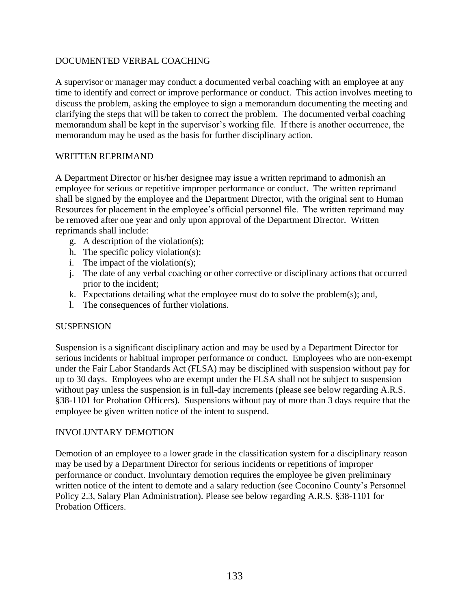## DOCUMENTED VERBAL COACHING

A supervisor or manager may conduct a documented verbal coaching with an employee at any time to identify and correct or improve performance or conduct. This action involves meeting to discuss the problem, asking the employee to sign a memorandum documenting the meeting and clarifying the steps that will be taken to correct the problem. The documented verbal coaching memorandum shall be kept in the supervisor's working file. If there is another occurrence, the memorandum may be used as the basis for further disciplinary action.

#### WRITTEN REPRIMAND

A Department Director or his/her designee may issue a written reprimand to admonish an employee for serious or repetitive improper performance or conduct. The written reprimand shall be signed by the employee and the Department Director, with the original sent to Human Resources for placement in the employee's official personnel file. The written reprimand may be removed after one year and only upon approval of the Department Director. Written reprimands shall include:

- g. A description of the violation(s);
- h. The specific policy violation(s);
- i. The impact of the violation(s);
- j. The date of any verbal coaching or other corrective or disciplinary actions that occurred prior to the incident;
- k. Expectations detailing what the employee must do to solve the problem(s); and,
- l. The consequences of further violations.

#### SUSPENSION

Suspension is a significant disciplinary action and may be used by a Department Director for serious incidents or habitual improper performance or conduct. Employees who are non-exempt under the Fair Labor Standards Act (FLSA) may be disciplined with suspension without pay for up to 30 days. Employees who are exempt under the FLSA shall not be subject to suspension without pay unless the suspension is in full-day increments (please see below regarding A.R.S. §38-1101 for Probation Officers). Suspensions without pay of more than 3 days require that the employee be given written notice of the intent to suspend.

#### INVOLUNTARY DEMOTION

Demotion of an employee to a lower grade in the classification system for a disciplinary reason may be used by a Department Director for serious incidents or repetitions of improper performance or conduct. Involuntary demotion requires the employee be given preliminary written notice of the intent to demote and a salary reduction (see Coconino County's Personnel Policy 2.3, Salary Plan Administration). Please see below regarding A.R.S. §38-1101 for Probation Officers.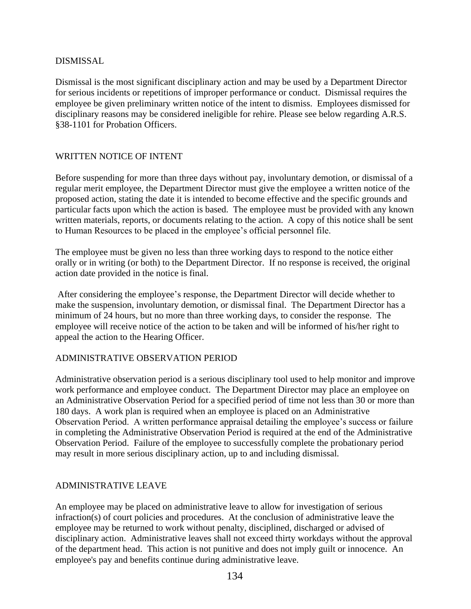## DISMISSAL

Dismissal is the most significant disciplinary action and may be used by a Department Director for serious incidents or repetitions of improper performance or conduct. Dismissal requires the employee be given preliminary written notice of the intent to dismiss. Employees dismissed for disciplinary reasons may be considered ineligible for rehire. Please see below regarding A.R.S. §38-1101 for Probation Officers.

## WRITTEN NOTICE OF INTENT

Before suspending for more than three days without pay, involuntary demotion, or dismissal of a regular merit employee, the Department Director must give the employee a written notice of the proposed action, stating the date it is intended to become effective and the specific grounds and particular facts upon which the action is based. The employee must be provided with any known written materials, reports, or documents relating to the action. A copy of this notice shall be sent to Human Resources to be placed in the employee's official personnel file.

The employee must be given no less than three working days to respond to the notice either orally or in writing (or both) to the Department Director. If no response is received, the original action date provided in the notice is final.

After considering the employee's response, the Department Director will decide whether to make the suspension, involuntary demotion, or dismissal final. The Department Director has a minimum of 24 hours, but no more than three working days, to consider the response. The employee will receive notice of the action to be taken and will be informed of his/her right to appeal the action to the Hearing Officer.

#### ADMINISTRATIVE OBSERVATION PERIOD

Administrative observation period is a serious disciplinary tool used to help monitor and improve work performance and employee conduct. The Department Director may place an employee on an Administrative Observation Period for a specified period of time not less than 30 or more than 180 days. A work plan is required when an employee is placed on an Administrative Observation Period. A written performance appraisal detailing the employee's success or failure in completing the Administrative Observation Period is required at the end of the Administrative Observation Period. Failure of the employee to successfully complete the probationary period may result in more serious disciplinary action, up to and including dismissal.

#### ADMINISTRATIVE LEAVE

An employee may be placed on administrative leave to allow for investigation of serious infraction(s) of court policies and procedures. At the conclusion of administrative leave the employee may be returned to work without penalty, disciplined, discharged or advised of disciplinary action. Administrative leaves shall not exceed thirty workdays without the approval of the department head. This action is not punitive and does not imply guilt or innocence. An employee's pay and benefits continue during administrative leave.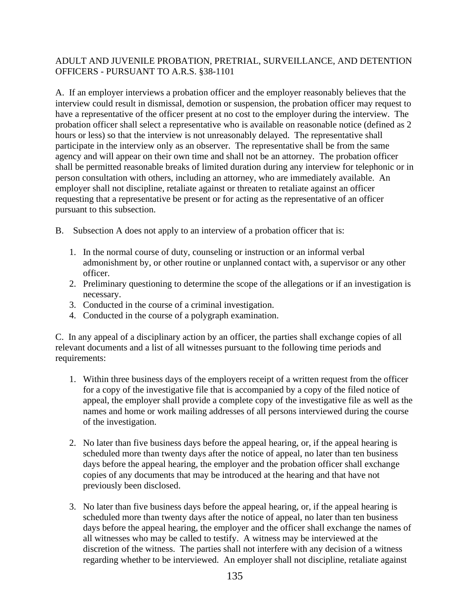## ADULT AND JUVENILE PROBATION, PRETRIAL, SURVEILLANCE, AND DETENTION OFFICERS - PURSUANT TO A.R.S. §38-1101

A. If an employer interviews a probation officer and the employer reasonably believes that the interview could result in dismissal, demotion or suspension, the probation officer may request to have a representative of the officer present at no cost to the employer during the interview. The probation officer shall select a representative who is available on reasonable notice (defined as 2 hours or less) so that the interview is not unreasonably delayed. The representative shall participate in the interview only as an observer. The representative shall be from the same agency and will appear on their own time and shall not be an attorney. The probation officer shall be permitted reasonable breaks of limited duration during any interview for telephonic or in person consultation with others, including an attorney, who are immediately available. An employer shall not discipline, retaliate against or threaten to retaliate against an officer requesting that a representative be present or for acting as the representative of an officer pursuant to this subsection.

- B. Subsection A does not apply to an interview of a probation officer that is:
	- 1. In the normal course of duty, counseling or instruction or an informal verbal admonishment by, or other routine or unplanned contact with, a supervisor or any other officer.
	- 2. Preliminary questioning to determine the scope of the allegations or if an investigation is necessary.
	- 3. Conducted in the course of a criminal investigation.
	- 4. Conducted in the course of a polygraph examination.

C. In any appeal of a disciplinary action by an officer, the parties shall exchange copies of all relevant documents and a list of all witnesses pursuant to the following time periods and requirements:

- 1. Within three business days of the employers receipt of a written request from the officer for a copy of the investigative file that is accompanied by a copy of the filed notice of appeal, the employer shall provide a complete copy of the investigative file as well as the names and home or work mailing addresses of all persons interviewed during the course of the investigation.
- 2. No later than five business days before the appeal hearing, or, if the appeal hearing is scheduled more than twenty days after the notice of appeal, no later than ten business days before the appeal hearing, the employer and the probation officer shall exchange copies of any documents that may be introduced at the hearing and that have not previously been disclosed.
- 3. No later than five business days before the appeal hearing, or, if the appeal hearing is scheduled more than twenty days after the notice of appeal, no later than ten business days before the appeal hearing, the employer and the officer shall exchange the names of all witnesses who may be called to testify. A witness may be interviewed at the discretion of the witness. The parties shall not interfere with any decision of a witness regarding whether to be interviewed. An employer shall not discipline, retaliate against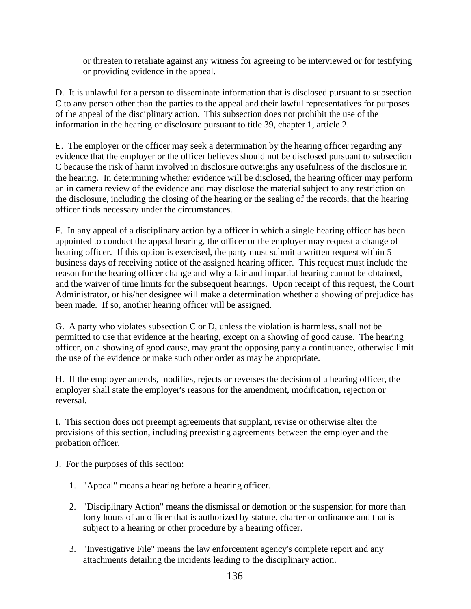or threaten to retaliate against any witness for agreeing to be interviewed or for testifying or providing evidence in the appeal.

D. It is unlawful for a person to disseminate information that is disclosed pursuant to subsection C to any person other than the parties to the appeal and their lawful representatives for purposes of the appeal of the disciplinary action. This subsection does not prohibit the use of the information in the hearing or disclosure pursuant to title 39, chapter 1, article 2.

E. The employer or the officer may seek a determination by the hearing officer regarding any evidence that the employer or the officer believes should not be disclosed pursuant to subsection C because the risk of harm involved in disclosure outweighs any usefulness of the disclosure in the hearing. In determining whether evidence will be disclosed, the hearing officer may perform an in camera review of the evidence and may disclose the material subject to any restriction on the disclosure, including the closing of the hearing or the sealing of the records, that the hearing officer finds necessary under the circumstances.

F. In any appeal of a disciplinary action by a officer in which a single hearing officer has been appointed to conduct the appeal hearing, the officer or the employer may request a change of hearing officer. If this option is exercised, the party must submit a written request within 5 business days of receiving notice of the assigned hearing officer. This request must include the reason for the hearing officer change and why a fair and impartial hearing cannot be obtained, and the waiver of time limits for the subsequent hearings. Upon receipt of this request, the Court Administrator, or his/her designee will make a determination whether a showing of prejudice has been made. If so, another hearing officer will be assigned.

G. A party who violates subsection C or D, unless the violation is harmless, shall not be permitted to use that evidence at the hearing, except on a showing of good cause. The hearing officer, on a showing of good cause, may grant the opposing party a continuance, otherwise limit the use of the evidence or make such other order as may be appropriate.

H. If the employer amends, modifies, rejects or reverses the decision of a hearing officer, the employer shall state the employer's reasons for the amendment, modification, rejection or reversal.

I. This section does not preempt agreements that supplant, revise or otherwise alter the provisions of this section, including preexisting agreements between the employer and the probation officer.

J. For the purposes of this section:

- 1. "Appeal" means a hearing before a hearing officer.
- 2. "Disciplinary Action" means the dismissal or demotion or the suspension for more than forty hours of an officer that is authorized by statute, charter or ordinance and that is subject to a hearing or other procedure by a hearing officer.
- 3. "Investigative File" means the law enforcement agency's complete report and any attachments detailing the incidents leading to the disciplinary action.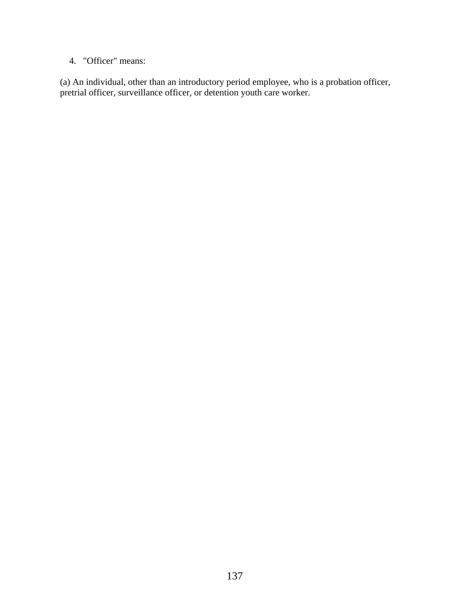# 4. "Officer" means:

(a) An individual, other than an introductory period employee, who is a probation officer, pretrial officer, surveillance officer, or detention youth care worker.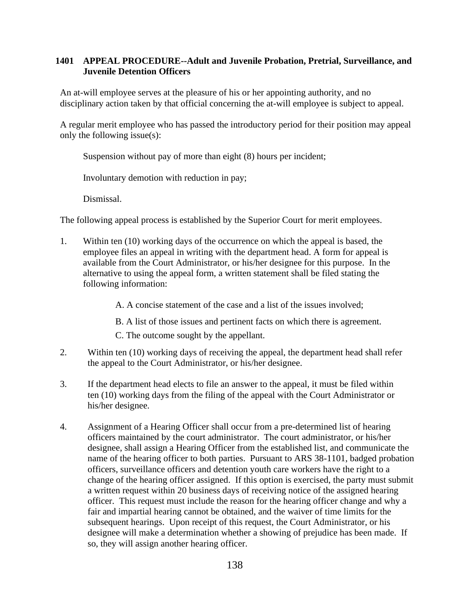## **1401 APPEAL PROCEDURE--Adult and Juvenile Probation, Pretrial, Surveillance, and Juvenile Detention Officers**

An at-will employee serves at the pleasure of his or her appointing authority, and no disciplinary action taken by that official concerning the at-will employee is subject to appeal.

A regular merit employee who has passed the introductory period for their position may appeal only the following issue(s):

Suspension without pay of more than eight (8) hours per incident;

Involuntary demotion with reduction in pay;

Dismissal.

The following appeal process is established by the Superior Court for merit employees.

1. Within ten (10) working days of the occurrence on which the appeal is based, the employee files an appeal in writing with the department head. A form for appeal is available from the Court Administrator, or his/her designee for this purpose. In the alternative to using the appeal form, a written statement shall be filed stating the following information:

A. A concise statement of the case and a list of the issues involved;

B. A list of those issues and pertinent facts on which there is agreement.

C. The outcome sought by the appellant.

- 2. Within ten (10) working days of receiving the appeal, the department head shall refer the appeal to the Court Administrator, or his/her designee.
- 3. If the department head elects to file an answer to the appeal, it must be filed within ten (10) working days from the filing of the appeal with the Court Administrator or his/her designee.
- 4. Assignment of a Hearing Officer shall occur from a pre-determined list of hearing officers maintained by the court administrator. The court administrator, or his/her designee, shall assign a Hearing Officer from the established list, and communicate the name of the hearing officer to both parties. Pursuant to ARS 38-1101, badged probation officers, surveillance officers and detention youth care workers have the right to a change of the hearing officer assigned. If this option is exercised, the party must submit a written request within 20 business days of receiving notice of the assigned hearing officer. This request must include the reason for the hearing officer change and why a fair and impartial hearing cannot be obtained, and the waiver of time limits for the subsequent hearings. Upon receipt of this request, the Court Administrator, or his designee will make a determination whether a showing of prejudice has been made. If so, they will assign another hearing officer.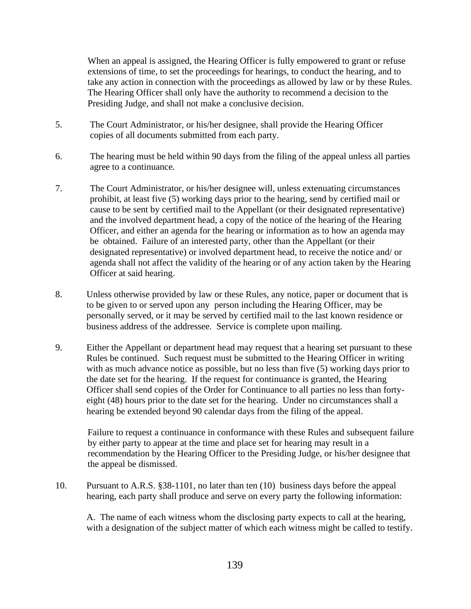When an appeal is assigned, the Hearing Officer is fully empowered to grant or refuse extensions of time, to set the proceedings for hearings, to conduct the hearing, and to take any action in connection with the proceedings as allowed by law or by these Rules. The Hearing Officer shall only have the authority to recommend a decision to the Presiding Judge, and shall not make a conclusive decision.

- 5. The Court Administrator, or his/her designee, shall provide the Hearing Officer copies of all documents submitted from each party.
- 6. The hearing must be held within 90 days from the filing of the appeal unless all parties agree to a continuance.
- 7. The Court Administrator, or his/her designee will, unless extenuating circumstances prohibit, at least five (5) working days prior to the hearing, send by certified mail or cause to be sent by certified mail to the Appellant (or their designated representative) and the involved department head, a copy of the notice of the hearing of the Hearing Officer, and either an agenda for the hearing or information as to how an agenda may be obtained. Failure of an interested party, other than the Appellant (or their designated representative) or involved department head, to receive the notice and/ or agenda shall not affect the validity of the hearing or of any action taken by the Hearing Officer at said hearing.
- 8. Unless otherwise provided by law or these Rules, any notice, paper or document that is to be given to or served upon any person including the Hearing Officer, may be personally served, or it may be served by certified mail to the last known residence or business address of the addressee. Service is complete upon mailing.
- 9. Either the Appellant or department head may request that a hearing set pursuant to these Rules be continued. Such request must be submitted to the Hearing Officer in writing with as much advance notice as possible, but no less than five (5) working days prior to the date set for the hearing. If the request for continuance is granted, the Hearing Officer shall send copies of the Order for Continuance to all parties no less than fortyeight (48) hours prior to the date set for the hearing. Under no circumstances shall a hearing be extended beyond 90 calendar days from the filing of the appeal.

Failure to request a continuance in conformance with these Rules and subsequent failure by either party to appear at the time and place set for hearing may result in a recommendation by the Hearing Officer to the Presiding Judge, or his/her designee that the appeal be dismissed.

10. Pursuant to A.R.S. §38-1101, no later than ten (10) business days before the appeal hearing, each party shall produce and serve on every party the following information:

A. The name of each witness whom the disclosing party expects to call at the hearing, with a designation of the subject matter of which each witness might be called to testify.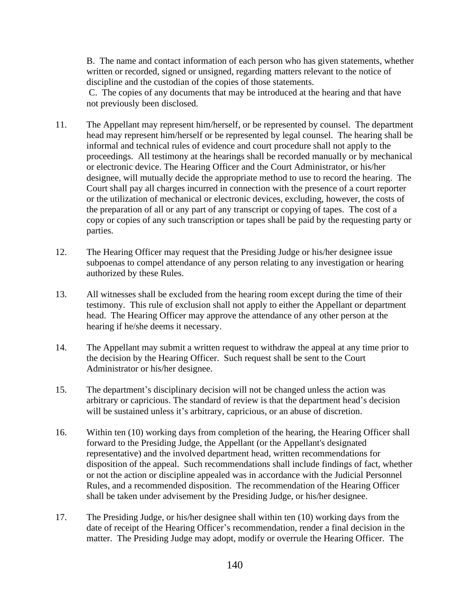B. The name and contact information of each person who has given statements, whether written or recorded, signed or unsigned, regarding matters relevant to the notice of discipline and the custodian of the copies of those statements.

C. The copies of any documents that may be introduced at the hearing and that have not previously been disclosed.

- 11. The Appellant may represent him/herself, or be represented by counsel. The department head may represent him/herself or be represented by legal counsel. The hearing shall be informal and technical rules of evidence and court procedure shall not apply to the proceedings. All testimony at the hearings shall be recorded manually or by mechanical or electronic device. The Hearing Officer and the Court Administrator, or his/her designee, will mutually decide the appropriate method to use to record the hearing. The Court shall pay all charges incurred in connection with the presence of a court reporter or the utilization of mechanical or electronic devices, excluding, however, the costs of the preparation of all or any part of any transcript or copying of tapes. The cost of a copy or copies of any such transcription or tapes shall be paid by the requesting party or parties.
- 12. The Hearing Officer may request that the Presiding Judge or his/her designee issue subpoenas to compel attendance of any person relating to any investigation or hearing authorized by these Rules.
- 13. All witnesses shall be excluded from the hearing room except during the time of their testimony. This rule of exclusion shall not apply to either the Appellant or department head. The Hearing Officer may approve the attendance of any other person at the hearing if he/she deems it necessary.
- 14. The Appellant may submit a written request to withdraw the appeal at any time prior to the decision by the Hearing Officer. Such request shall be sent to the Court Administrator or his/her designee.
- 15. The department's disciplinary decision will not be changed unless the action was arbitrary or capricious. The standard of review is that the department head's decision will be sustained unless it's arbitrary, capricious, or an abuse of discretion.
- 16. Within ten (10) working days from completion of the hearing, the Hearing Officer shall forward to the Presiding Judge, the Appellant (or the Appellant's designated representative) and the involved department head, written recommendations for disposition of the appeal. Such recommendations shall include findings of fact, whether or not the action or discipline appealed was in accordance with the Judicial Personnel Rules, and a recommended disposition. The recommendation of the Hearing Officer shall be taken under advisement by the Presiding Judge, or his/her designee.
- 17. The Presiding Judge, or his/her designee shall within ten (10) working days from the date of receipt of the Hearing Officer's recommendation, render a final decision in the matter. The Presiding Judge may adopt, modify or overrule the Hearing Officer. The